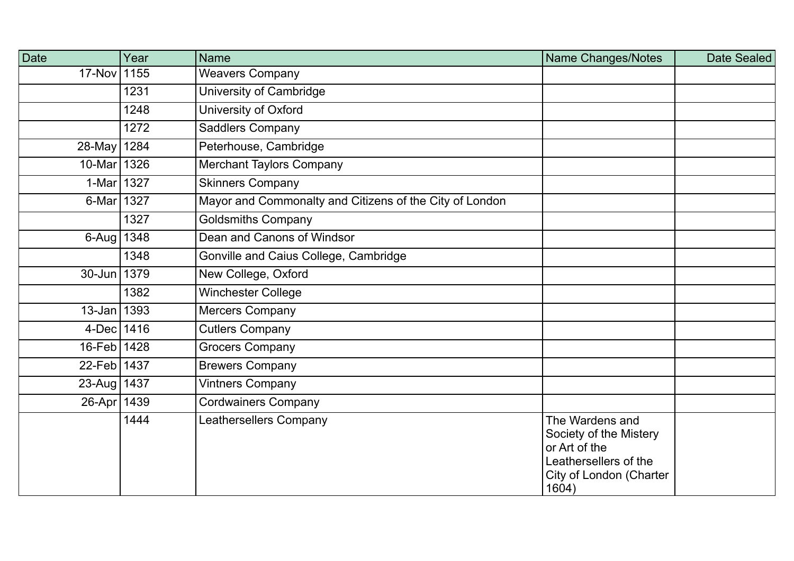| <b>Date</b>     | Year | <b>Name</b>                                             | Name Changes/Notes                                                                                                      | Date Sealed |
|-----------------|------|---------------------------------------------------------|-------------------------------------------------------------------------------------------------------------------------|-------------|
| 17-Nov 1155     |      | <b>Weavers Company</b>                                  |                                                                                                                         |             |
|                 | 1231 | University of Cambridge                                 |                                                                                                                         |             |
|                 | 1248 | University of Oxford                                    |                                                                                                                         |             |
|                 | 1272 | <b>Saddlers Company</b>                                 |                                                                                                                         |             |
| 28-May 1284     |      | Peterhouse, Cambridge                                   |                                                                                                                         |             |
| 10-Mar 1326     |      | <b>Merchant Taylors Company</b>                         |                                                                                                                         |             |
| 1-Mar 1327      |      | <b>Skinners Company</b>                                 |                                                                                                                         |             |
| 6-Mar 1327      |      | Mayor and Commonalty and Citizens of the City of London |                                                                                                                         |             |
|                 | 1327 | <b>Goldsmiths Company</b>                               |                                                                                                                         |             |
| 6-Aug   $1348$  |      | Dean and Canons of Windsor                              |                                                                                                                         |             |
|                 | 1348 | Gonville and Caius College, Cambridge                   |                                                                                                                         |             |
| 30-Jun 1379     |      | New College, Oxford                                     |                                                                                                                         |             |
|                 | 1382 | <b>Winchester College</b>                               |                                                                                                                         |             |
| $13 - Jan$ 1393 |      | Mercers Company                                         |                                                                                                                         |             |
| 4-Dec   $1416$  |      | <b>Cutlers Company</b>                                  |                                                                                                                         |             |
| 16-Feb 1428     |      | Grocers Company                                         |                                                                                                                         |             |
| 22-Feb 1437     |      | <b>Brewers Company</b>                                  |                                                                                                                         |             |
| 23-Aug 1437     |      | Vintners Company                                        |                                                                                                                         |             |
| 26-Apr   1439   |      | <b>Cordwainers Company</b>                              |                                                                                                                         |             |
|                 | 1444 | Leathersellers Company                                  | The Wardens and<br>Society of the Mistery<br>or Art of the<br>Leathersellers of the<br>City of London (Charter<br>1604) |             |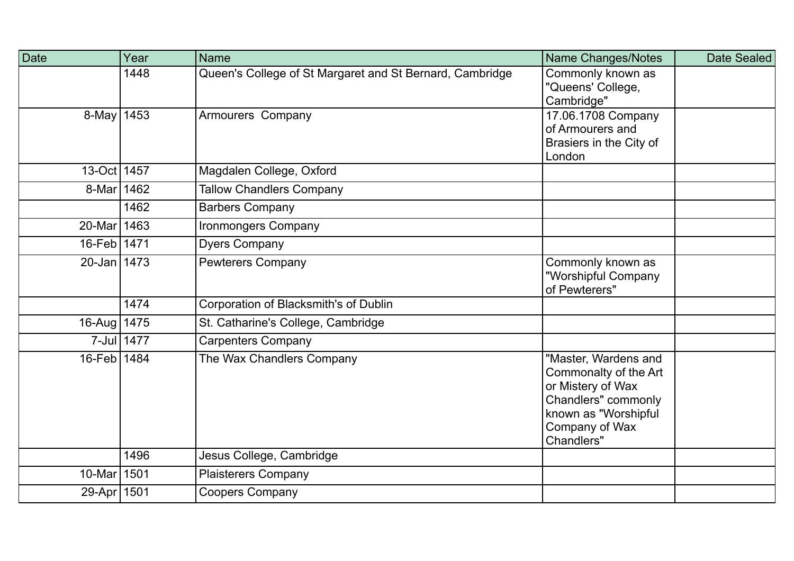| Date            | Year       | <b>Name</b>                                              | Name Changes/Notes                                                                                                                                | Date Sealed |
|-----------------|------------|----------------------------------------------------------|---------------------------------------------------------------------------------------------------------------------------------------------------|-------------|
|                 | 1448       | Queen's College of St Margaret and St Bernard, Cambridge | Commonly known as<br>"Queens' College,<br>Cambridge"                                                                                              |             |
| $8 - May$ 1453  |            | Armourers Company                                        | 17.06.1708 Company<br>of Armourers and<br>Brasiers in the City of<br>London                                                                       |             |
| 13-Oct 1457     |            | Magdalen College, Oxford                                 |                                                                                                                                                   |             |
| 8-Mar 1462      |            | <b>Tallow Chandlers Company</b>                          |                                                                                                                                                   |             |
|                 | 1462       | <b>Barbers Company</b>                                   |                                                                                                                                                   |             |
| 20-Mar 1463     |            | <b>Ironmongers Company</b>                               |                                                                                                                                                   |             |
| 16-Feb 1471     |            | <b>Dyers Company</b>                                     |                                                                                                                                                   |             |
| $20 - Jan$ 1473 |            | <b>Pewterers Company</b>                                 | Commonly known as<br>"Worshipful Company<br>of Pewterers"                                                                                         |             |
|                 | 1474       | Corporation of Blacksmith's of Dublin                    |                                                                                                                                                   |             |
| 16-Aug 1475     |            | St. Catharine's College, Cambridge                       |                                                                                                                                                   |             |
|                 | 7-Jul 1477 | <b>Carpenters Company</b>                                |                                                                                                                                                   |             |
| 16-Feb 1484     |            | The Wax Chandlers Company                                | "Master, Wardens and<br>Commonalty of the Art<br>or Mistery of Wax<br>Chandlers" commonly<br>known as "Worshipful<br>Company of Wax<br>Chandlers" |             |
|                 | 1496       | Jesus College, Cambridge                                 |                                                                                                                                                   |             |
| 10-Marl         | 1501       | <b>Plaisterers Company</b>                               |                                                                                                                                                   |             |
| 29-Apr 1501     |            | <b>Coopers Company</b>                                   |                                                                                                                                                   |             |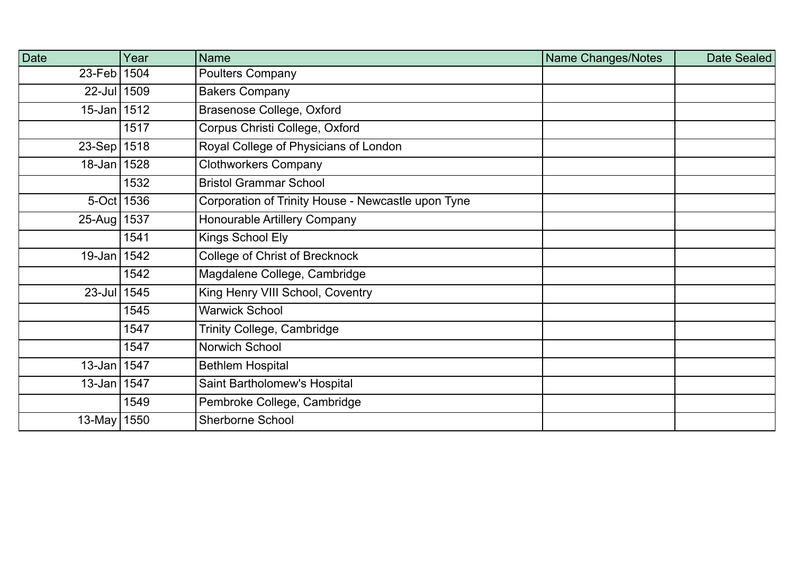| <b>Date</b>     | Year | <b>Name</b>                                        | Name Changes/Notes | Date Sealed |
|-----------------|------|----------------------------------------------------|--------------------|-------------|
| 23-Feb   1504   |      | <b>Poulters Company</b>                            |                    |             |
| 22-Jul 1509     |      | <b>Bakers Company</b>                              |                    |             |
| $15 - Jan$ 1512 |      | <b>Brasenose College, Oxford</b>                   |                    |             |
|                 | 1517 | Corpus Christi College, Oxford                     |                    |             |
| 23-Sep 1518     |      | Royal College of Physicians of London              |                    |             |
| 18-Jan 1528     |      | <b>Clothworkers Company</b>                        |                    |             |
|                 | 1532 | <b>Bristol Grammar School</b>                      |                    |             |
| $5-Oct$ 1536    |      | Corporation of Trinity House - Newcastle upon Tyne |                    |             |
| 25-Aug   1537   |      | <b>Honourable Artillery Company</b>                |                    |             |
|                 | 1541 | Kings School Ely                                   |                    |             |
| 19-Jan   1542   |      | <b>College of Christ of Brecknock</b>              |                    |             |
|                 | 1542 | Magdalene College, Cambridge                       |                    |             |
| 23-Jul 1545     |      | King Henry VIII School, Coventry                   |                    |             |
|                 | 1545 | <b>Warwick School</b>                              |                    |             |
|                 | 1547 | <b>Trinity College, Cambridge</b>                  |                    |             |
|                 | 1547 | Norwich School                                     |                    |             |
| 13-Jan 1547     |      | <b>Bethlem Hospital</b>                            |                    |             |
| 13-Jan 1547     |      | Saint Bartholomew's Hospital                       |                    |             |
|                 | 1549 | Pembroke College, Cambridge                        |                    |             |
| 13-May   1550   |      | <b>Sherborne School</b>                            |                    |             |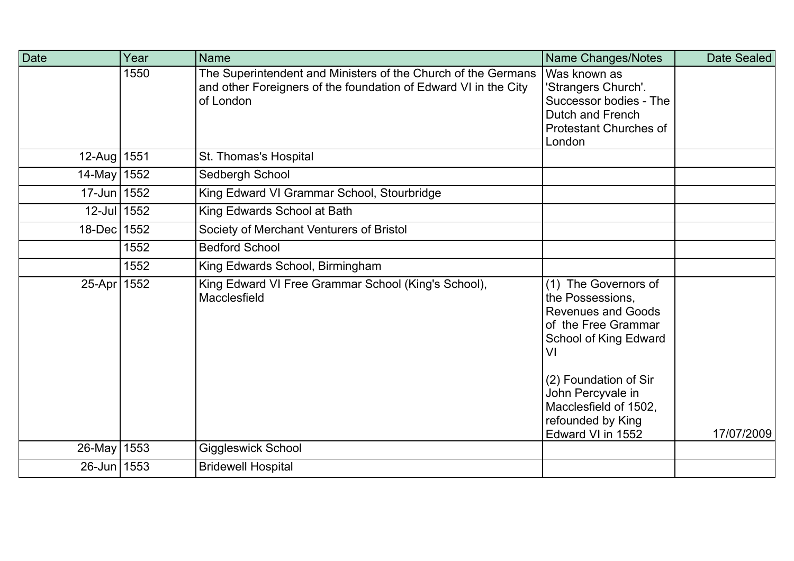| <b>Date</b>   | Year | <b>Name</b>                                                                                                                                   | Name Changes/Notes                                                                                                                                                                                                                           | Date Sealed |
|---------------|------|-----------------------------------------------------------------------------------------------------------------------------------------------|----------------------------------------------------------------------------------------------------------------------------------------------------------------------------------------------------------------------------------------------|-------------|
|               | 1550 | The Superintendent and Ministers of the Church of the Germans<br>and other Foreigners of the foundation of Edward VI in the City<br>of London | Was known as<br>'Strangers Church'.<br>Successor bodies - The<br>Dutch and French<br><b>Protestant Churches of</b><br>London                                                                                                                 |             |
| 12-Aug   1551 |      | St. Thomas's Hospital                                                                                                                         |                                                                                                                                                                                                                                              |             |
| 14-May 1552   |      | Sedbergh School                                                                                                                               |                                                                                                                                                                                                                                              |             |
| 17-Jun 1552   |      | King Edward VI Grammar School, Stourbridge                                                                                                    |                                                                                                                                                                                                                                              |             |
| 12-Jul 1552   |      | King Edwards School at Bath                                                                                                                   |                                                                                                                                                                                                                                              |             |
| 18-Dec 1552   |      | Society of Merchant Venturers of Bristol                                                                                                      |                                                                                                                                                                                                                                              |             |
|               | 1552 | <b>Bedford School</b>                                                                                                                         |                                                                                                                                                                                                                                              |             |
|               | 1552 | King Edwards School, Birmingham                                                                                                               |                                                                                                                                                                                                                                              |             |
| 25-Apr 1552   |      | King Edward VI Free Grammar School (King's School),<br>Macclesfield                                                                           | (1) The Governors of<br>the Possessions,<br><b>Revenues and Goods</b><br>of the Free Grammar<br>School of King Edward<br>VI<br>(2) Foundation of Sir<br>John Percyvale in<br>Macclesfield of 1502,<br>refounded by King<br>Edward VI in 1552 | 17/07/2009  |
| 26-May   1553 |      | <b>Giggleswick School</b>                                                                                                                     |                                                                                                                                                                                                                                              |             |
| 26-Jun 1553   |      | <b>Bridewell Hospital</b>                                                                                                                     |                                                                                                                                                                                                                                              |             |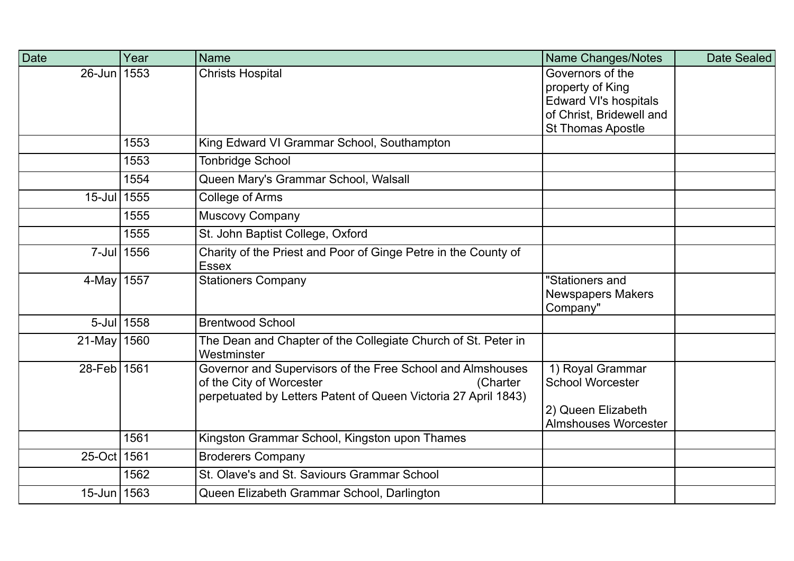| Date        | Year       | <b>Name</b>                                                                                                                                                          | <b>Name Changes/Notes</b>                                                                                                    | Date Sealed |
|-------------|------------|----------------------------------------------------------------------------------------------------------------------------------------------------------------------|------------------------------------------------------------------------------------------------------------------------------|-------------|
| $26$ -Jun   | 1553       | <b>Christs Hospital</b>                                                                                                                                              | Governors of the<br>property of King<br><b>Edward VI's hospitals</b><br>of Christ, Bridewell and<br><b>St Thomas Apostle</b> |             |
|             | 1553       | King Edward VI Grammar School, Southampton                                                                                                                           |                                                                                                                              |             |
|             | 1553       | <b>Tonbridge School</b>                                                                                                                                              |                                                                                                                              |             |
|             | 1554       | Queen Mary's Grammar School, Walsall                                                                                                                                 |                                                                                                                              |             |
| $15$ -Jul   | 1555       | <b>College of Arms</b>                                                                                                                                               |                                                                                                                              |             |
|             | 1555       | Muscovy Company                                                                                                                                                      |                                                                                                                              |             |
|             | 1555       | St. John Baptist College, Oxford                                                                                                                                     |                                                                                                                              |             |
|             | 7-Jul 1556 | Charity of the Priest and Poor of Ginge Petre in the County of<br><b>Essex</b>                                                                                       |                                                                                                                              |             |
| 4-May 1557  |            | <b>Stationers Company</b>                                                                                                                                            | "Stationers and<br><b>Newspapers Makers</b><br>Company"                                                                      |             |
|             | 5-Jul 1558 | <b>Brentwood School</b>                                                                                                                                              |                                                                                                                              |             |
| 21-May 1560 |            | The Dean and Chapter of the Collegiate Church of St. Peter in<br>Westminster                                                                                         |                                                                                                                              |             |
| 28-Feb 1561 |            | Governor and Supervisors of the Free School and Almshouses<br>of the City of Worcester<br>(Charter<br>perpetuated by Letters Patent of Queen Victoria 27 April 1843) | 1) Royal Grammar<br><b>School Worcester</b><br>2) Queen Elizabeth<br><b>Almshouses Worcester</b>                             |             |
|             | 1561       | Kingston Grammar School, Kingston upon Thames                                                                                                                        |                                                                                                                              |             |
| 25-Oct 1561 |            | <b>Broderers Company</b>                                                                                                                                             |                                                                                                                              |             |
|             | 1562       | St. Olave's and St. Saviours Grammar School                                                                                                                          |                                                                                                                              |             |
| 15-Jun 1563 |            | Queen Elizabeth Grammar School, Darlington                                                                                                                           |                                                                                                                              |             |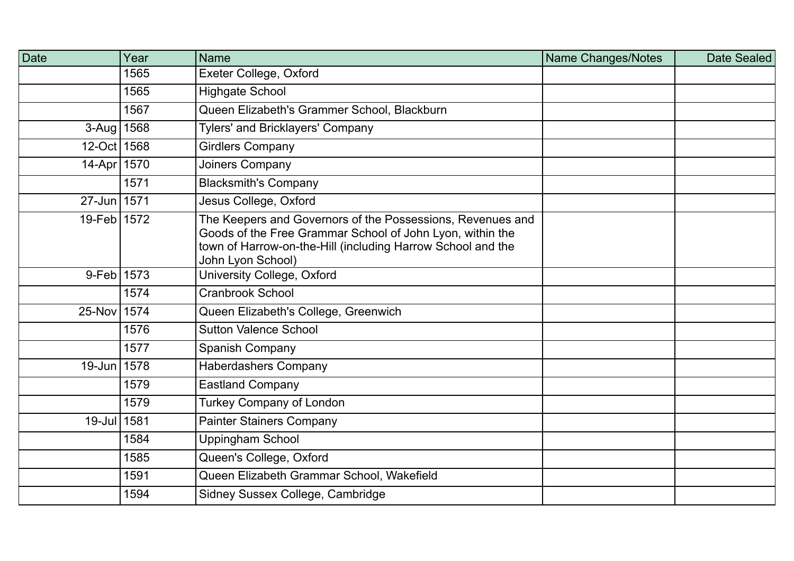| <b>Date</b>    | Year | <b>Name</b>                                                                                                                                                                                                 | <b>Name Changes/Notes</b> | Date Sealed |
|----------------|------|-------------------------------------------------------------------------------------------------------------------------------------------------------------------------------------------------------------|---------------------------|-------------|
|                | 1565 | Exeter College, Oxford                                                                                                                                                                                      |                           |             |
|                | 1565 | <b>Highgate School</b>                                                                                                                                                                                      |                           |             |
|                | 1567 | Queen Elizabeth's Grammer School, Blackburn                                                                                                                                                                 |                           |             |
| 3-Aug   1568   |      | <b>Tylers' and Bricklayers' Company</b>                                                                                                                                                                     |                           |             |
| 12-Oct 1568    |      | <b>Girdlers Company</b>                                                                                                                                                                                     |                           |             |
| 14-Apr 1570    |      | Joiners Company                                                                                                                                                                                             |                           |             |
|                | 1571 | <b>Blacksmith's Company</b>                                                                                                                                                                                 |                           |             |
| 27-Jun 1571    |      | Jesus College, Oxford                                                                                                                                                                                       |                           |             |
| 19-Feb 1572    |      | The Keepers and Governors of the Possessions, Revenues and<br>Goods of the Free Grammar School of John Lyon, within the<br>town of Harrow-on-the-Hill (including Harrow School and the<br>John Lyon School) |                           |             |
| $9 - Feb$ 1573 |      | University College, Oxford                                                                                                                                                                                  |                           |             |
|                | 1574 | <b>Cranbrook School</b>                                                                                                                                                                                     |                           |             |
| 25-Nov 1574    |      | Queen Elizabeth's College, Greenwich                                                                                                                                                                        |                           |             |
|                | 1576 | <b>Sutton Valence School</b>                                                                                                                                                                                |                           |             |
|                | 1577 | <b>Spanish Company</b>                                                                                                                                                                                      |                           |             |
| 19-Jun 1578    |      | <b>Haberdashers Company</b>                                                                                                                                                                                 |                           |             |
|                | 1579 | <b>Eastland Company</b>                                                                                                                                                                                     |                           |             |
|                | 1579 | <b>Turkey Company of London</b>                                                                                                                                                                             |                           |             |
| 19-Jul 1581    |      | <b>Painter Stainers Company</b>                                                                                                                                                                             |                           |             |
|                | 1584 | <b>Uppingham School</b>                                                                                                                                                                                     |                           |             |
|                | 1585 | Queen's College, Oxford                                                                                                                                                                                     |                           |             |
|                | 1591 | Queen Elizabeth Grammar School, Wakefield                                                                                                                                                                   |                           |             |
|                | 1594 | Sidney Sussex College, Cambridge                                                                                                                                                                            |                           |             |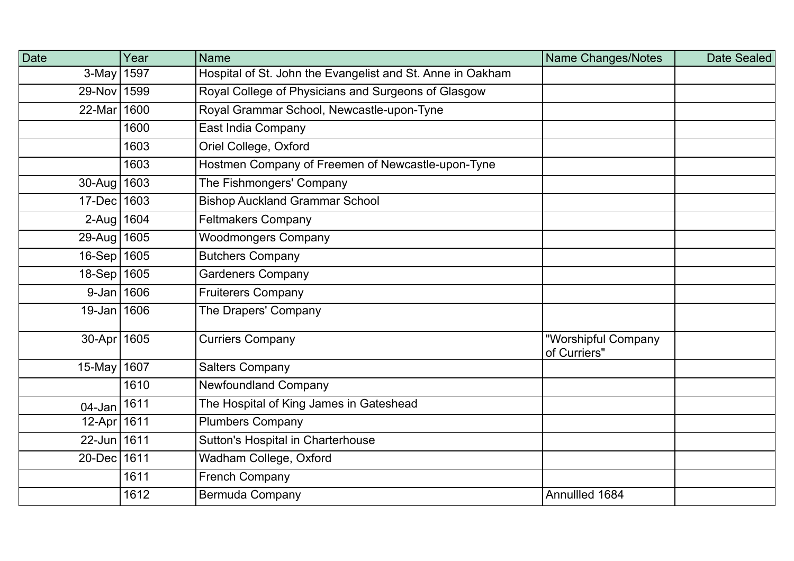| <b>Date</b>                | Year | <b>Name</b>                                                | <b>Name Changes/Notes</b>           | Date Sealed |
|----------------------------|------|------------------------------------------------------------|-------------------------------------|-------------|
| 3-May   1597               |      | Hospital of St. John the Evangelist and St. Anne in Oakham |                                     |             |
| 29-Nov 1599                |      | Royal College of Physicians and Surgeons of Glasgow        |                                     |             |
| 22-Mar 1600                |      | Royal Grammar School, Newcastle-upon-Tyne                  |                                     |             |
|                            | 1600 | East India Company                                         |                                     |             |
|                            | 1603 | Oriel College, Oxford                                      |                                     |             |
|                            | 1603 | Hostmen Company of Freemen of Newcastle-upon-Tyne          |                                     |             |
| 30-Aug   1603              |      | The Fishmongers' Company                                   |                                     |             |
| 17-Dec 1603                |      | <b>Bishop Auckland Grammar School</b>                      |                                     |             |
| $2 - Aug   1604$           |      | <b>Feltmakers Company</b>                                  |                                     |             |
| 29-Aug 1605                |      | <b>Woodmongers Company</b>                                 |                                     |             |
| 16-Sep 1605                |      | <b>Butchers Company</b>                                    |                                     |             |
| 18-Sep 1605                |      | <b>Gardeners Company</b>                                   |                                     |             |
| 9-Jan 1606                 |      | <b>Fruiterers Company</b>                                  |                                     |             |
| 19-Jan 1606                |      | The Drapers' Company                                       |                                     |             |
| 30-Apr 1605                |      | <b>Curriers Company</b>                                    | "Worshipful Company<br>of Curriers" |             |
| 15-May   $160\overline{7}$ |      | <b>Salters Company</b>                                     |                                     |             |
|                            | 1610 | <b>Newfoundland Company</b>                                |                                     |             |
| $04$ -Jan                  | 1611 | The Hospital of King James in Gateshead                    |                                     |             |
| 12-Apr   1611              |      | <b>Plumbers Company</b>                                    |                                     |             |
| 22-Jun 1611                |      | Sutton's Hospital in Charterhouse                          |                                     |             |
| 20-Dec 1611                |      | Wadham College, Oxford                                     |                                     |             |
|                            | 1611 | <b>French Company</b>                                      |                                     |             |
|                            | 1612 | <b>Bermuda Company</b>                                     | Annullled 1684                      |             |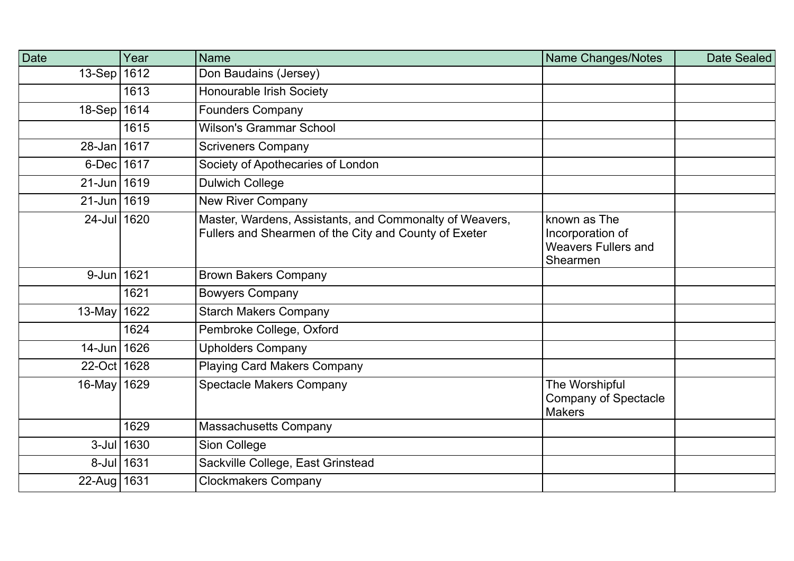| <b>Date</b>   | Year       | <b>Name</b>                                                                                                      | Name Changes/Notes                                                         | Date Sealed |
|---------------|------------|------------------------------------------------------------------------------------------------------------------|----------------------------------------------------------------------------|-------------|
| $13-Sep$      | 1612       | Don Baudains (Jersey)                                                                                            |                                                                            |             |
|               | 1613       | Honourable Irish Society                                                                                         |                                                                            |             |
| 18-Sep 1614   |            | <b>Founders Company</b>                                                                                          |                                                                            |             |
|               | 1615       | <b>Wilson's Grammar School</b>                                                                                   |                                                                            |             |
| 28-Jan 1617   |            | <b>Scriveners Company</b>                                                                                        |                                                                            |             |
| 6-Dec 1617    |            | Society of Apothecaries of London                                                                                |                                                                            |             |
| 21-Jun 1619   |            | <b>Dulwich College</b>                                                                                           |                                                                            |             |
| 21-Jun 1619   |            | <b>New River Company</b>                                                                                         |                                                                            |             |
| 24-Jul 1620   |            | Master, Wardens, Assistants, and Commonalty of Weavers,<br>Fullers and Shearmen of the City and County of Exeter | known as The<br>Incorporation of<br><b>Weavers Fullers and</b><br>Shearmen |             |
| 9-Jun 1621    |            | <b>Brown Bakers Company</b>                                                                                      |                                                                            |             |
|               | 1621       | <b>Bowyers Company</b>                                                                                           |                                                                            |             |
| $13$ -May     | 1622       | <b>Starch Makers Company</b>                                                                                     |                                                                            |             |
|               | 1624       | Pembroke College, Oxford                                                                                         |                                                                            |             |
| 14-Jun 1626   |            | <b>Upholders Company</b>                                                                                         |                                                                            |             |
| 22-Oct 1628   |            | <b>Playing Card Makers Company</b>                                                                               |                                                                            |             |
| 16-May 1629   |            | <b>Spectacle Makers Company</b>                                                                                  | The Worshipful<br><b>Company of Spectacle</b><br><b>Makers</b>             |             |
|               | 1629       | Massachusetts Company                                                                                            |                                                                            |             |
|               | 3-Jul 1630 | Sion College                                                                                                     |                                                                            |             |
|               | 8-Jul 1631 | Sackville College, East Grinstead                                                                                |                                                                            |             |
| 22-Aug   1631 |            | <b>Clockmakers Company</b>                                                                                       |                                                                            |             |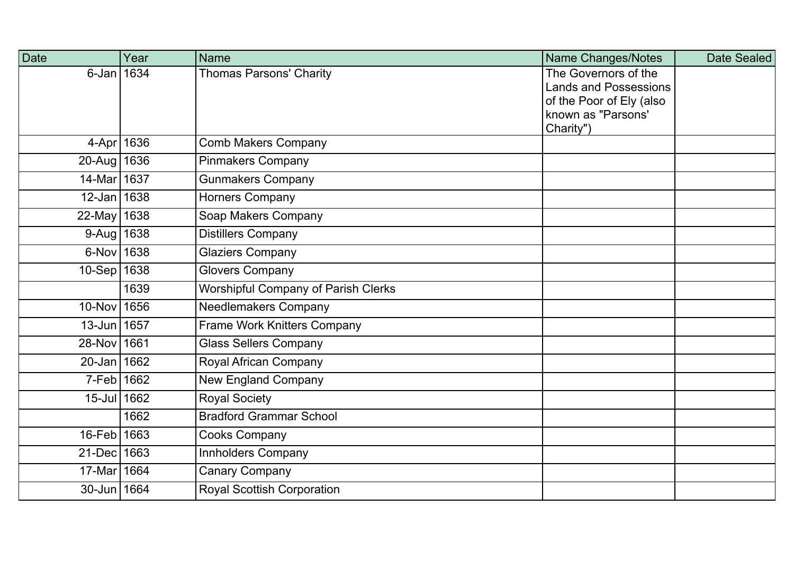| <b>Date</b>     | Year | <b>Name</b>                         | Name Changes/Notes                             | Date Sealed |
|-----------------|------|-------------------------------------|------------------------------------------------|-------------|
| $6$ -Jan   1634 |      | <b>Thomas Parsons' Charity</b>      | The Governors of the                           |             |
|                 |      |                                     | <b>Lands and Possessions</b>                   |             |
|                 |      |                                     | of the Poor of Ely (also<br>known as "Parsons' |             |
|                 |      |                                     | Charity")                                      |             |
| 4-Apr 1636      |      | <b>Comb Makers Company</b>          |                                                |             |
| 20-Aug 1636     |      | <b>Pinmakers Company</b>            |                                                |             |
| 14-Mar 1637     |      | <b>Gunmakers Company</b>            |                                                |             |
| $12$ -Jan 1638  |      | Horners Company                     |                                                |             |
| 22-May 1638     |      | Soap Makers Company                 |                                                |             |
| 9-Aug   1638    |      | <b>Distillers Company</b>           |                                                |             |
| $6$ -Nov 1638   |      | <b>Glaziers Company</b>             |                                                |             |
| 10-Sep 1638     |      | <b>Glovers Company</b>              |                                                |             |
|                 | 1639 | Worshipful Company of Parish Clerks |                                                |             |
| 10-Nov 1656     |      | <b>Needlemakers Company</b>         |                                                |             |
| 13-Jun 1657     |      | <b>Frame Work Knitters Company</b>  |                                                |             |
| 28-Nov 1661     |      | <b>Glass Sellers Company</b>        |                                                |             |
| 20-Jan 1662     |      | Royal African Company               |                                                |             |
| 7-Feb 1662      |      | <b>New England Company</b>          |                                                |             |
| 15-Jul 1662     |      | <b>Royal Society</b>                |                                                |             |
|                 | 1662 | <b>Bradford Grammar School</b>      |                                                |             |
| 16-Feb 1663     |      | Cooks Company                       |                                                |             |
| 21-Dec 1663     |      | Innholders Company                  |                                                |             |
| 17-Mar 1664     |      | <b>Canary Company</b>               |                                                |             |
| 30-Jun 1664     |      | <b>Royal Scottish Corporation</b>   |                                                |             |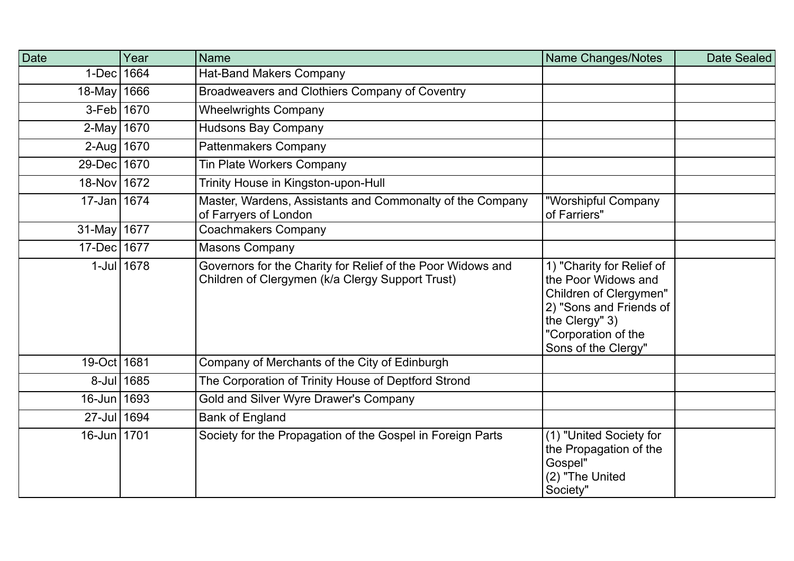| Date        | Year       | <b>Name</b>                                                                                                     | Name Changes/Notes                                                                                                                                                    | Date Sealed |
|-------------|------------|-----------------------------------------------------------------------------------------------------------------|-----------------------------------------------------------------------------------------------------------------------------------------------------------------------|-------------|
| $1-Dec$     | 1664       | <b>Hat-Band Makers Company</b>                                                                                  |                                                                                                                                                                       |             |
| $18$ -May   | 1666       | Broadweavers and Clothiers Company of Coventry                                                                  |                                                                                                                                                                       |             |
| $3-Feb$     | 1670       | <b>Wheelwrights Company</b>                                                                                     |                                                                                                                                                                       |             |
| $2$ -May    | 1670       | <b>Hudsons Bay Company</b>                                                                                      |                                                                                                                                                                       |             |
| $2-Aug$     | 1670       | Pattenmakers Company                                                                                            |                                                                                                                                                                       |             |
| 29-Dec 1670 |            | Tin Plate Workers Company                                                                                       |                                                                                                                                                                       |             |
| 18-Nov 1672 |            | Trinity House in Kingston-upon-Hull                                                                             |                                                                                                                                                                       |             |
| 17-Jan 1674 |            | Master, Wardens, Assistants and Commonalty of the Company<br>of Farryers of London                              | "Worshipful Company<br>of Farriers"                                                                                                                                   |             |
| $31$ -May   | 1677       | <b>Coachmakers Company</b>                                                                                      |                                                                                                                                                                       |             |
| $17$ -Dec   | 1677       | <b>Masons Company</b>                                                                                           |                                                                                                                                                                       |             |
|             | 1-Jul 1678 | Governors for the Charity for Relief of the Poor Widows and<br>Children of Clergymen (k/a Clergy Support Trust) | 1) "Charity for Relief of<br>the Poor Widows and<br>Children of Clergymen"<br>2) "Sons and Friends of<br>the Clergy" 3)<br>"Corporation of the<br>Sons of the Clergy" |             |
| 19-Oct 1681 |            | Company of Merchants of the City of Edinburgh                                                                   |                                                                                                                                                                       |             |
|             | 8-Jul 1685 | The Corporation of Trinity House of Deptford Strond                                                             |                                                                                                                                                                       |             |
| $16$ -Jun   | 1693       | Gold and Silver Wyre Drawer's Company                                                                           |                                                                                                                                                                       |             |
| 27-Jul 1694 |            | <b>Bank of England</b>                                                                                          |                                                                                                                                                                       |             |
| 16-Jun 1701 |            | Society for the Propagation of the Gospel in Foreign Parts                                                      | (1) "United Society for<br>the Propagation of the<br>Gospel"<br>(2) "The United<br>Society"                                                                           |             |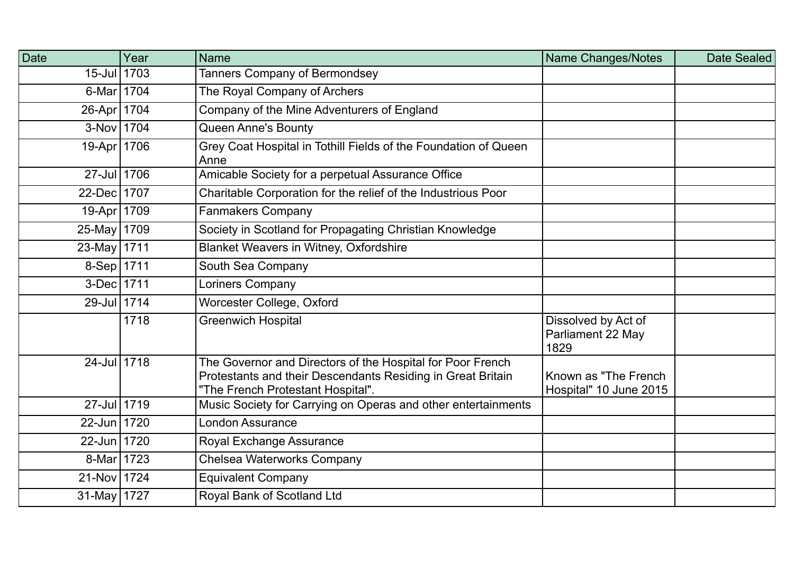| Date          | Year | <b>Name</b>                                                                                                                                                    | Name Changes/Notes                               | Date Sealed |
|---------------|------|----------------------------------------------------------------------------------------------------------------------------------------------------------------|--------------------------------------------------|-------------|
| 15-Jul 1703   |      | Tanners Company of Bermondsey                                                                                                                                  |                                                  |             |
| 6-Mar 1704    |      | The Royal Company of Archers                                                                                                                                   |                                                  |             |
| 26-Apr   1704 |      | Company of the Mine Adventurers of England                                                                                                                     |                                                  |             |
| 3-Nov 1704    |      | <b>Queen Anne's Bounty</b>                                                                                                                                     |                                                  |             |
| 19-Apr 1706   |      | Grey Coat Hospital in Tothill Fields of the Foundation of Queen<br>Anne                                                                                        |                                                  |             |
| 27-Jul 1706   |      | Amicable Society for a perpetual Assurance Office                                                                                                              |                                                  |             |
| 22-Dec 1707   |      | Charitable Corporation for the relief of the Industrious Poor                                                                                                  |                                                  |             |
| 19-Apr 1709   |      | <b>Fanmakers Company</b>                                                                                                                                       |                                                  |             |
| 25-May 1709   |      | Society in Scotland for Propagating Christian Knowledge                                                                                                        |                                                  |             |
| 23-May 1711   |      | Blanket Weavers in Witney, Oxfordshire                                                                                                                         |                                                  |             |
| $8-Sep$ 1711  |      | South Sea Company                                                                                                                                              |                                                  |             |
| 3-Dec 1711    |      | Loriners Company                                                                                                                                               |                                                  |             |
| 29-Jul 1714   |      | Worcester College, Oxford                                                                                                                                      |                                                  |             |
|               | 1718 | <b>Greenwich Hospital</b>                                                                                                                                      | Dissolved by Act of<br>Parliament 22 May<br>1829 |             |
| 24-Jul 1718   |      | The Governor and Directors of the Hospital for Poor French<br>Protestants and their Descendants Residing in Great Britain<br>"The French Protestant Hospital". | Known as "The French<br>Hospital" 10 June 2015   |             |
| 27-Jul 1719   |      | Music Society for Carrying on Operas and other entertainments                                                                                                  |                                                  |             |
| 22-Jun 1720   |      | <b>London Assurance</b>                                                                                                                                        |                                                  |             |
| 22-Jun 1720   |      | Royal Exchange Assurance                                                                                                                                       |                                                  |             |
| 8-Mar 1723    |      | Chelsea Waterworks Company                                                                                                                                     |                                                  |             |
| 21-Nov 1724   |      | <b>Equivalent Company</b>                                                                                                                                      |                                                  |             |
| 31-May   1727 |      | Royal Bank of Scotland Ltd                                                                                                                                     |                                                  |             |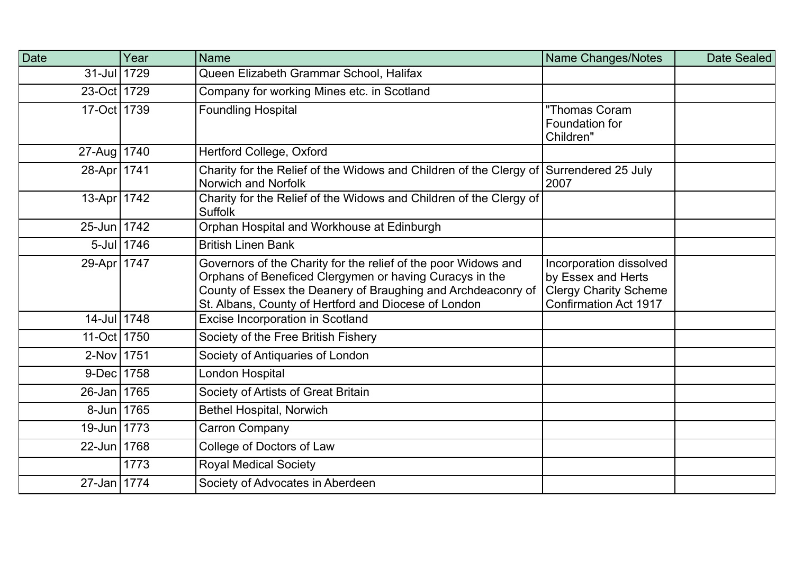| <b>Date</b>   | Year       | <b>Name</b>                                                                                                                                                                                                                                       | Name Changes/Notes                                                                                            | Date Sealed |
|---------------|------------|---------------------------------------------------------------------------------------------------------------------------------------------------------------------------------------------------------------------------------------------------|---------------------------------------------------------------------------------------------------------------|-------------|
| 31-Jul 1729   |            | Queen Elizabeth Grammar School, Halifax                                                                                                                                                                                                           |                                                                                                               |             |
| 23-Oct 1729   |            | Company for working Mines etc. in Scotland                                                                                                                                                                                                        |                                                                                                               |             |
| 17-Oct 1739   |            | <b>Foundling Hospital</b>                                                                                                                                                                                                                         | "Thomas Coram<br>Foundation for<br>Children"                                                                  |             |
| 27-Aug   1740 |            | Hertford College, Oxford                                                                                                                                                                                                                          |                                                                                                               |             |
| 28-Apr 1741   |            | Charity for the Relief of the Widows and Children of the Clergy of Surrendered 25 July<br>Norwich and Norfolk                                                                                                                                     | 2007                                                                                                          |             |
| 13-Apr 1742   |            | Charity for the Relief of the Widows and Children of the Clergy of<br><b>Suffolk</b>                                                                                                                                                              |                                                                                                               |             |
| 25-Jun 1742   |            | Orphan Hospital and Workhouse at Edinburgh                                                                                                                                                                                                        |                                                                                                               |             |
|               | 5-Jul 1746 | <b>British Linen Bank</b>                                                                                                                                                                                                                         |                                                                                                               |             |
| 29-Apr 1747   |            | Governors of the Charity for the relief of the poor Widows and<br>Orphans of Beneficed Clergymen or having Curacys in the<br>County of Essex the Deanery of Braughing and Archdeaconry of<br>St. Albans, County of Hertford and Diocese of London | Incorporation dissolved<br>by Essex and Herts<br><b>Clergy Charity Scheme</b><br><b>Confirmation Act 1917</b> |             |
| 14-Jul 1748   |            | Excise Incorporation in Scotland                                                                                                                                                                                                                  |                                                                                                               |             |
| 11-Oct 1750   |            | Society of the Free British Fishery                                                                                                                                                                                                               |                                                                                                               |             |
| 2-Nov 1751    |            | Society of Antiquaries of London                                                                                                                                                                                                                  |                                                                                                               |             |
| 9-Dec 1758    |            | London Hospital                                                                                                                                                                                                                                   |                                                                                                               |             |
| 26-Jan 1765   |            | Society of Artists of Great Britain                                                                                                                                                                                                               |                                                                                                               |             |
| 8-Jun 1765    |            | Bethel Hospital, Norwich                                                                                                                                                                                                                          |                                                                                                               |             |
| 19-Jun 1773   |            | Carron Company                                                                                                                                                                                                                                    |                                                                                                               |             |
| 22-Jun 1768   |            | College of Doctors of Law                                                                                                                                                                                                                         |                                                                                                               |             |
|               | 1773       | <b>Royal Medical Society</b>                                                                                                                                                                                                                      |                                                                                                               |             |
| 27-Jan 1774   |            | Society of Advocates in Aberdeen                                                                                                                                                                                                                  |                                                                                                               |             |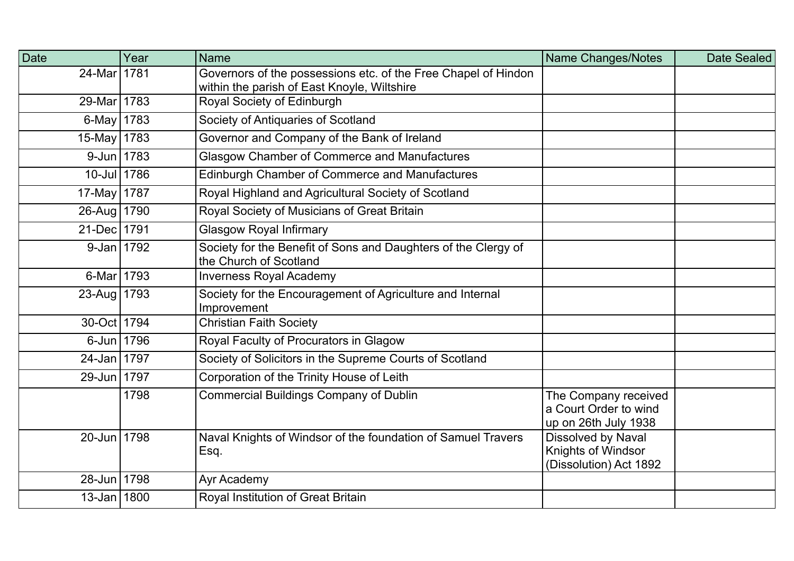| Date                  | Year | <b>Name</b>                                                                                                   | <b>Name Changes/Notes</b>                                                 | Date Sealed |
|-----------------------|------|---------------------------------------------------------------------------------------------------------------|---------------------------------------------------------------------------|-------------|
| 24-Mar 1781           |      | Governors of the possessions etc. of the Free Chapel of Hindon<br>within the parish of East Knoyle, Wiltshire |                                                                           |             |
| 29-Mar 1783           |      | Royal Society of Edinburgh                                                                                    |                                                                           |             |
| $6$ -May              | 1783 | Society of Antiquaries of Scotland                                                                            |                                                                           |             |
| 15-May   1783         |      | Governor and Company of the Bank of Ireland                                                                   |                                                                           |             |
| 9-Jun 1783            |      | <b>Glasgow Chamber of Commerce and Manufactures</b>                                                           |                                                                           |             |
| $10$ -Jul             | 1786 | Edinburgh Chamber of Commerce and Manufactures                                                                |                                                                           |             |
| 17-May 1787           |      | Royal Highland and Agricultural Society of Scotland                                                           |                                                                           |             |
| 26-Aug   1790         |      | Royal Society of Musicians of Great Britain                                                                   |                                                                           |             |
| 21-Dec 1791           |      | <b>Glasgow Royal Infirmary</b>                                                                                |                                                                           |             |
| 9-Jan 1792            |      | Society for the Benefit of Sons and Daughters of the Clergy of<br>the Church of Scotland                      |                                                                           |             |
| 6-Mar                 | 1793 | <b>Inverness Royal Academy</b>                                                                                |                                                                           |             |
| $23$ -Aug             | 1793 | Society for the Encouragement of Agriculture and Internal<br>Improvement                                      |                                                                           |             |
| 30-Oct 1794           |      | <b>Christian Faith Society</b>                                                                                |                                                                           |             |
| 6-Jun 1796            |      | Royal Faculty of Procurators in Glagow                                                                        |                                                                           |             |
| $24$ -Jan $\parallel$ | 1797 | Society of Solicitors in the Supreme Courts of Scotland                                                       |                                                                           |             |
| 29-Jun 1797           |      | Corporation of the Trinity House of Leith                                                                     |                                                                           |             |
|                       | 1798 | <b>Commercial Buildings Company of Dublin</b>                                                                 | The Company received<br>a Court Order to wind<br>up on 26th July 1938     |             |
| 20-Jun 1798           |      | Naval Knights of Windsor of the foundation of Samuel Travers<br>Esq.                                          | <b>Dissolved by Naval</b><br>Knights of Windsor<br>(Dissolution) Act 1892 |             |
| 28-Jun 1798           |      | Ayr Academy                                                                                                   |                                                                           |             |
| $13 - Jan$ 1800       |      | Royal Institution of Great Britain                                                                            |                                                                           |             |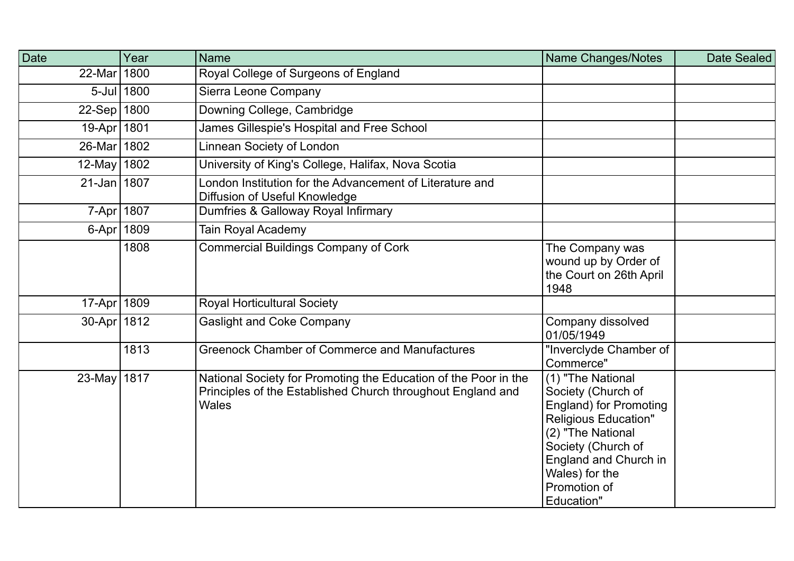| Date          | Year         | <b>Name</b>                                                                                                                                    | Name Changes/Notes                                                                                                                                                                                                                       | <b>Date Sealed</b> |
|---------------|--------------|------------------------------------------------------------------------------------------------------------------------------------------------|------------------------------------------------------------------------------------------------------------------------------------------------------------------------------------------------------------------------------------------|--------------------|
| 22-Mar 1800   |              | Royal College of Surgeons of England                                                                                                           |                                                                                                                                                                                                                                          |                    |
|               | 5-Jul 1800   | Sierra Leone Company                                                                                                                           |                                                                                                                                                                                                                                          |                    |
| 22-Sep 1800   |              | Downing College, Cambridge                                                                                                                     |                                                                                                                                                                                                                                          |                    |
| 19-Apr 1801   |              | James Gillespie's Hospital and Free School                                                                                                     |                                                                                                                                                                                                                                          |                    |
| 26-Mar 1802   |              | Linnean Society of London                                                                                                                      |                                                                                                                                                                                                                                          |                    |
| 12-May 1802   |              | University of King's College, Halifax, Nova Scotia                                                                                             |                                                                                                                                                                                                                                          |                    |
| 21-Jan 1807   |              | London Institution for the Advancement of Literature and<br>Diffusion of Useful Knowledge                                                      |                                                                                                                                                                                                                                          |                    |
|               | 7-Apr 1807   | Dumfries & Galloway Royal Infirmary                                                                                                            |                                                                                                                                                                                                                                          |                    |
|               | 6-Apr   1809 | <b>Tain Royal Academy</b>                                                                                                                      |                                                                                                                                                                                                                                          |                    |
|               | 1808         | <b>Commercial Buildings Company of Cork</b>                                                                                                    | The Company was<br>wound up by Order of<br>the Court on 26th April<br>1948                                                                                                                                                               |                    |
| 17-Apr 1809   |              | <b>Royal Horticultural Society</b>                                                                                                             |                                                                                                                                                                                                                                          |                    |
| 30-Apr   1812 |              | <b>Gaslight and Coke Company</b>                                                                                                               | Company dissolved<br>01/05/1949                                                                                                                                                                                                          |                    |
|               | 1813         | <b>Greenock Chamber of Commerce and Manufactures</b>                                                                                           | "Inverclyde Chamber of<br>Commerce"                                                                                                                                                                                                      |                    |
| 23-May 1817   |              | National Society for Promoting the Education of the Poor in the<br>Principles of the Established Church throughout England and<br><b>Wales</b> | $\overline{(1)}$ "The National<br>Society (Church of<br><b>England) for Promoting</b><br><b>Religious Education"</b><br>(2) "The National<br>Society (Church of<br>England and Church in<br>Wales) for the<br>Promotion of<br>Education" |                    |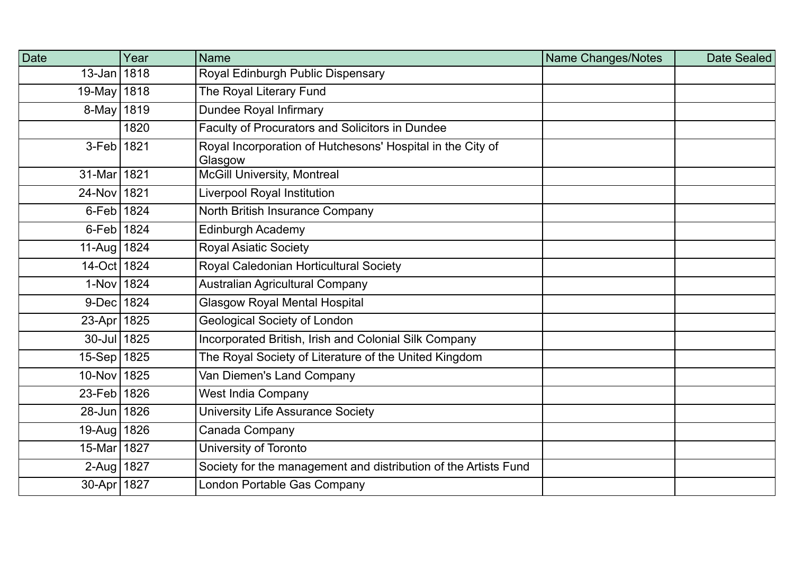| <b>Date</b>     | Year | <b>Name</b>                                                           | Name Changes/Notes | Date Sealed |
|-----------------|------|-----------------------------------------------------------------------|--------------------|-------------|
| 13-Jan 1818     |      | Royal Edinburgh Public Dispensary                                     |                    |             |
| 19-May 1818     |      | The Royal Literary Fund                                               |                    |             |
| $8-May$ 1819    |      | <b>Dundee Royal Infirmary</b>                                         |                    |             |
|                 | 1820 | Faculty of Procurators and Solicitors in Dundee                       |                    |             |
| $3$ -Feb   1821 |      | Royal Incorporation of Hutchesons' Hospital in the City of<br>Glasgow |                    |             |
| 31-Mar 1821     |      | <b>McGill University, Montreal</b>                                    |                    |             |
| 24-Nov 1821     |      | Liverpool Royal Institution                                           |                    |             |
| $6$ -Feb 1824   |      | North British Insurance Company                                       |                    |             |
| 6-Feb 1824      |      | Edinburgh Academy                                                     |                    |             |
| 11-Aug   1824   |      | <b>Royal Asiatic Society</b>                                          |                    |             |
| 14-Oct 1824     |      | Royal Caledonian Horticultural Society                                |                    |             |
| 1-Nov 1824      |      | <b>Australian Agricultural Company</b>                                |                    |             |
| 9-Dec 1824      |      | <b>Glasgow Royal Mental Hospital</b>                                  |                    |             |
| 23-Apr 1825     |      | <b>Geological Society of London</b>                                   |                    |             |
| 30-Jul 1825     |      | Incorporated British, Irish and Colonial Silk Company                 |                    |             |
| 15-Sep 1825     |      | The Royal Society of Literature of the United Kingdom                 |                    |             |
| 10-Nov 1825     |      | Van Diemen's Land Company                                             |                    |             |
| 23-Feb 1826     |      | <b>West India Company</b>                                             |                    |             |
| 28-Jun 1826     |      | University Life Assurance Society                                     |                    |             |
| 19-Aug 1826     |      | Canada Company                                                        |                    |             |
| 15-Mar 1827     |      | University of Toronto                                                 |                    |             |
| 2-Aug 1827      |      | Society for the management and distribution of the Artists Fund       |                    |             |
| 30-Apr 1827     |      | London Portable Gas Company                                           |                    |             |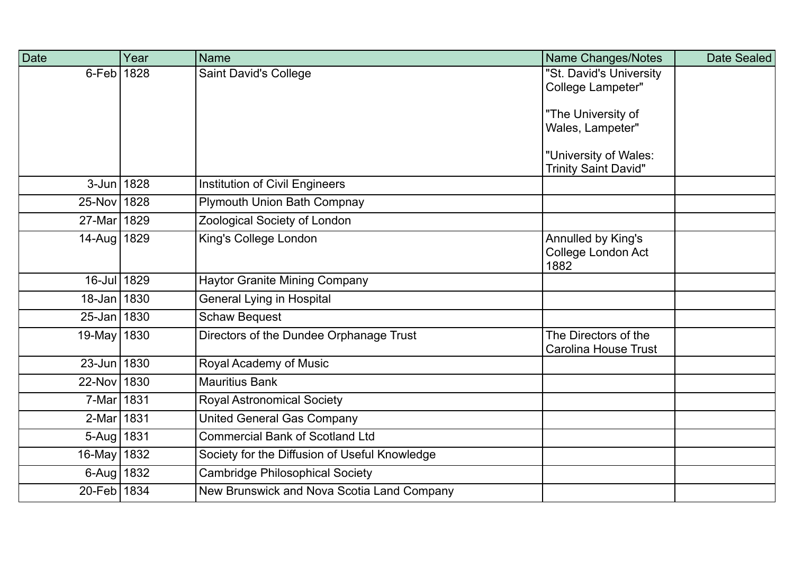| <b>Date</b>    | Year | <b>Name</b>                                   | Name Changes/Notes                                  | Date Sealed |
|----------------|------|-----------------------------------------------|-----------------------------------------------------|-------------|
| $6 - Feb$ 1828 |      | <b>Saint David's College</b>                  | "St. David's University<br>College Lampeter"        |             |
|                |      |                                               |                                                     |             |
|                |      |                                               | "The University of                                  |             |
|                |      |                                               | Wales, Lampeter"                                    |             |
|                |      |                                               | "University of Wales:                               |             |
|                |      |                                               | <b>Trinity Saint David"</b>                         |             |
| 3-Jun 1828     |      | <b>Institution of Civil Engineers</b>         |                                                     |             |
| 25-Nov 1828    |      | <b>Plymouth Union Bath Compnay</b>            |                                                     |             |
| 27-Mar 1829    |      | Zoological Society of London                  |                                                     |             |
| 14-Aug   1829  |      | King's College London                         | Annulled by King's                                  |             |
|                |      |                                               | College London Act<br>1882                          |             |
| 16-Jul 1829    |      | <b>Haytor Granite Mining Company</b>          |                                                     |             |
| 18-Jan 1830    |      | <b>General Lying in Hospital</b>              |                                                     |             |
| 25-Jan 1830    |      | Schaw Bequest                                 |                                                     |             |
| 19-May 1830    |      | Directors of the Dundee Orphanage Trust       | The Directors of the<br><b>Carolina House Trust</b> |             |
| 23-Jun 1830    |      | Royal Academy of Music                        |                                                     |             |
| 22-Nov 1830    |      | <b>Mauritius Bank</b>                         |                                                     |             |
| 7-Mar 1831     |      | <b>Royal Astronomical Society</b>             |                                                     |             |
| 2-Mar 1831     |      | <b>United General Gas Company</b>             |                                                     |             |
| $5-Aug$ 1831   |      | <b>Commercial Bank of Scotland Ltd</b>        |                                                     |             |
| 16-May 1832    |      | Society for the Diffusion of Useful Knowledge |                                                     |             |
| 6-Aug   1832   |      | <b>Cambridge Philosophical Society</b>        |                                                     |             |
| 20-Feb 1834    |      | New Brunswick and Nova Scotia Land Company    |                                                     |             |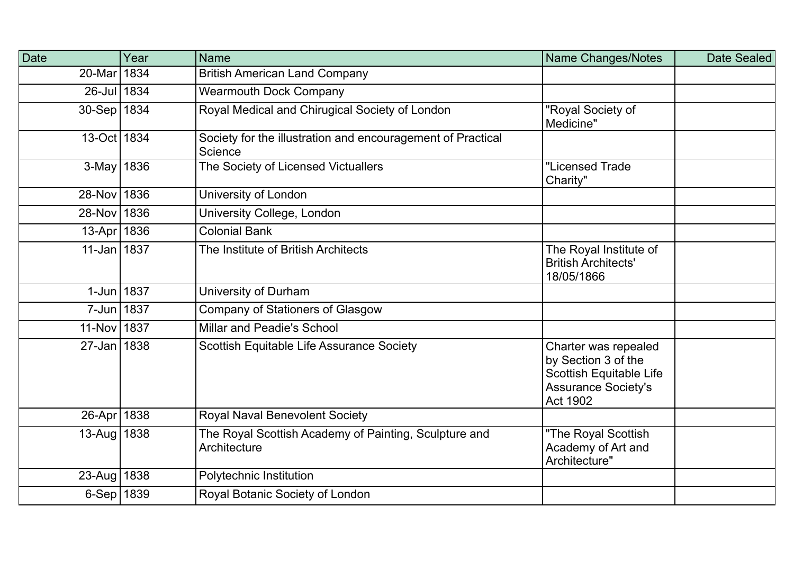| Date          | Year | <b>Name</b>                                                            | <b>Name Changes/Notes</b>                                                                                                      | Date Sealed |
|---------------|------|------------------------------------------------------------------------|--------------------------------------------------------------------------------------------------------------------------------|-------------|
| 20-Mar 1834   |      | <b>British American Land Company</b>                                   |                                                                                                                                |             |
| 26-Jul 1834   |      | <b>Wearmouth Dock Company</b>                                          |                                                                                                                                |             |
| 30-Sep 1834   |      | Royal Medical and Chirugical Society of London                         | "Royal Society of<br>Medicine"                                                                                                 |             |
| 13-Oct 1834   |      | Society for the illustration and encouragement of Practical<br>Science |                                                                                                                                |             |
| 3-May 1836    |      | The Society of Licensed Victuallers                                    | "Licensed Trade<br>Charity"                                                                                                    |             |
| 28-Nov 1836   |      | University of London                                                   |                                                                                                                                |             |
| 28-Nov 1836   |      | University College, London                                             |                                                                                                                                |             |
| 13-Apr 1836   |      | <b>Colonial Bank</b>                                                   |                                                                                                                                |             |
| 11-Jan 1837   |      | The Institute of British Architects                                    | The Royal Institute of<br><b>British Architects'</b><br>18/05/1866                                                             |             |
| 1-Jun 1837    |      | University of Durham                                                   |                                                                                                                                |             |
| 7-Jun 1837    |      | Company of Stationers of Glasgow                                       |                                                                                                                                |             |
| 11-Nov 1837   |      | Millar and Peadie's School                                             |                                                                                                                                |             |
| 27-Jan 1838   |      | Scottish Equitable Life Assurance Society                              | Charter was repealed<br>by Section 3 of the<br><b>Scottish Equitable Life</b><br><b>Assurance Society's</b><br><b>Act 1902</b> |             |
| 26-Apr   1838 |      | Royal Naval Benevolent Society                                         |                                                                                                                                |             |
| 13-Aug   1838 |      | The Royal Scottish Academy of Painting, Sculpture and<br>Architecture  | "The Royal Scottish<br>Academy of Art and<br>Architecture"                                                                     |             |
| 23-Aug   1838 |      | Polytechnic Institution                                                |                                                                                                                                |             |
| 6-Sep 1839    |      | Royal Botanic Society of London                                        |                                                                                                                                |             |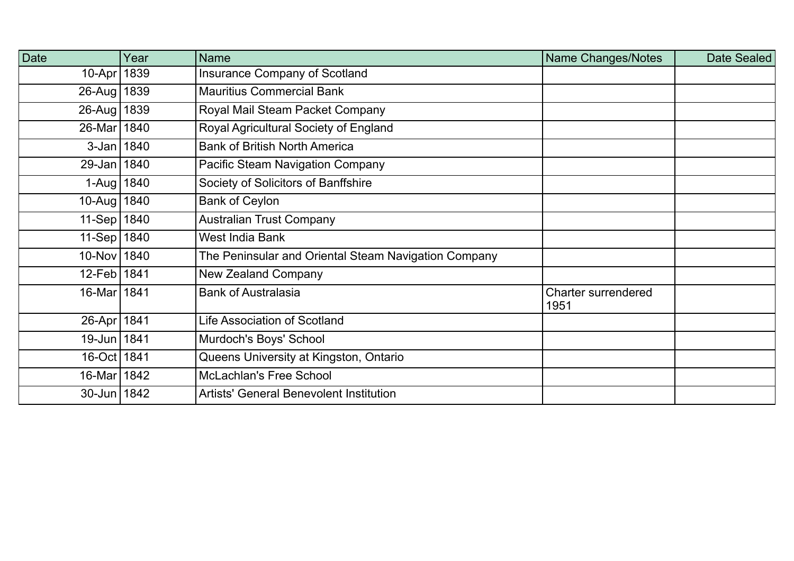| Date           | Year | Name                                                 | Name Changes/Notes          | Date Sealed |
|----------------|------|------------------------------------------------------|-----------------------------|-------------|
| 10-Apr   1839  |      | Insurance Company of Scotland                        |                             |             |
| 26-Aug   1839  |      | <b>Mauritius Commercial Bank</b>                     |                             |             |
| 26-Aug   1839  |      | Royal Mail Steam Packet Company                      |                             |             |
| 26-Mar 1840    |      | Royal Agricultural Society of England                |                             |             |
| $3 - Jan$ 1840 |      | <b>Bank of British North America</b>                 |                             |             |
| 29-Jan   1840  |      | <b>Pacific Steam Navigation Company</b>              |                             |             |
| 1-Aug   1840   |      | Society of Solicitors of Banffshire                  |                             |             |
| 10-Aug 1840    |      | <b>Bank of Ceylon</b>                                |                             |             |
| 11-Sep   1840  |      | <b>Australian Trust Company</b>                      |                             |             |
| 11-Sep   1840  |      | West India Bank                                      |                             |             |
| 10-Nov 1840    |      | The Peninsular and Oriental Steam Navigation Company |                             |             |
| 12-Feb   1841  |      | <b>New Zealand Company</b>                           |                             |             |
| 16-Mar 1841    |      | <b>Bank of Australasia</b>                           | Charter surrendered<br>1951 |             |
| 26-Apr   1841  |      | <b>Life Association of Scotland</b>                  |                             |             |
| 19-Jun 1841    |      | Murdoch's Boys' School                               |                             |             |
| 16-Oct 1841    |      | Queens University at Kingston, Ontario               |                             |             |
| 16-Mar 1842    |      | <b>McLachlan's Free School</b>                       |                             |             |
| 30-Jun   1842  |      | <b>Artists' General Benevolent Institution</b>       |                             |             |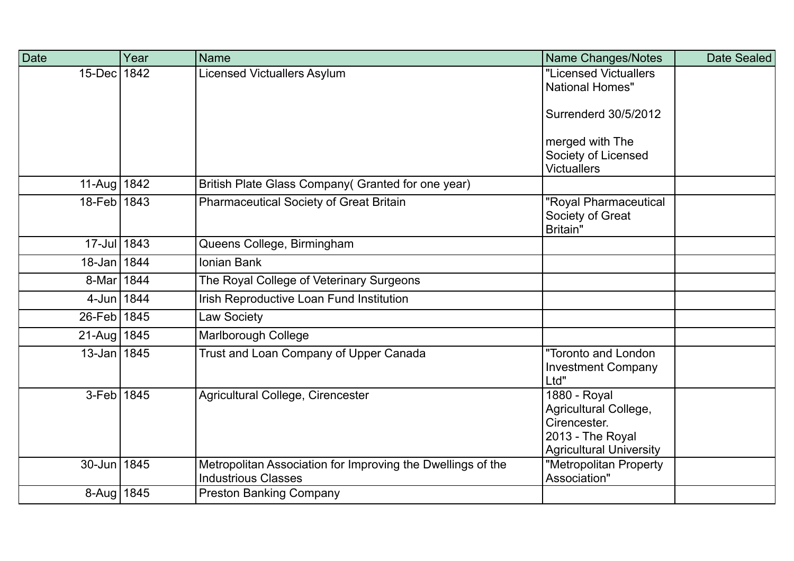| Date                       | Year | <b>Name</b>                                                                               | <b>Name Changes/Notes</b>                                                                                   | Date Sealed |
|----------------------------|------|-------------------------------------------------------------------------------------------|-------------------------------------------------------------------------------------------------------------|-------------|
| $15$ -Dec                  | 1842 | <b>Licensed Victuallers Asylum</b>                                                        | "Licensed Victuallers<br><b>National Homes"</b>                                                             |             |
|                            |      |                                                                                           | <b>Surrenderd 30/5/2012</b>                                                                                 |             |
|                            |      |                                                                                           | merged with The                                                                                             |             |
|                            |      |                                                                                           | Society of Licensed<br><b>Victuallers</b>                                                                   |             |
| 11-Aug   1842              |      | British Plate Glass Company (Granted for one year)                                        |                                                                                                             |             |
| 18-Feb 1843                |      | <b>Pharmaceutical Society of Great Britain</b>                                            | "Royal Pharmaceutical<br>Society of Great<br><b>Britain"</b>                                                |             |
| 17-Jul 1843                |      | Queens College, Birmingham                                                                |                                                                                                             |             |
| 18-Jan 1844                |      | <b>Ionian Bank</b>                                                                        |                                                                                                             |             |
| 8-Mar                      | 1844 | The Royal College of Veterinary Surgeons                                                  |                                                                                                             |             |
| 4-Jun 1844                 |      | Irish Reproductive Loan Fund Institution                                                  |                                                                                                             |             |
| 26-Feb   1845              |      | Law Society                                                                               |                                                                                                             |             |
| 21-Aug   $184\overline{5}$ |      | <b>Marlborough College</b>                                                                |                                                                                                             |             |
| $13 - Jan$ 1845            |      | Trust and Loan Company of Upper Canada                                                    | "Toronto and London<br><b>Investment Company</b><br>Ltd"                                                    |             |
| 3-Feb 1845                 |      | Agricultural College, Cirencester                                                         | 1880 - Royal<br>Agricultural College,<br>Cirencester.<br>2013 - The Royal<br><b>Agricultural University</b> |             |
| $30 - Jun$                 | 1845 | Metropolitan Association for Improving the Dwellings of the<br><b>Industrious Classes</b> | "Metropolitan Property<br>Association"                                                                      |             |
| 8-Aug   1845               |      | <b>Preston Banking Company</b>                                                            |                                                                                                             |             |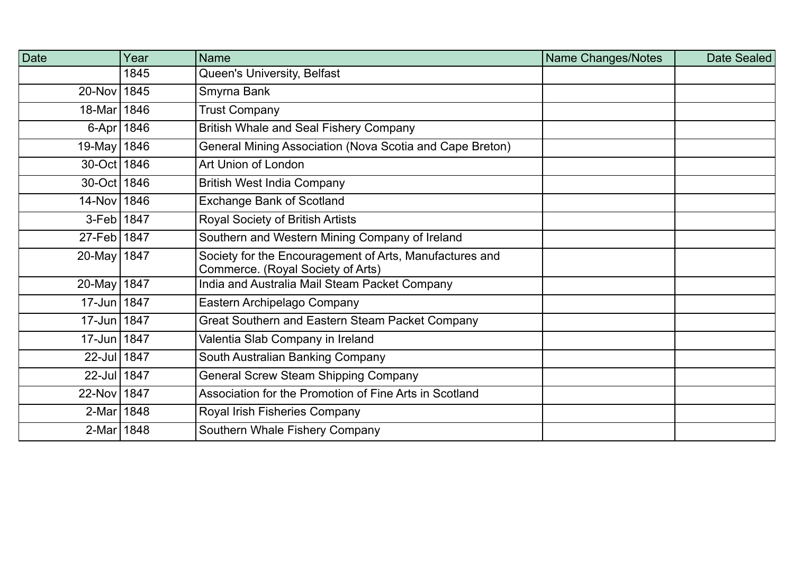| <b>Date</b>   | Year | <b>Name</b>                                                                                  | Name Changes/Notes | <b>Date Sealed</b> |
|---------------|------|----------------------------------------------------------------------------------------------|--------------------|--------------------|
|               | 1845 | Queen's University, Belfast                                                                  |                    |                    |
| 20-Nov 1845   |      | Smyrna Bank                                                                                  |                    |                    |
| 18-Mar 1846   |      | <b>Trust Company</b>                                                                         |                    |                    |
| 6-Apr 1846    |      | <b>British Whale and Seal Fishery Company</b>                                                |                    |                    |
| 19-May   1846 |      | General Mining Association (Nova Scotia and Cape Breton)                                     |                    |                    |
| 30-Oct 1846   |      | Art Union of London                                                                          |                    |                    |
| 30-Oct   1846 |      | <b>British West India Company</b>                                                            |                    |                    |
| 14-Nov 1846   |      | <b>Exchange Bank of Scotland</b>                                                             |                    |                    |
| 3-Feb   1847  |      | Royal Society of British Artists                                                             |                    |                    |
| 27-Feb 1847   |      | Southern and Western Mining Company of Ireland                                               |                    |                    |
| 20-May 1847   |      | Society for the Encouragement of Arts, Manufactures and<br>Commerce. (Royal Society of Arts) |                    |                    |
| 20-May   1847 |      | India and Australia Mail Steam Packet Company                                                |                    |                    |
| 17-Jun 1847   |      | Eastern Archipelago Company                                                                  |                    |                    |
| 17-Jun   1847 |      | Great Southern and Eastern Steam Packet Company                                              |                    |                    |
| 17-Jun 1847   |      | Valentia Slab Company in Ireland                                                             |                    |                    |
| 22-Jul 1847   |      | South Australian Banking Company                                                             |                    |                    |
| 22-Jul 1847   |      | General Screw Steam Shipping Company                                                         |                    |                    |
| 22-Nov 1847   |      | Association for the Promotion of Fine Arts in Scotland                                       |                    |                    |
| 2-Mar   1848  |      | Royal Irish Fisheries Company                                                                |                    |                    |
| 2-Mar 1848    |      | Southern Whale Fishery Company                                                               |                    |                    |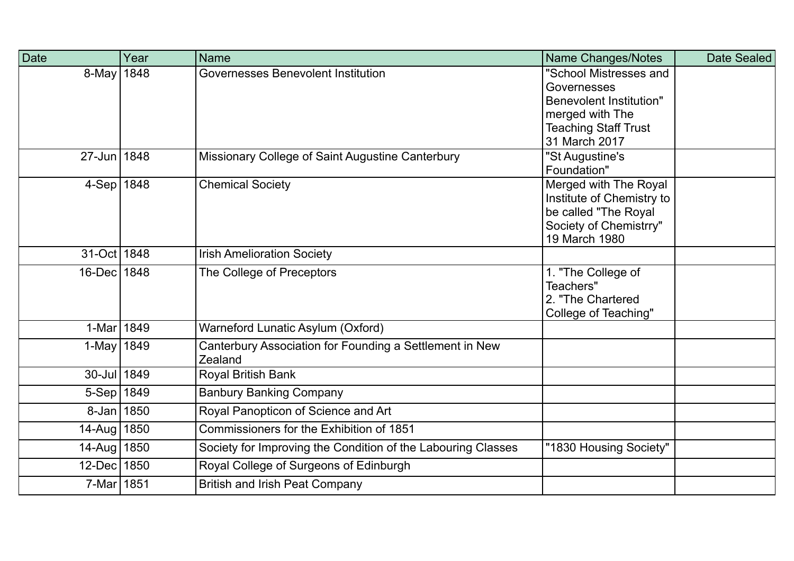| Date          | Year | <b>Name</b>                                                        | Name Changes/Notes                                                                                                                         | Date Sealed |
|---------------|------|--------------------------------------------------------------------|--------------------------------------------------------------------------------------------------------------------------------------------|-------------|
| 8-May         | 1848 | Governesses Benevolent Institution                                 | "School Mistresses and<br>Governesses<br><b>Benevolent Institution"</b><br>merged with The<br><b>Teaching Staff Trust</b><br>31 March 2017 |             |
| 27-Jun   1848 |      | Missionary College of Saint Augustine Canterbury                   | "St Augustine's<br>Foundation"                                                                                                             |             |
| $4-Sep$ 1848  |      | <b>Chemical Society</b>                                            | Merged with The Royal<br>Institute of Chemistry to<br>be called "The Royal<br>Society of Chemistrry"<br>19 March 1980                      |             |
| 31-Oct   1848 |      | <b>Irish Amelioration Society</b>                                  |                                                                                                                                            |             |
| 16-Dec 1848   |      | The College of Preceptors                                          | 1. "The College of<br>Teachers"<br>2. "The Chartered<br>College of Teaching"                                                               |             |
| 1-Mar 1849    |      | Warneford Lunatic Asylum (Oxford)                                  |                                                                                                                                            |             |
| 1-May   1849  |      | Canterbury Association for Founding a Settlement in New<br>Zealand |                                                                                                                                            |             |
| 30-Jul 1849   |      | Royal British Bank                                                 |                                                                                                                                            |             |
| 5-Sep 1849    |      | <b>Banbury Banking Company</b>                                     |                                                                                                                                            |             |
| 8-Jan   1850  |      | Royal Panopticon of Science and Art                                |                                                                                                                                            |             |
| 14-Aug   1850 |      | Commissioners for the Exhibition of 1851                           |                                                                                                                                            |             |
| $14$ -Aug     | 1850 | Society for Improving the Condition of the Labouring Classes       | "1830 Housing Society"                                                                                                                     |             |
| 12-Dec 1850   |      | Royal College of Surgeons of Edinburgh                             |                                                                                                                                            |             |
| 7-Mar 1851    |      | <b>British and Irish Peat Company</b>                              |                                                                                                                                            |             |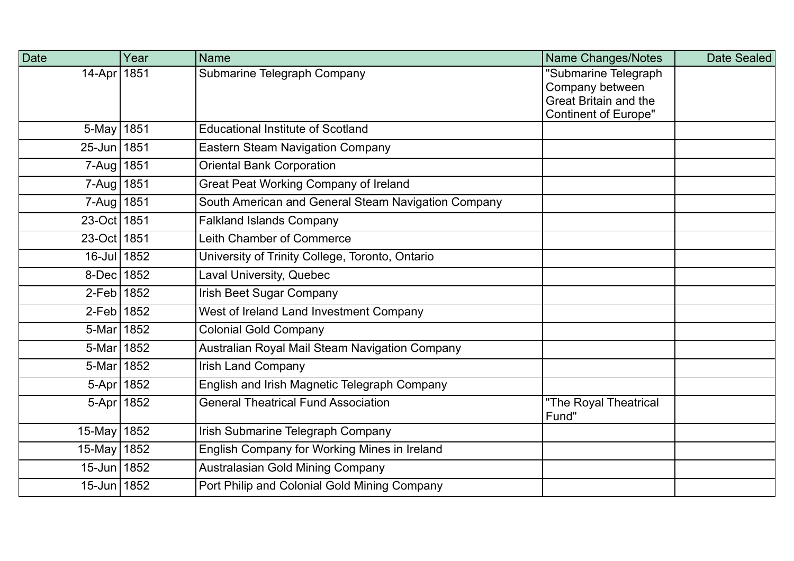| Date                | Year       | <b>Name</b>                                         | Name Changes/Notes                                          | Date Sealed |
|---------------------|------------|-----------------------------------------------------|-------------------------------------------------------------|-------------|
| $14-Apr$            | 1851       | Submarine Telegraph Company                         | "Submarine Telegraph                                        |             |
|                     |            |                                                     | Company between                                             |             |
|                     |            |                                                     | <b>Great Britain and the</b><br><b>Continent of Europe"</b> |             |
| 5-May   1851        |            | <b>Educational Institute of Scotland</b>            |                                                             |             |
| 25-Jun 1851         |            | <b>Eastern Steam Navigation Company</b>             |                                                             |             |
| $7 - Aug$           | 1851       | <b>Oriental Bank Corporation</b>                    |                                                             |             |
| $7 - Aug$           | 1851       | <b>Great Peat Working Company of Ireland</b>        |                                                             |             |
| $7 - Aug \mid 1851$ |            | South American and General Steam Navigation Company |                                                             |             |
| 23-Oct 1851         |            | <b>Falkland Islands Company</b>                     |                                                             |             |
| 23-Oct 1851         |            | Leith Chamber of Commerce                           |                                                             |             |
| 16-Jul 1852         |            | University of Trinity College, Toronto, Ontario     |                                                             |             |
| 8-Dec 1852          |            | <b>Laval University, Quebec</b>                     |                                                             |             |
| 2-Feb 1852          |            | <b>Irish Beet Sugar Company</b>                     |                                                             |             |
| 2-Feb 1852          |            | West of Ireland Land Investment Company             |                                                             |             |
| 5-Mar 1852          |            | <b>Colonial Gold Company</b>                        |                                                             |             |
| 5-Mar 1852          |            | Australian Royal Mail Steam Navigation Company      |                                                             |             |
| 5-Mar 1852          |            | <b>Irish Land Company</b>                           |                                                             |             |
|                     | 5-Apr 1852 | English and Irish Magnetic Telegraph Company        |                                                             |             |
| 5-Apr 1852          |            | <b>General Theatrical Fund Association</b>          | "The Royal Theatrical<br>Fund"                              |             |
| 15-May 1852         |            | Irish Submarine Telegraph Company                   |                                                             |             |
| $15$ -May           | 1852       | English Company for Working Mines in Ireland        |                                                             |             |
| 15-Jun 1852         |            | Australasian Gold Mining Company                    |                                                             |             |
| 15-Jun 1852         |            | Port Philip and Colonial Gold Mining Company        |                                                             |             |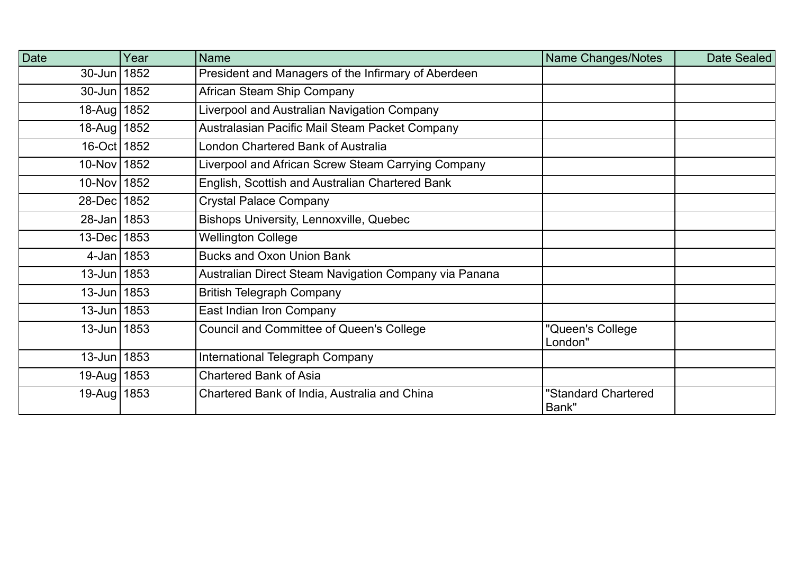| Date              | Year | Name                                                  | Name Changes/Notes           | Date Sealed |
|-------------------|------|-------------------------------------------------------|------------------------------|-------------|
| 30-Jun   1852     |      | President and Managers of the Infirmary of Aberdeen   |                              |             |
| 30-Jun 1852       |      | African Steam Ship Company                            |                              |             |
| 18-Aug   1852     |      | Liverpool and Australian Navigation Company           |                              |             |
| 18-Aug   1852     |      | Australasian Pacific Mail Steam Packet Company        |                              |             |
| 16-Oct 1852       |      | London Chartered Bank of Australia                    |                              |             |
| 10-Nov 1852       |      | Liverpool and African Screw Steam Carrying Company    |                              |             |
| 10-Nov 1852       |      | English, Scottish and Australian Chartered Bank       |                              |             |
| 28-Dec 1852       |      | <b>Crystal Palace Company</b>                         |                              |             |
| 28-Jan 1853       |      | Bishops University, Lennoxville, Quebec               |                              |             |
| 13-Dec   1853     |      | <b>Wellington College</b>                             |                              |             |
| 4-Jan   $1853$    |      | <b>Bucks and Oxon Union Bank</b>                      |                              |             |
| $13 - Jun$ 1853   |      | Australian Direct Steam Navigation Company via Panana |                              |             |
| $13 -$ Jun   1853 |      | <b>British Telegraph Company</b>                      |                              |             |
| $13 - Jun$ 1853   |      | East Indian Iron Company                              |                              |             |
| $13 - Jun$ 1853   |      | <b>Council and Committee of Queen's College</b>       | "Queen's College<br>London"  |             |
| $13 - Jun$ 1853   |      | International Telegraph Company                       |                              |             |
| 19-Aug   1853     |      | <b>Chartered Bank of Asia</b>                         |                              |             |
| 19-Aug   1853     |      | Chartered Bank of India, Australia and China          | "Standard Chartered<br>Bank" |             |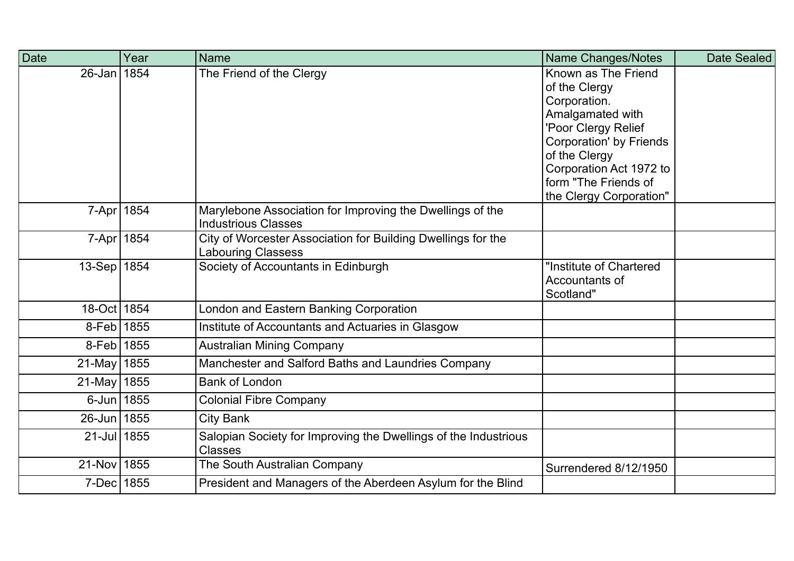| Date          | Year | <b>Name</b>                                                                               | Name Changes/Notes                                                                                                                                                                                                               | Date Sealed |
|---------------|------|-------------------------------------------------------------------------------------------|----------------------------------------------------------------------------------------------------------------------------------------------------------------------------------------------------------------------------------|-------------|
| $26$ -Jan     | 1854 | The Friend of the Clergy                                                                  | Known as The Friend<br>of the Clergy<br>Corporation.<br>Amalgamated with<br>'Poor Clergy Relief<br><b>Corporation' by Friends</b><br>of the Clergy<br>Corporation Act 1972 to<br>form "The Friends of<br>the Clergy Corporation" |             |
| $7 - Apr$     | 1854 | Marylebone Association for Improving the Dwellings of the<br><b>Industrious Classes</b>   |                                                                                                                                                                                                                                  |             |
| 7-Apr   1854  |      | City of Worcester Association for Building Dwellings for the<br><b>Labouring Classess</b> |                                                                                                                                                                                                                                  |             |
| $13-Sep$      | 1854 | Society of Accountants in Edinburgh                                                       | "Institute of Chartered<br>Accountants of<br>Scotland"                                                                                                                                                                           |             |
| 18-Oct 1854   |      | London and Eastern Banking Corporation                                                    |                                                                                                                                                                                                                                  |             |
| 8-Feb 1855    |      | Institute of Accountants and Actuaries in Glasgow                                         |                                                                                                                                                                                                                                  |             |
| 8-Feb 1855    |      | <b>Australian Mining Company</b>                                                          |                                                                                                                                                                                                                                  |             |
| 21-May   1855 |      | Manchester and Salford Baths and Laundries Company                                        |                                                                                                                                                                                                                                  |             |
| $21$ -May     | 1855 | <b>Bank of London</b>                                                                     |                                                                                                                                                                                                                                  |             |
| 6-Jun 1855    |      | <b>Colonial Fibre Company</b>                                                             |                                                                                                                                                                                                                                  |             |
| $26$ -Jun     | 1855 | <b>City Bank</b>                                                                          |                                                                                                                                                                                                                                  |             |
| 21-Jul 1855   |      | Salopian Society for Improving the Dwellings of the Industrious<br><b>Classes</b>         |                                                                                                                                                                                                                                  |             |
| 21-Nov 1855   |      | The South Australian Company                                                              | Surrendered 8/12/1950                                                                                                                                                                                                            |             |
| 7-Dec   1855  |      | President and Managers of the Aberdeen Asylum for the Blind                               |                                                                                                                                                                                                                                  |             |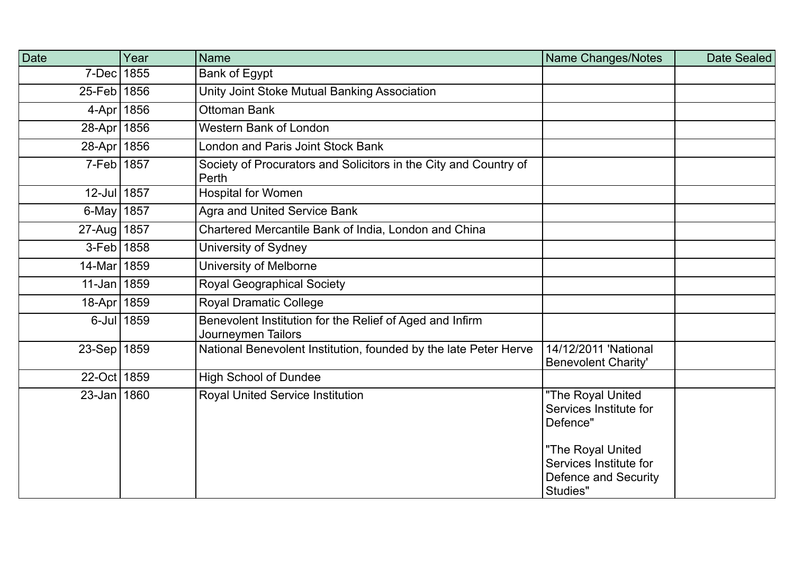| Date            | Year       | <b>Name</b>                                                                    | Name Changes/Notes                                                              | Date Sealed |
|-----------------|------------|--------------------------------------------------------------------------------|---------------------------------------------------------------------------------|-------------|
| 7-Dec           | 1855       | Bank of Egypt                                                                  |                                                                                 |             |
| 25-Feb 1856     |            | Unity Joint Stoke Mutual Banking Association                                   |                                                                                 |             |
| $4-Apr$         | 1856       | <b>Ottoman Bank</b>                                                            |                                                                                 |             |
| 28-Apr 1856     |            | <b>Western Bank of London</b>                                                  |                                                                                 |             |
| 28-Apr 1856     |            | London and Paris Joint Stock Bank                                              |                                                                                 |             |
| 7-Feb 1857      |            | Society of Procurators and Solicitors in the City and Country of<br>Perth      |                                                                                 |             |
| 12-Jul 1857     |            | <b>Hospital for Women</b>                                                      |                                                                                 |             |
| 6-May   $1857$  |            | <b>Agra and United Service Bank</b>                                            |                                                                                 |             |
| 27-Aug 1857     |            | Chartered Mercantile Bank of India, London and China                           |                                                                                 |             |
| 3-Feb   1858    |            | University of Sydney                                                           |                                                                                 |             |
| $14$ -Mar       | 1859       | University of Melborne                                                         |                                                                                 |             |
| $11$ -Jan       | 1859       | <b>Royal Geographical Society</b>                                              |                                                                                 |             |
| 18-Apr   1859   |            | <b>Royal Dramatic College</b>                                                  |                                                                                 |             |
|                 | 6-Jul 1859 | Benevolent Institution for the Relief of Aged and Infirm<br>Journeymen Tailors |                                                                                 |             |
| 23-Sep   1859   |            | National Benevolent Institution, founded by the late Peter Herve               | 14/12/2011 'National<br><b>Benevolent Charity'</b>                              |             |
| 22-Oct   1859   |            | <b>High School of Dundee</b>                                                   |                                                                                 |             |
| $23 - Jan$ 1860 |            | <b>Royal United Service Institution</b>                                        | "The Royal United<br>Services Institute for<br>Defence"                         |             |
|                 |            |                                                                                | "The Royal United<br>Services Institute for<br>Defence and Security<br>Studies" |             |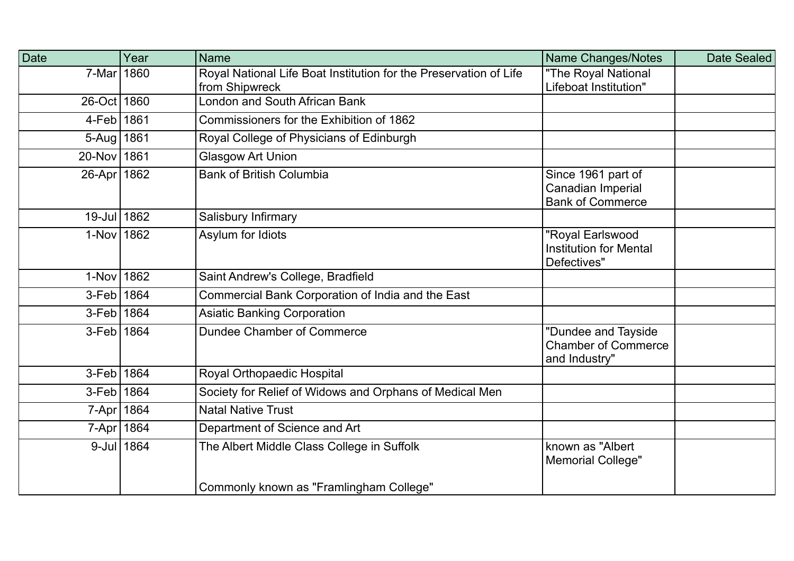| Date          | Year       | <b>Name</b>                                                                         | Name Changes/Notes                                                 | Date Sealed |
|---------------|------------|-------------------------------------------------------------------------------------|--------------------------------------------------------------------|-------------|
| 7-Mar         | 1860       | Royal National Life Boat Institution for the Preservation of Life<br>from Shipwreck | "The Royal National<br>Lifeboat Institution"                       |             |
| 26-Oct   1860 |            | London and South African Bank                                                       |                                                                    |             |
| 4-Feb 1861    |            | Commissioners for the Exhibition of 1862                                            |                                                                    |             |
| 5-Aug   1861  |            | Royal College of Physicians of Edinburgh                                            |                                                                    |             |
| 20-Nov 1861   |            | <b>Glasgow Art Union</b>                                                            |                                                                    |             |
| 26-Apr   1862 |            | <b>Bank of British Columbia</b>                                                     | Since 1961 part of<br>Canadian Imperial<br><b>Bank of Commerce</b> |             |
| 19-Jul 1862   |            | Salisbury Infirmary                                                                 |                                                                    |             |
| 1-Nov 1862    |            | Asylum for Idiots                                                                   | "Royal Earlswood<br><b>Institution for Mental</b><br>Defectives"   |             |
| 1-Nov 1862    |            | Saint Andrew's College, Bradfield                                                   |                                                                    |             |
| 3-Feb 1864    |            | Commercial Bank Corporation of India and the East                                   |                                                                    |             |
| 3-Feb 1864    |            | <b>Asiatic Banking Corporation</b>                                                  |                                                                    |             |
| 3-Feb 1864    |            | Dundee Chamber of Commerce                                                          | "Dundee and Tayside<br><b>Chamber of Commerce</b><br>and Industry" |             |
| 3-Feb   1864  |            | Royal Orthopaedic Hospital                                                          |                                                                    |             |
| 3-Feb   1864  |            | Society for Relief of Widows and Orphans of Medical Men                             |                                                                    |             |
| 7-Apr   1864  |            | <b>Natal Native Trust</b>                                                           |                                                                    |             |
| 7-Apr 1864    |            | Department of Science and Art                                                       |                                                                    |             |
|               | 9-Jul 1864 | The Albert Middle Class College in Suffolk                                          | known as "Albert<br><b>Memorial College"</b>                       |             |
|               |            | Commonly known as "Framlingham College"                                             |                                                                    |             |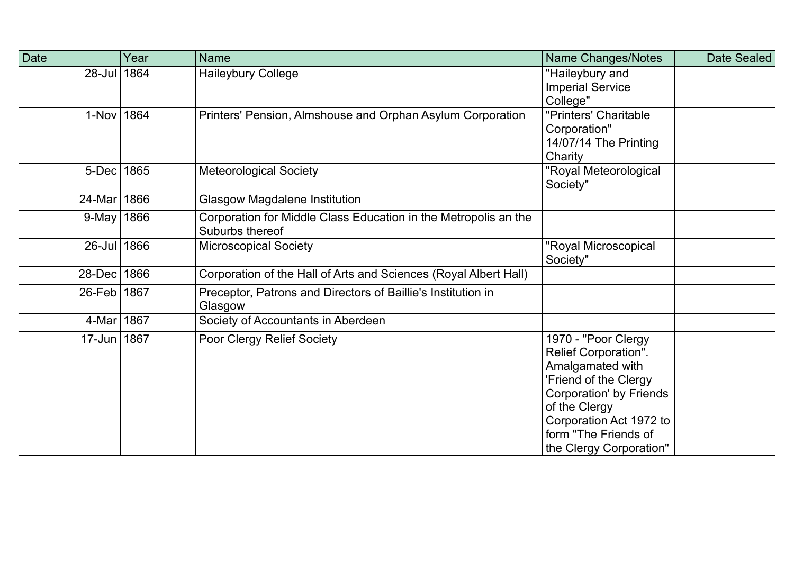| Date           | Year | Name                                                                               | Name Changes/Notes                                                                                                                                                                                                        | Date Sealed |
|----------------|------|------------------------------------------------------------------------------------|---------------------------------------------------------------------------------------------------------------------------------------------------------------------------------------------------------------------------|-------------|
| 28-Jul 1864    |      | <b>Haileybury College</b>                                                          | "Haileybury and<br><b>Imperial Service</b><br>College"                                                                                                                                                                    |             |
| 1-Nov 1864     |      | Printers' Pension, Almshouse and Orphan Asylum Corporation                         | "Printers' Charitable<br>Corporation"<br>14/07/14 The Printing<br>Charity                                                                                                                                                 |             |
| 5-Dec          | 1865 | <b>Meteorological Society</b>                                                      | "Royal Meteorological<br>Society"                                                                                                                                                                                         |             |
| 24-Mar 1866    |      | <b>Glasgow Magdalene Institution</b>                                               |                                                                                                                                                                                                                           |             |
| 9-May   $1866$ |      | Corporation for Middle Class Education in the Metropolis an the<br>Suburbs thereof |                                                                                                                                                                                                                           |             |
| 26-Jul 1866    |      | <b>Microscopical Society</b>                                                       | "Royal Microscopical<br>Society"                                                                                                                                                                                          |             |
| 28-Dec   1866  |      | Corporation of the Hall of Arts and Sciences (Royal Albert Hall)                   |                                                                                                                                                                                                                           |             |
| 26-Feb   1867  |      | Preceptor, Patrons and Directors of Baillie's Institution in<br>Glasgow            |                                                                                                                                                                                                                           |             |
| 4-Mar 1867     |      | Society of Accountants in Aberdeen                                                 |                                                                                                                                                                                                                           |             |
| 17-Jun 1867    |      | Poor Clergy Relief Society                                                         | 1970 - "Poor Clergy<br>Relief Corporation".<br>Amalgamated with<br>'Friend of the Clergy<br><b>Corporation' by Friends</b><br>of the Clergy<br>Corporation Act 1972 to<br>form "The Friends of<br>the Clergy Corporation" |             |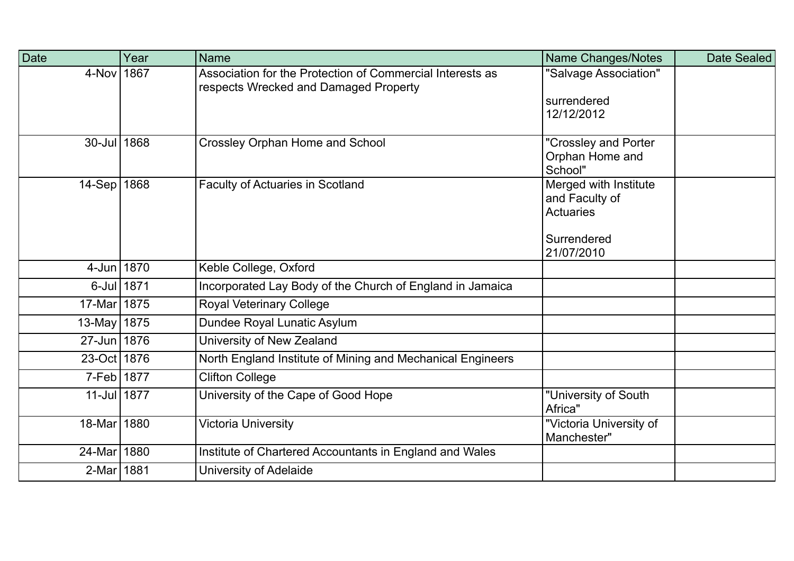| Date          | Year | <b>Name</b>                                                                                        | Name Changes/Notes                     | Date Sealed |
|---------------|------|----------------------------------------------------------------------------------------------------|----------------------------------------|-------------|
| 4-Nov         | 1867 | Association for the Protection of Commercial Interests as<br>respects Wrecked and Damaged Property | "Salvage Association"                  |             |
|               |      |                                                                                                    | surrendered                            |             |
|               |      |                                                                                                    | 12/12/2012                             |             |
| $30$ -Jul     | 1868 | <b>Crossley Orphan Home and School</b>                                                             | "Crossley and Porter                   |             |
|               |      |                                                                                                    | Orphan Home and<br>School"             |             |
| $14-Sep$      | 1868 | <b>Faculty of Actuaries in Scotland</b>                                                            | Merged with Institute                  |             |
|               |      |                                                                                                    | and Faculty of                         |             |
|               |      |                                                                                                    | <b>Actuaries</b>                       |             |
|               |      |                                                                                                    | Surrendered                            |             |
|               |      |                                                                                                    | 21/07/2010                             |             |
| 4-Jun 1870    |      | Keble College, Oxford                                                                              |                                        |             |
| $6$ -Jul      | 1871 | Incorporated Lay Body of the Church of England in Jamaica                                          |                                        |             |
| 17-Mar 1875   |      | <b>Royal Veterinary College</b>                                                                    |                                        |             |
| 13-May   1875 |      | Dundee Royal Lunatic Asylum                                                                        |                                        |             |
| 27-Jun 1876   |      | University of New Zealand                                                                          |                                        |             |
| 23-Oct 1876   |      | North England Institute of Mining and Mechanical Engineers                                         |                                        |             |
| 7-Feb 1877    |      | <b>Clifton College</b>                                                                             |                                        |             |
| 11-Jul 1877   |      | University of the Cape of Good Hope                                                                | "University of South<br>Africa"        |             |
| 18-Mar   1880 |      | Victoria University                                                                                | "Victoria University of<br>Manchester" |             |
| 24-Mar        | 1880 | Institute of Chartered Accountants in England and Wales                                            |                                        |             |
| 2-Mar 1881    |      | University of Adelaide                                                                             |                                        |             |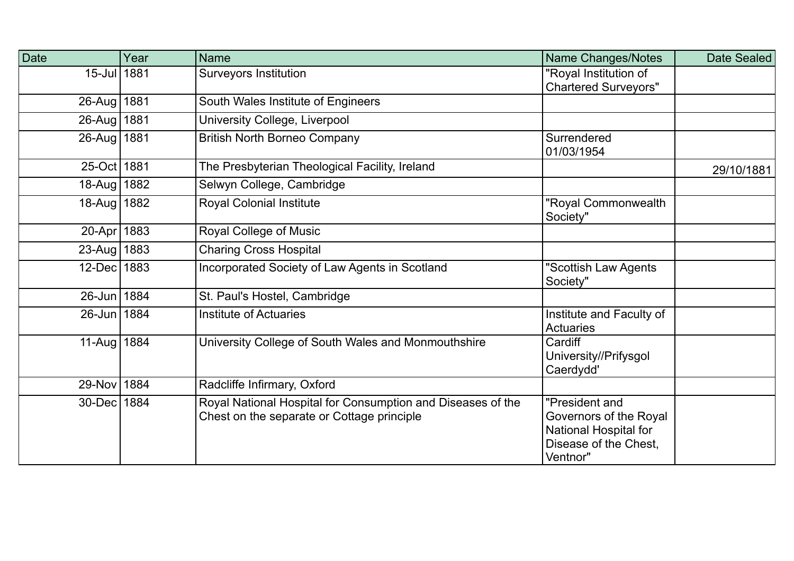| Date          | Year | <b>Name</b>                                                                                               | Name Changes/Notes                                                                                     | Date Sealed |
|---------------|------|-----------------------------------------------------------------------------------------------------------|--------------------------------------------------------------------------------------------------------|-------------|
| 15-Jul 1881   |      | <b>Surveyors Institution</b>                                                                              | "Royal Institution of<br><b>Chartered Surveyors"</b>                                                   |             |
| 26-Aug   1881 |      | South Wales Institute of Engineers                                                                        |                                                                                                        |             |
| 26-Aug 1881   |      | University College, Liverpool                                                                             |                                                                                                        |             |
| 26-Aug 1881   |      | <b>British North Borneo Company</b>                                                                       | Surrendered<br>01/03/1954                                                                              |             |
| 25-Oct   1881 |      | The Presbyterian Theological Facility, Ireland                                                            |                                                                                                        | 29/10/1881  |
| 18-Aug   1882 |      | Selwyn College, Cambridge                                                                                 |                                                                                                        |             |
| 18-Aug 1882   |      | <b>Royal Colonial Institute</b>                                                                           | "Royal Commonwealth<br>Society"                                                                        |             |
| 20-Apr 1883   |      | Royal College of Music                                                                                    |                                                                                                        |             |
| 23-Aug   1883 |      | <b>Charing Cross Hospital</b>                                                                             |                                                                                                        |             |
| 12-Dec 1883   |      | Incorporated Society of Law Agents in Scotland                                                            | "Scottish Law Agents<br>Society"                                                                       |             |
| 26-Jun 1884   |      | St. Paul's Hostel, Cambridge                                                                              |                                                                                                        |             |
| 26-Jun 1884   |      | <b>Institute of Actuaries</b>                                                                             | Institute and Faculty of<br><b>Actuaries</b>                                                           |             |
| 11-Aug   1884 |      | University College of South Wales and Monmouthshire                                                       | Cardiff<br>University//Prifysgol<br>Caerdydd'                                                          |             |
| 29-Nov 1884   |      | Radcliffe Infirmary, Oxford                                                                               |                                                                                                        |             |
| 30-Dec 1884   |      | Royal National Hospital for Consumption and Diseases of the<br>Chest on the separate or Cottage principle | "President and<br>Governors of the Royal<br>National Hospital for<br>Disease of the Chest,<br>Ventnor" |             |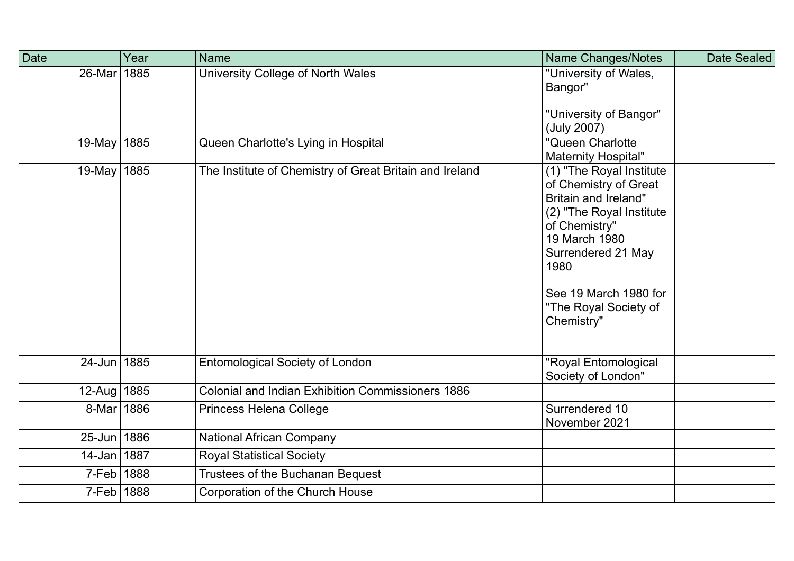| Date          | Year | <b>Name</b>                                              | Name Changes/Notes                                                                                                                                                                                                                           | Date Sealed |
|---------------|------|----------------------------------------------------------|----------------------------------------------------------------------------------------------------------------------------------------------------------------------------------------------------------------------------------------------|-------------|
| $26$ -Mar     | 1885 | University College of North Wales                        | "University of Wales,<br>Bangor"<br>"University of Bangor"<br>(July 2007)                                                                                                                                                                    |             |
| 19-May   1885 |      | Queen Charlotte's Lying in Hospital                      | "Queen Charlotte<br><b>Maternity Hospital"</b>                                                                                                                                                                                               |             |
| 19-May   1885 |      | The Institute of Chemistry of Great Britain and Ireland  | (1) "The Royal Institute<br>of Chemistry of Great<br><b>Britain and Ireland"</b><br>(2) "The Royal Institute<br>of Chemistry"<br>19 March 1980<br>Surrendered 21 May<br>1980<br>See 19 March 1980 for<br>"The Royal Society of<br>Chemistry" |             |
| 24-Jun 1885   |      | <b>Entomological Society of London</b>                   | "Royal Entomological<br>Society of London"                                                                                                                                                                                                   |             |
| 12-Aug   1885 |      | <b>Colonial and Indian Exhibition Commissioners 1886</b> |                                                                                                                                                                                                                                              |             |
| 8-Mar         | 1886 | Princess Helena College                                  | Surrendered 10<br>November 2021                                                                                                                                                                                                              |             |
| 25-Jun 1886   |      | <b>National African Company</b>                          |                                                                                                                                                                                                                                              |             |
| $14$ -Jan     | 1887 | <b>Royal Statistical Society</b>                         |                                                                                                                                                                                                                                              |             |
| $7-Feb$       | 1888 | Trustees of the Buchanan Bequest                         |                                                                                                                                                                                                                                              |             |
| 7-Feb 1888    |      | Corporation of the Church House                          |                                                                                                                                                                                                                                              |             |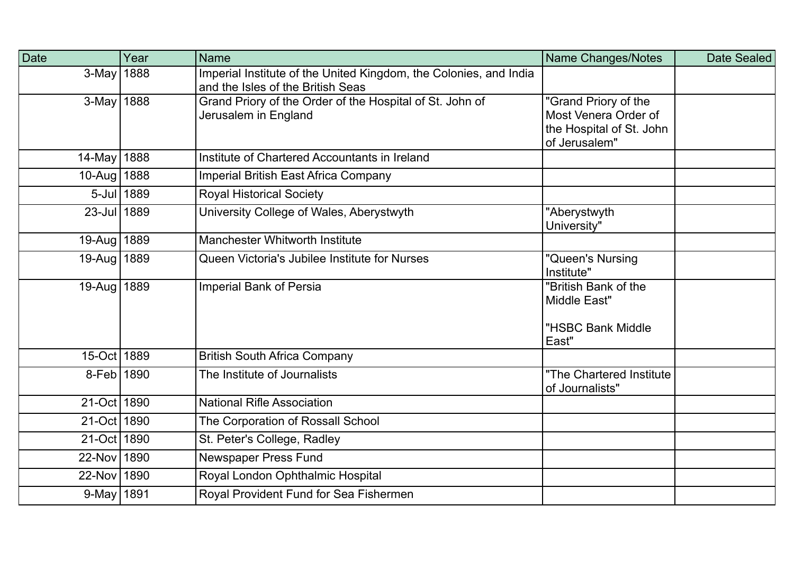| <b>Date</b>   | Year       | <b>Name</b>                                                                                            | <b>Name Changes/Notes</b>                   | Date Sealed |
|---------------|------------|--------------------------------------------------------------------------------------------------------|---------------------------------------------|-------------|
| $3-May$ 1888  |            | Imperial Institute of the United Kingdom, the Colonies, and India<br>and the Isles of the British Seas |                                             |             |
| 3-May 1888    |            | Grand Priory of the Order of the Hospital of St. John of                                               | "Grand Priory of the                        |             |
|               |            | Jerusalem in England                                                                                   | Most Venera Order of                        |             |
|               |            |                                                                                                        | the Hospital of St. John<br>of Jerusalem"   |             |
| 14-May 1888   |            | Institute of Chartered Accountants in Ireland                                                          |                                             |             |
| 10-Aug   1888 |            | <b>Imperial British East Africa Company</b>                                                            |                                             |             |
|               | 5-Jul 1889 | <b>Royal Historical Society</b>                                                                        |                                             |             |
| 23-Jul 1889   |            | University College of Wales, Aberystwyth                                                               | "Aberystwyth<br>University"                 |             |
| 19-Aug   1889 |            | <b>Manchester Whitworth Institute</b>                                                                  |                                             |             |
| 19-Aug   1889 |            | Queen Victoria's Jubilee Institute for Nurses                                                          | "Queen's Nursing<br>Institute"              |             |
| 19-Aug   1889 |            | <b>Imperial Bank of Persia</b>                                                                         | "British Bank of the<br>Middle East"        |             |
|               |            |                                                                                                        | "HSBC Bank Middle<br>East"                  |             |
| 15-Oct 1889   |            | <b>British South Africa Company</b>                                                                    |                                             |             |
| 8-Feb 1890    |            | The Institute of Journalists                                                                           | "The Chartered Institute<br>of Journalists" |             |
| 21-Oct 1890   |            | <b>National Rifle Association</b>                                                                      |                                             |             |
| 21-Oct 1890   |            | The Corporation of Rossall School                                                                      |                                             |             |
| 21-Oct 1890   |            | St. Peter's College, Radley                                                                            |                                             |             |
| 22-Nov 1890   |            | Newspaper Press Fund                                                                                   |                                             |             |
| 22-Nov 1890   |            | Royal London Ophthalmic Hospital                                                                       |                                             |             |
| 9-May   1891  |            | Royal Provident Fund for Sea Fishermen                                                                 |                                             |             |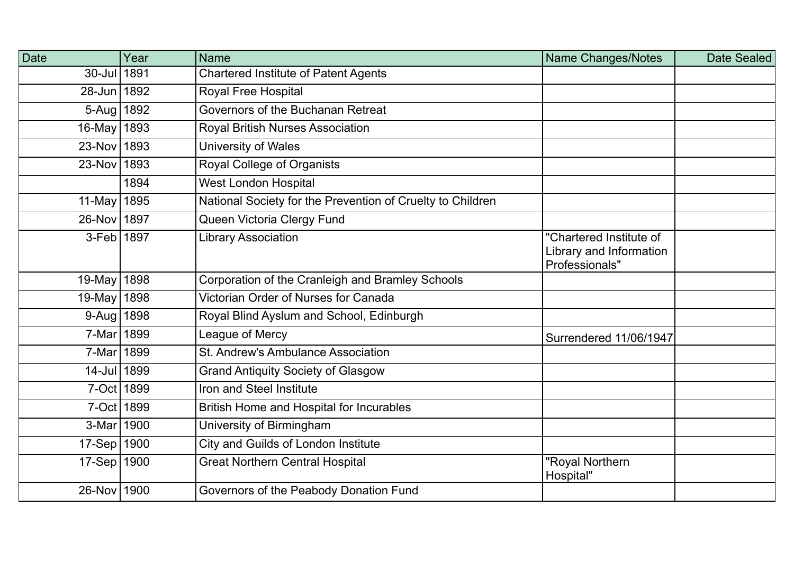| <b>Date</b>   | Year | <b>Name</b>                                                | <b>Name Changes/Notes</b>                                            | Date Sealed |
|---------------|------|------------------------------------------------------------|----------------------------------------------------------------------|-------------|
| 30-Jul 1891   |      | <b>Chartered Institute of Patent Agents</b>                |                                                                      |             |
| 28-Jun 1892   |      | Royal Free Hospital                                        |                                                                      |             |
| 5-Aug   1892  |      | Governors of the Buchanan Retreat                          |                                                                      |             |
| 16-May 1893   |      | Royal British Nurses Association                           |                                                                      |             |
| 23-Nov 1893   |      | University of Wales                                        |                                                                      |             |
| 23-Nov 1893   |      | Royal College of Organists                                 |                                                                      |             |
|               | 1894 | <b>West London Hospital</b>                                |                                                                      |             |
| 11-May   1895 |      | National Society for the Prevention of Cruelty to Children |                                                                      |             |
| 26-Nov 1897   |      | Queen Victoria Clergy Fund                                 |                                                                      |             |
| 3-Feb 1897    |      | <b>Library Association</b>                                 | "Chartered Institute of<br>Library and Information<br>Professionals" |             |
| 19-May   1898 |      | Corporation of the Cranleigh and Bramley Schools           |                                                                      |             |
| 19-May 1898   |      | Victorian Order of Nurses for Canada                       |                                                                      |             |
| 9-Aug 1898    |      | Royal Blind Ayslum and School, Edinburgh                   |                                                                      |             |
| 7-Mar 1899    |      | League of Mercy                                            | <b>Surrendered 11/06/1947</b>                                        |             |
| 7-Mar 1899    |      | St. Andrew's Ambulance Association                         |                                                                      |             |
| 14-Jul 1899   |      | <b>Grand Antiquity Society of Glasgow</b>                  |                                                                      |             |
| 7-Oct 1899    |      | Iron and Steel Institute                                   |                                                                      |             |
| 7-Oct 1899    |      | British Home and Hospital for Incurables                   |                                                                      |             |
| 3-Mar 1900    |      | University of Birmingham                                   |                                                                      |             |
| 17-Sep   1900 |      | City and Guilds of London Institute                        |                                                                      |             |
| 17-Sep   1900 |      | <b>Great Northern Central Hospital</b>                     | "Royal Northern<br>Hospital"                                         |             |
| 26-Nov 1900   |      | Governors of the Peabody Donation Fund                     |                                                                      |             |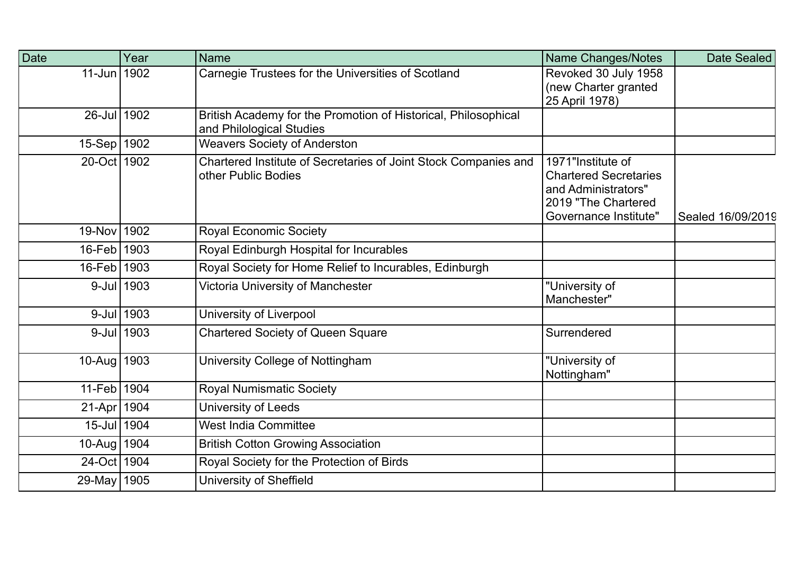| Date          | Year          | <b>Name</b>                                                                                | Name Changes/Notes                                                                                                              | Date Sealed       |
|---------------|---------------|--------------------------------------------------------------------------------------------|---------------------------------------------------------------------------------------------------------------------------------|-------------------|
| 11-Jun 1902   |               | Carnegie Trustees for the Universities of Scotland                                         | Revoked 30 July 1958<br>(new Charter granted<br>25 April 1978)                                                                  |                   |
| 26-Jul 1902   |               | British Academy for the Promotion of Historical, Philosophical<br>and Philological Studies |                                                                                                                                 |                   |
| 15-Sep   1902 |               | <b>Weavers Society of Anderston</b>                                                        |                                                                                                                                 |                   |
| 20-Oct 1902   |               | Chartered Institute of Secretaries of Joint Stock Companies and<br>other Public Bodies     | 1971"Institute of<br><b>Chartered Secretaries</b><br>and Administrators"<br>2019 "The Chartered<br><b>Governance Institute"</b> | Sealed 16/09/2019 |
| 19-Nov 1902   |               | <b>Royal Economic Society</b>                                                              |                                                                                                                                 |                   |
| 16-Feb 1903   |               | Royal Edinburgh Hospital for Incurables                                                    |                                                                                                                                 |                   |
| 16-Feb 1903   |               | Royal Society for Home Relief to Incurables, Edinburgh                                     |                                                                                                                                 |                   |
|               | 9-Jul 1903    | Victoria University of Manchester                                                          | "University of<br>Manchester"                                                                                                   |                   |
|               | $9$ -Jul 1903 | University of Liverpool                                                                    |                                                                                                                                 |                   |
|               | 9-Jul 1903    | <b>Chartered Society of Queen Square</b>                                                   | Surrendered                                                                                                                     |                   |
| 10-Aug   1903 |               | University College of Nottingham                                                           | "University of<br>Nottingham"                                                                                                   |                   |
| 11-Feb 1904   |               | <b>Royal Numismatic Society</b>                                                            |                                                                                                                                 |                   |
| 21-Apr 1904   |               | University of Leeds                                                                        |                                                                                                                                 |                   |
| 15-Jul 1904   |               | <b>West India Committee</b>                                                                |                                                                                                                                 |                   |
| 10-Aug   1904 |               | <b>British Cotton Growing Association</b>                                                  |                                                                                                                                 |                   |
| 24-Oct 1904   |               | Royal Society for the Protection of Birds                                                  |                                                                                                                                 |                   |
| 29-May   1905 |               | <b>University of Sheffield</b>                                                             |                                                                                                                                 |                   |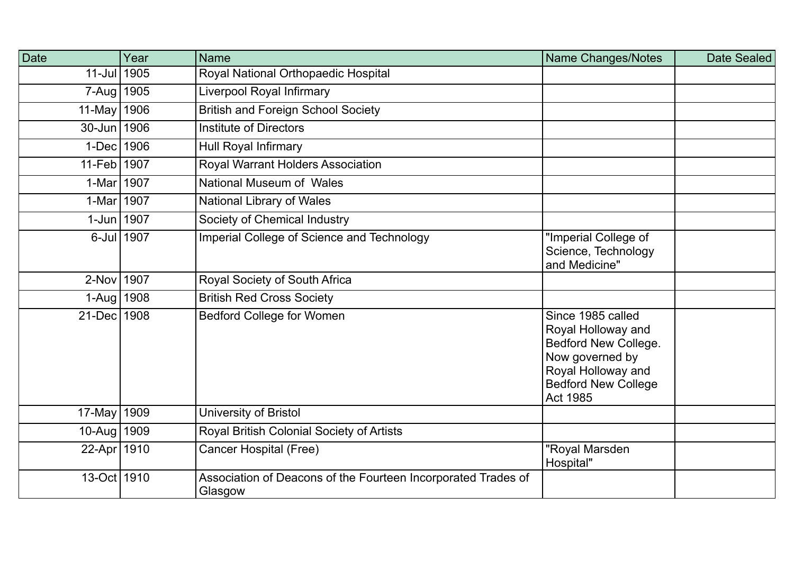| <b>Date</b>   | Year       | <b>Name</b>                                                              | <b>Name Changes/Notes</b>                                                                                                                                 | Date Sealed |
|---------------|------------|--------------------------------------------------------------------------|-----------------------------------------------------------------------------------------------------------------------------------------------------------|-------------|
| 11-Jul 1905   |            | Royal National Orthopaedic Hospital                                      |                                                                                                                                                           |             |
| 7-Aug   1905  |            | Liverpool Royal Infirmary                                                |                                                                                                                                                           |             |
| 11-May 1906   |            | <b>British and Foreign School Society</b>                                |                                                                                                                                                           |             |
| 30-Jun 1906   |            | <b>Institute of Directors</b>                                            |                                                                                                                                                           |             |
| 1-Dec 1906    |            | <b>Hull Royal Infirmary</b>                                              |                                                                                                                                                           |             |
| 11-Feb 1907   |            | Royal Warrant Holders Association                                        |                                                                                                                                                           |             |
| 1-Mar 1907    |            | National Museum of Wales                                                 |                                                                                                                                                           |             |
| 1-Mar 1907    |            | <b>National Library of Wales</b>                                         |                                                                                                                                                           |             |
| 1-Jun 1907    |            | Society of Chemical Industry                                             |                                                                                                                                                           |             |
|               | 6-Jul 1907 | Imperial College of Science and Technology                               | "Imperial College of<br>Science, Technology<br>and Medicine"                                                                                              |             |
| 2-Nov 1907    |            | Royal Society of South Africa                                            |                                                                                                                                                           |             |
| 1-Aug   1908  |            | <b>British Red Cross Society</b>                                         |                                                                                                                                                           |             |
| 21-Dec 1908   |            | <b>Bedford College for Women</b>                                         | Since 1985 called<br>Royal Holloway and<br>Bedford New College.<br>Now governed by<br>Royal Holloway and<br><b>Bedford New College</b><br><b>Act 1985</b> |             |
| 17-May 1909   |            | University of Bristol                                                    |                                                                                                                                                           |             |
| 10-Aug   1909 |            | Royal British Colonial Society of Artists                                |                                                                                                                                                           |             |
| 22-Apr   1910 |            | Cancer Hospital (Free)                                                   | "Royal Marsden<br>Hospital"                                                                                                                               |             |
| 13-Oct 1910   |            | Association of Deacons of the Fourteen Incorporated Trades of<br>Glasgow |                                                                                                                                                           |             |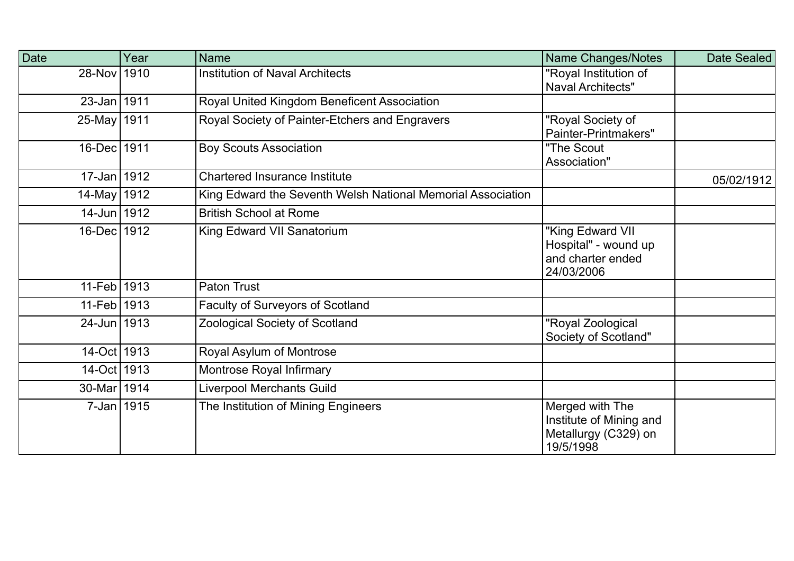| Date            | Year | <b>Name</b>                                                 | Name Changes/Notes                                                              | Date Sealed |
|-----------------|------|-------------------------------------------------------------|---------------------------------------------------------------------------------|-------------|
| 28-Nov 1910     |      | <b>Institution of Naval Architects</b>                      | "Royal Institution of<br><b>Naval Architects"</b>                               |             |
| $23 - Jan$ 1911 |      | Royal United Kingdom Beneficent Association                 |                                                                                 |             |
| 25-May 1911     |      | Royal Society of Painter-Etchers and Engravers              | "Royal Society of<br>Painter-Printmakers"                                       |             |
| 16-Dec 1911     |      | <b>Boy Scouts Association</b>                               | "The Scout<br>Association"                                                      |             |
| 17-Jan 1912     |      | <b>Chartered Insurance Institute</b>                        |                                                                                 | 05/02/1912  |
| 14-May 1912     |      | King Edward the Seventh Welsh National Memorial Association |                                                                                 |             |
| 14-Jun 1912     |      | <b>British School at Rome</b>                               |                                                                                 |             |
| 16-Dec 1912     |      | King Edward VII Sanatorium                                  | "King Edward VII<br>Hospital" - wound up<br>and charter ended<br>24/03/2006     |             |
| 11-Feb 1913     |      | <b>Paton Trust</b>                                          |                                                                                 |             |
| 11-Feb 1913     |      | <b>Faculty of Surveyors of Scotland</b>                     |                                                                                 |             |
| 24-Jun 1913     |      | Zoological Society of Scotland                              | "Royal Zoological<br>Society of Scotland"                                       |             |
| 14-Oct 1913     |      | Royal Asylum of Montrose                                    |                                                                                 |             |
| 14-Oct 1913     |      | Montrose Royal Infirmary                                    |                                                                                 |             |
| 30-Mar 1914     |      | <b>Liverpool Merchants Guild</b>                            |                                                                                 |             |
| 7-Jan 1915      |      | The Institution of Mining Engineers                         | Merged with The<br>Institute of Mining and<br>Metallurgy (C329) on<br>19/5/1998 |             |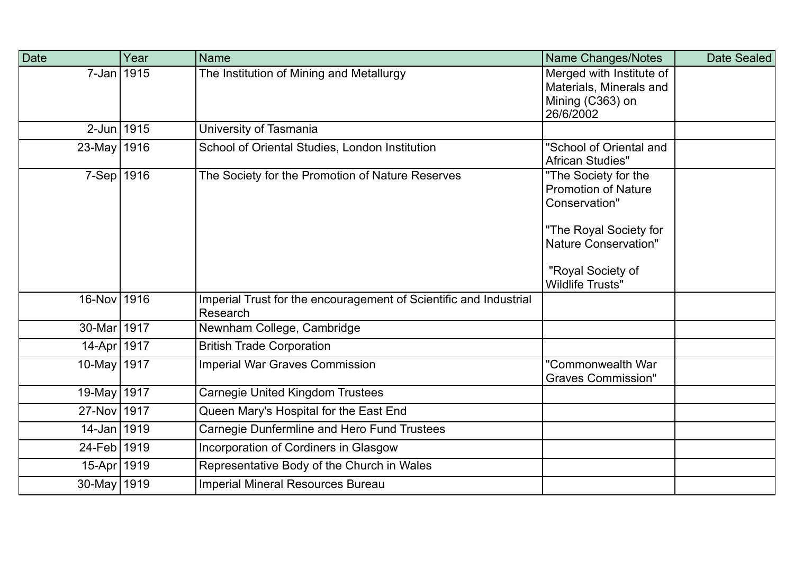| Date         | Year | <b>Name</b>                                                                   | Name Changes/Notes                                                                                                                                                           | Date Sealed |
|--------------|------|-------------------------------------------------------------------------------|------------------------------------------------------------------------------------------------------------------------------------------------------------------------------|-------------|
| $7$ -Jan $ $ | 1915 | The Institution of Mining and Metallurgy                                      | Merged with Institute of<br>Materials, Minerals and<br>Mining (C363) on<br>26/6/2002                                                                                         |             |
| $2$ -Jun $ $ | 1915 | University of Tasmania                                                        |                                                                                                                                                                              |             |
| $23$ -May    | 1916 | School of Oriental Studies, London Institution                                | "School of Oriental and<br>African Studies"                                                                                                                                  |             |
| $7-Sep$      | 1916 | The Society for the Promotion of Nature Reserves                              | "The Society for the<br><b>Promotion of Nature</b><br>Conservation"<br>"The Royal Society for<br><b>Nature Conservation"</b><br>"Royal Society of<br><b>Wildlife Trusts"</b> |             |
| $16$ -Nov    | 1916 | Imperial Trust for the encouragement of Scientific and Industrial<br>Research |                                                                                                                                                                              |             |
| $30$ -Mar    | 1917 | Newnham College, Cambridge                                                    |                                                                                                                                                                              |             |
| $14 - Apr$   | 1917 | <b>British Trade Corporation</b>                                              |                                                                                                                                                                              |             |
| $10$ -May    | 1917 | <b>Imperial War Graves Commission</b>                                         | "Commonwealth War<br><b>Graves Commission"</b>                                                                                                                               |             |
| $19$ -May    | 1917 | <b>Carnegie United Kingdom Trustees</b>                                       |                                                                                                                                                                              |             |
| $27$ -Nov    | 1917 | Queen Mary's Hospital for the East End                                        |                                                                                                                                                                              |             |
| $14$ -Jan    | 1919 | Carnegie Dunfermline and Hero Fund Trustees                                   |                                                                                                                                                                              |             |
| $24$ -Feb    | 1919 | Incorporation of Cordiners in Glasgow                                         |                                                                                                                                                                              |             |
| $15-Apr$     | 1919 | Representative Body of the Church in Wales                                    |                                                                                                                                                                              |             |
| $30$ -May    | 1919 | Imperial Mineral Resources Bureau                                             |                                                                                                                                                                              |             |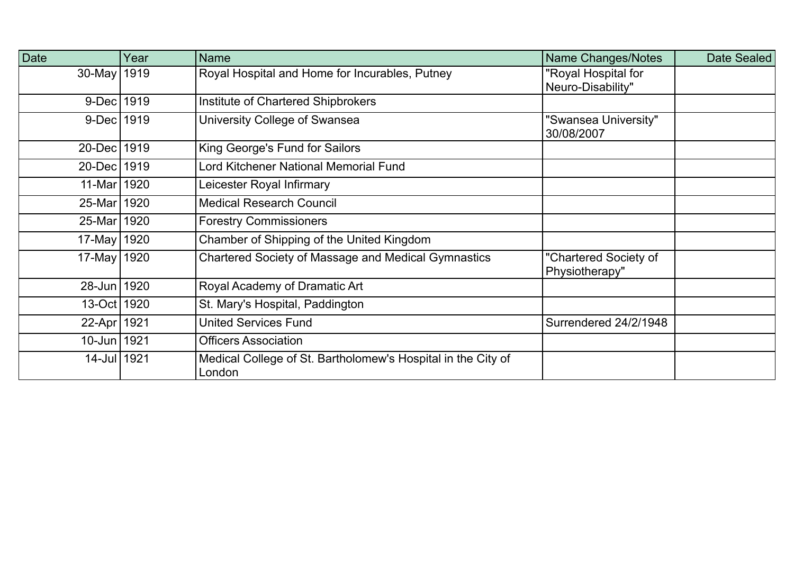| Date          | Year | <b>Name</b>                                                            | <b>Name Changes/Notes</b>                | Date Sealed |
|---------------|------|------------------------------------------------------------------------|------------------------------------------|-------------|
| 30-May   1919 |      | Royal Hospital and Home for Incurables, Putney                         | "Royal Hospital for<br>Neuro-Disability" |             |
| 9-Dec 1919    |      | Institute of Chartered Shipbrokers                                     |                                          |             |
| 9-Dec 1919    |      | University College of Swansea                                          | 'Swansea University"<br>30/08/2007       |             |
| 20-Dec 1919   |      | King George's Fund for Sailors                                         |                                          |             |
| 20-Dec 1919   |      | Lord Kitchener National Memorial Fund                                  |                                          |             |
| 11-Mar 1920   |      | Leicester Royal Infirmary                                              |                                          |             |
| 25-Mar   1920 |      | <b>Medical Research Council</b>                                        |                                          |             |
| 25-Mar 1920   |      | <b>Forestry Commissioners</b>                                          |                                          |             |
| 17-May   1920 |      | Chamber of Shipping of the United Kingdom                              |                                          |             |
| 17-May 1920   |      | Chartered Society of Massage and Medical Gymnastics                    | "Chartered Society of<br>Physiotherapy"  |             |
| 28-Jun 1920   |      | Royal Academy of Dramatic Art                                          |                                          |             |
| 13-Oct 1920   |      | St. Mary's Hospital, Paddington                                        |                                          |             |
| 22-Apr 1921   |      | <b>United Services Fund</b>                                            | Surrendered 24/2/1948                    |             |
| 10-Jun 1921   |      | <b>Officers Association</b>                                            |                                          |             |
| 14-Jul 1921   |      | Medical College of St. Bartholomew's Hospital in the City of<br>London |                                          |             |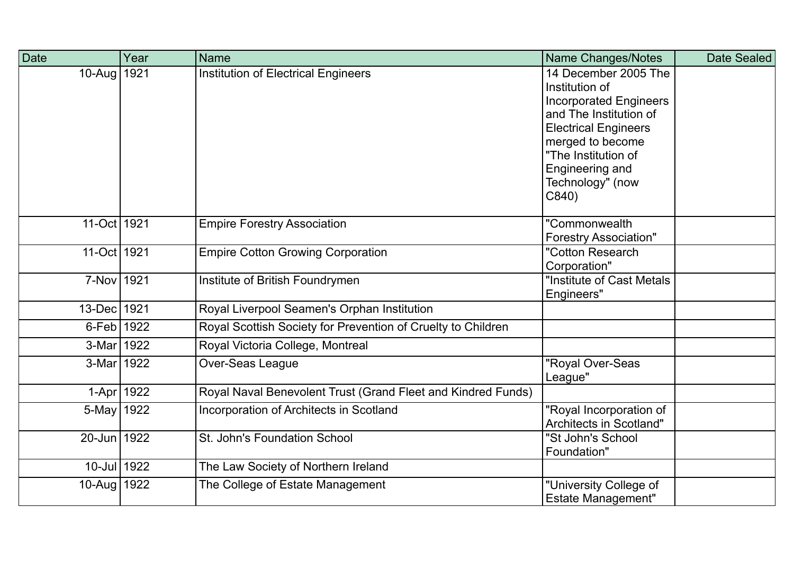| Date        | Year | <b>Name</b>                                                  | Name Changes/Notes                                                                                                                                                                                                          | Date Sealed |
|-------------|------|--------------------------------------------------------------|-----------------------------------------------------------------------------------------------------------------------------------------------------------------------------------------------------------------------------|-------------|
| $10-Au$ g   | 1921 | <b>Institution of Electrical Engineers</b>                   | 14 December 2005 The<br>Institution of<br><b>Incorporated Engineers</b><br>and The Institution of<br><b>Electrical Engineers</b><br>merged to become<br>"The Institution of<br>Engineering and<br>Technology" (now<br>C840) |             |
| $11$ -Oct   | 1921 | <b>Empire Forestry Association</b>                           | "Commonwealth<br><b>Forestry Association"</b>                                                                                                                                                                               |             |
| 11-Oct 1921 |      | <b>Empire Cotton Growing Corporation</b>                     | "Cotton Research<br>Corporation"                                                                                                                                                                                            |             |
| $7-Nov$     | 1921 | Institute of British Foundrymen                              | "Institute of Cast Metals<br>Engineers"                                                                                                                                                                                     |             |
| $13$ -Dec   | 1921 | Royal Liverpool Seamen's Orphan Institution                  |                                                                                                                                                                                                                             |             |
| $6$ -Feb    | 1922 | Royal Scottish Society for Prevention of Cruelty to Children |                                                                                                                                                                                                                             |             |
| $3-Mar$     | 1922 | Royal Victoria College, Montreal                             |                                                                                                                                                                                                                             |             |
| $3-Mar$     | 1922 | Over-Seas League                                             | 'Royal Over-Seas<br>League"                                                                                                                                                                                                 |             |
| $1-Apr$     | 1922 | Royal Naval Benevolent Trust (Grand Fleet and Kindred Funds) |                                                                                                                                                                                                                             |             |
| $5$ -May    | 1922 | Incorporation of Architects in Scotland                      | 'Royal Incorporation of<br>Architects in Scotland"                                                                                                                                                                          |             |
| $20$ -Jun   | 1922 | St. John's Foundation School                                 | "St John's School<br>Foundation"                                                                                                                                                                                            |             |
| $10$ -Jul   | 1922 | The Law Society of Northern Ireland                          |                                                                                                                                                                                                                             |             |
| $10$ -Aug   | 1922 | The College of Estate Management                             | "University College of<br><b>Estate Management"</b>                                                                                                                                                                         |             |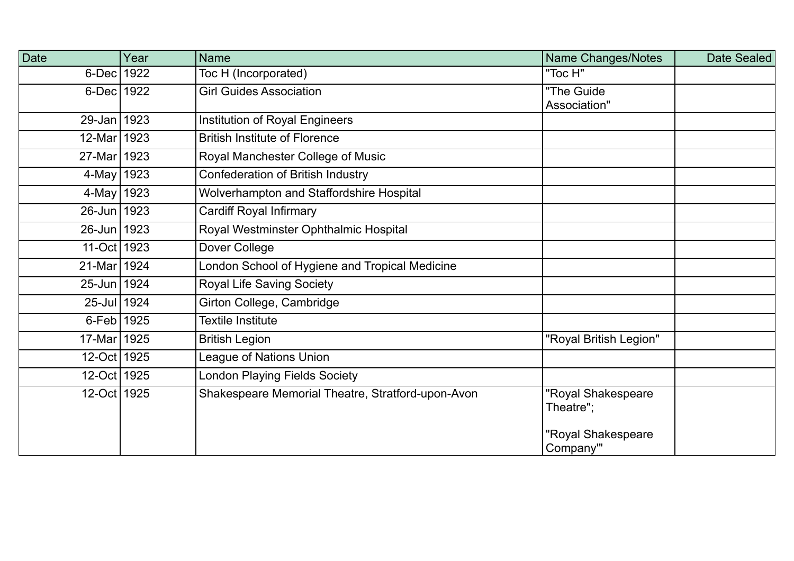| Date        | Year | Name                                              | Name Changes/Notes              | Date Sealed |
|-------------|------|---------------------------------------------------|---------------------------------|-------------|
| $6$ -Dec    | 1922 | Toc H (Incorporated)                              | "Toc H"                         |             |
| 6-Dec 1922  |      | <b>Girl Guides Association</b>                    | "The Guide<br>Association"      |             |
| 29-Jan 1923 |      | <b>Institution of Royal Engineers</b>             |                                 |             |
| 12-Mar 1923 |      | <b>British Institute of Florence</b>              |                                 |             |
| 27-Mar 1923 |      | Royal Manchester College of Music                 |                                 |             |
| 4-May 1923  |      | <b>Confederation of British Industry</b>          |                                 |             |
| 4-May 1923  |      | Wolverhampton and Staffordshire Hospital          |                                 |             |
| 26-Jun 1923 |      | <b>Cardiff Royal Infirmary</b>                    |                                 |             |
| 26-Jun 1923 |      | Royal Westminster Ophthalmic Hospital             |                                 |             |
| 11-Oct 1923 |      | Dover College                                     |                                 |             |
| 21-Mar 1924 |      | London School of Hygiene and Tropical Medicine    |                                 |             |
| 25-Jun 1924 |      | <b>Royal Life Saving Society</b>                  |                                 |             |
| 25-Jul 1924 |      | Girton College, Cambridge                         |                                 |             |
| 6-Feb 1925  |      | <b>Textile Institute</b>                          |                                 |             |
| 17-Mar 1925 |      | <b>British Legion</b>                             | "Royal British Legion"          |             |
| 12-Oct 1925 |      | League of Nations Union                           |                                 |             |
| 12-Oct 1925 |      | <b>London Playing Fields Society</b>              |                                 |             |
| 12-Oct 1925 |      | Shakespeare Memorial Theatre, Stratford-upon-Avon | "Royal Shakespeare<br>Theatre"; |             |
|             |      |                                                   | "Royal Shakespeare<br>Company"  |             |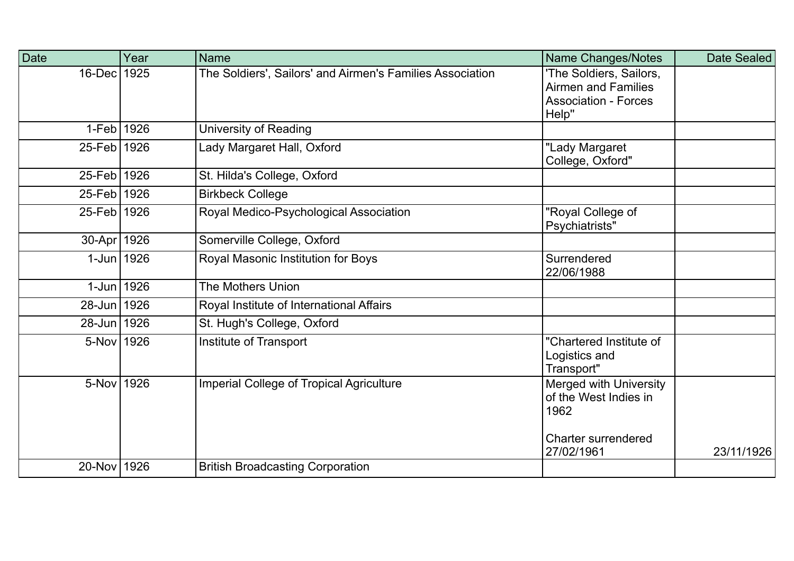| Date          | Year | <b>Name</b>                                               | Name Changes/Notes                                                                            | Date Sealed |
|---------------|------|-----------------------------------------------------------|-----------------------------------------------------------------------------------------------|-------------|
| $16$ -Dec     | 1925 | The Soldiers', Sailors' and Airmen's Families Association | 'The Soldiers, Sailors,<br><b>Airmen and Families</b><br><b>Association - Forces</b><br>Help" |             |
| 1-Feb 1926    |      | <b>University of Reading</b>                              |                                                                                               |             |
| 25-Feb 1926   |      | Lady Margaret Hall, Oxford                                | "Lady Margaret<br>College, Oxford"                                                            |             |
| 25-Feb 1926   |      | St. Hilda's College, Oxford                               |                                                                                               |             |
| $25$ -Feb     | 1926 | <b>Birkbeck College</b>                                   |                                                                                               |             |
| $25$ -Feb     | 1926 | Royal Medico-Psychological Association                    | "Royal College of<br>Psychiatrists"                                                           |             |
| 30-Apr   1926 |      | Somerville College, Oxford                                |                                                                                               |             |
| 1-Jun 1926    |      | Royal Masonic Institution for Boys                        | Surrendered<br>22/06/1988                                                                     |             |
| 1-Jun 1926    |      | <b>The Mothers Union</b>                                  |                                                                                               |             |
| 28-Jun 1926   |      | Royal Institute of International Affairs                  |                                                                                               |             |
| 28-Jun 1926   |      | St. Hugh's College, Oxford                                |                                                                                               |             |
| 5-Nov 1926    |      | Institute of Transport                                    | "Chartered Institute of<br>Logistics and<br>Transport"                                        |             |
| 5-Nov         | 1926 | <b>Imperial College of Tropical Agriculture</b>           | <b>Merged with University</b><br>of the West Indies in<br>1962                                |             |
|               |      |                                                           | <b>Charter surrendered</b><br>27/02/1961                                                      | 23/11/1926  |
| $20$ -Nov     | 1926 | <b>British Broadcasting Corporation</b>                   |                                                                                               |             |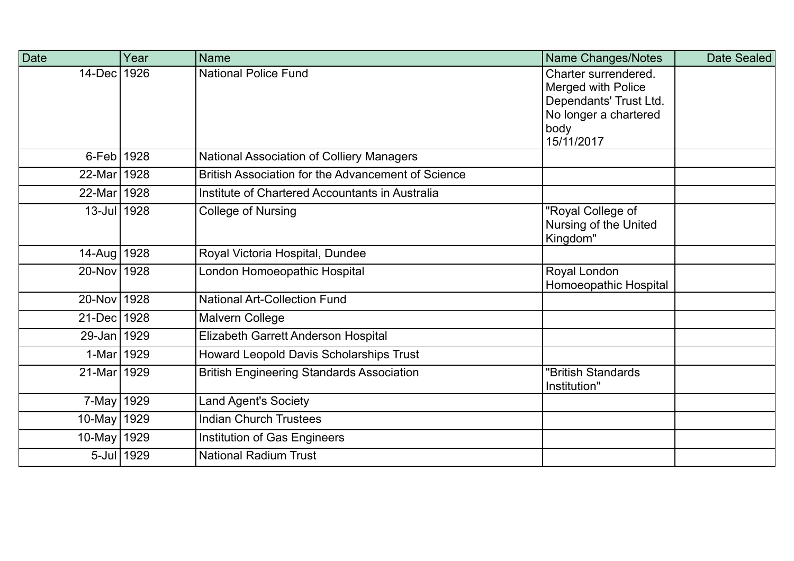| Date          | Year       | <b>Name</b>                                        | Name Changes/Notes                                                                                                  | Date Sealed |
|---------------|------------|----------------------------------------------------|---------------------------------------------------------------------------------------------------------------------|-------------|
| 14-Dec 1926   |            | <b>National Police Fund</b>                        | Charter surrendered.<br>Merged with Police<br>Dependants' Trust Ltd.<br>No longer a chartered<br>body<br>15/11/2017 |             |
| 6-Feb 1928    |            | National Association of Colliery Managers          |                                                                                                                     |             |
| 22-Mar 1928   |            | British Association for the Advancement of Science |                                                                                                                     |             |
| 22-Mar 1928   |            | Institute of Chartered Accountants in Australia    |                                                                                                                     |             |
| 13-Jul 1928   |            | College of Nursing                                 | "Royal College of<br>Nursing of the United<br>Kingdom"                                                              |             |
| 14-Aug   1928 |            | Royal Victoria Hospital, Dundee                    |                                                                                                                     |             |
| 20-Nov 1928   |            | London Homoeopathic Hospital                       | Royal London<br>Homoeopathic Hospital                                                                               |             |
| 20-Nov 1928   |            | <b>National Art-Collection Fund</b>                |                                                                                                                     |             |
| 21-Dec 1928   |            | Malvern College                                    |                                                                                                                     |             |
| 29-Jan 1929   |            | Elizabeth Garrett Anderson Hospital                |                                                                                                                     |             |
| 1-Mar 1929    |            | Howard Leopold Davis Scholarships Trust            |                                                                                                                     |             |
| 21-Mar 1929   |            | <b>British Engineering Standards Association</b>   | "British Standards<br>Institution"                                                                                  |             |
| 7-May 1929    |            | <b>Land Agent's Society</b>                        |                                                                                                                     |             |
| 10-May   1929 |            | <b>Indian Church Trustees</b>                      |                                                                                                                     |             |
| 10-May 1929   |            | Institution of Gas Engineers                       |                                                                                                                     |             |
|               | 5-Jul 1929 | <b>National Radium Trust</b>                       |                                                                                                                     |             |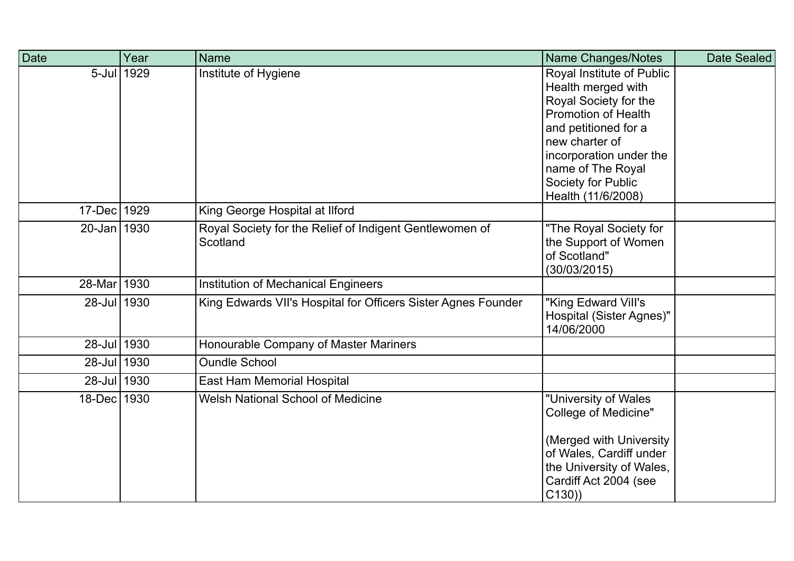| Date        | Year | <b>Name</b>                                                         | Name Changes/Notes                                                                                                                                                                                                                           | Date Sealed |
|-------------|------|---------------------------------------------------------------------|----------------------------------------------------------------------------------------------------------------------------------------------------------------------------------------------------------------------------------------------|-------------|
| $5$ -Jul    | 1929 | Institute of Hygiene                                                | Royal Institute of Public<br>Health merged with<br>Royal Society for the<br><b>Promotion of Health</b><br>and petitioned for a<br>new charter of<br>incorporation under the<br>name of The Royal<br>Society for Public<br>Health (11/6/2008) |             |
| $17$ -Dec   | 1929 | King George Hospital at Ilford                                      |                                                                                                                                                                                                                                              |             |
| 20-Jan 1930 |      | Royal Society for the Relief of Indigent Gentlewomen of<br>Scotland | "The Royal Society for<br>the Support of Women<br>of Scotland"<br>(30/03/2015)                                                                                                                                                               |             |
| 28-Mar 1930 |      | <b>Institution of Mechanical Engineers</b>                          |                                                                                                                                                                                                                                              |             |
| 28-Jul 1930 |      | King Edwards VII's Hospital for Officers Sister Agnes Founder       | 'King Edward Vill's<br><b>Hospital (Sister Agnes)"</b><br>14/06/2000                                                                                                                                                                         |             |
| 28-Jul 1930 |      | Honourable Company of Master Mariners                               |                                                                                                                                                                                                                                              |             |
| 28-Jul 1930 |      | <b>Oundle School</b>                                                |                                                                                                                                                                                                                                              |             |
| 28-Jul 1930 |      | East Ham Memorial Hospital                                          |                                                                                                                                                                                                                                              |             |
| 18-Dec 1930 |      | <b>Welsh National School of Medicine</b>                            | "University of Wales<br><b>College of Medicine"</b><br>(Merged with University)<br>of Wales, Cardiff under<br>the University of Wales,<br>Cardiff Act 2004 (see<br>C(130)                                                                    |             |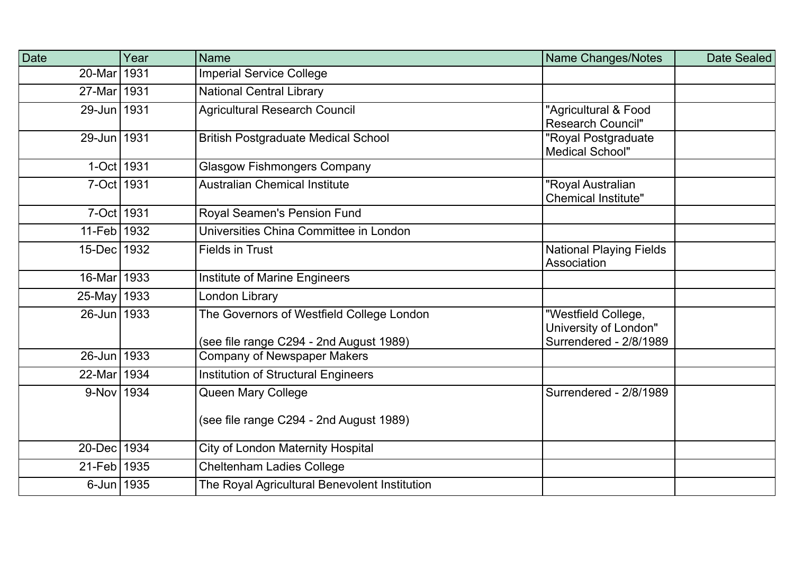| Date        | Year | <b>Name</b>                                                                          | Name Changes/Notes                                                     | Date Sealed |
|-------------|------|--------------------------------------------------------------------------------------|------------------------------------------------------------------------|-------------|
| 20-Mar 1931 |      | <b>Imperial Service College</b>                                                      |                                                                        |             |
| 27-Mar 1931 |      | <b>National Central Library</b>                                                      |                                                                        |             |
| 29-Jun 1931 |      | <b>Agricultural Research Council</b>                                                 | "Agricultural & Food<br><b>Research Council"</b>                       |             |
| 29-Jun 1931 |      | <b>British Postgraduate Medical School</b>                                           | "Royal Postgraduate<br><b>Medical School"</b>                          |             |
| 1-Oct 1931  |      | <b>Glasgow Fishmongers Company</b>                                                   |                                                                        |             |
| 7-Oct 1931  |      | <b>Australian Chemical Institute</b>                                                 | "Royal Australian<br><b>Chemical Institute"</b>                        |             |
| 7-Oct 1931  |      | Royal Seamen's Pension Fund                                                          |                                                                        |             |
| 11-Feb 1932 |      | Universities China Committee in London                                               |                                                                        |             |
| 15-Dec 1932 |      | <b>Fields in Trust</b>                                                               | <b>National Playing Fields</b><br>Association                          |             |
| 16-Mar 1933 |      | <b>Institute of Marine Engineers</b>                                                 |                                                                        |             |
| 25-May 1933 |      | London Library                                                                       |                                                                        |             |
| 26-Jun 1933 |      | The Governors of Westfield College London<br>(see file range C294 - 2nd August 1989) | "Westfield College,<br>University of London"<br>Surrendered - 2/8/1989 |             |
| 26-Jun 1933 |      | <b>Company of Newspaper Makers</b>                                                   |                                                                        |             |
| 22-Mar 1934 |      | <b>Institution of Structural Engineers</b>                                           |                                                                        |             |
| 9-Nov 1934  |      | Queen Mary College                                                                   | Surrendered - 2/8/1989                                                 |             |
|             |      | (see file range C294 - 2nd August 1989)                                              |                                                                        |             |
| 20-Dec 1934 |      | <b>City of London Maternity Hospital</b>                                             |                                                                        |             |
| 21-Feb 1935 |      | <b>Cheltenham Ladies College</b>                                                     |                                                                        |             |
| 6-Jun 1935  |      | The Royal Agricultural Benevolent Institution                                        |                                                                        |             |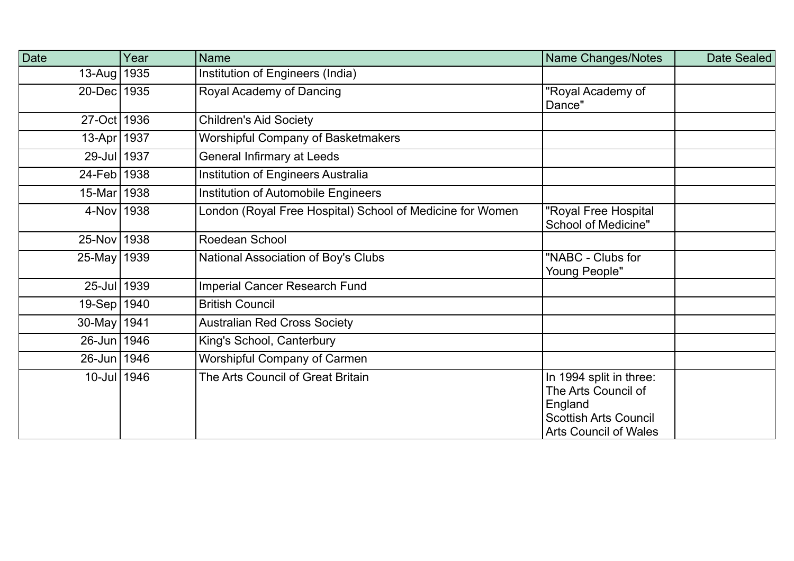| Date          | Year | <b>Name</b>                                               | Name Changes/Notes                                                                                                        | Date Sealed |
|---------------|------|-----------------------------------------------------------|---------------------------------------------------------------------------------------------------------------------------|-------------|
| $13$ -Aug     | 1935 | Institution of Engineers (India)                          |                                                                                                                           |             |
| 20-Dec 1935   |      | Royal Academy of Dancing                                  | 'Royal Academy of<br>Dance"                                                                                               |             |
| 27-Oct   1936 |      | <b>Children's Aid Society</b>                             |                                                                                                                           |             |
| 13-Apr   1937 |      | <b>Worshipful Company of Basketmakers</b>                 |                                                                                                                           |             |
| 29-Jul 1937   |      | General Infirmary at Leeds                                |                                                                                                                           |             |
| 24-Feb 1938   |      | Institution of Engineers Australia                        |                                                                                                                           |             |
| 15-Mar 1938   |      | Institution of Automobile Engineers                       |                                                                                                                           |             |
| 4-Nov 1938    |      | London (Royal Free Hospital) School of Medicine for Women | "Royal Free Hospital<br><b>School of Medicine"</b>                                                                        |             |
| 25-Nov   1938 |      | Roedean School                                            |                                                                                                                           |             |
| 25-May 1939   |      | National Association of Boy's Clubs                       | "NABC - Clubs for<br><b>Young People"</b>                                                                                 |             |
| 25-Jul 1939   |      | <b>Imperial Cancer Research Fund</b>                      |                                                                                                                           |             |
| $19-Sep$      | 1940 | <b>British Council</b>                                    |                                                                                                                           |             |
| $30$ -May     | 1941 | <b>Australian Red Cross Society</b>                       |                                                                                                                           |             |
| 26-Jun 1946   |      | King's School, Canterbury                                 |                                                                                                                           |             |
| 26-Jun   1946 |      | Worshipful Company of Carmen                              |                                                                                                                           |             |
| 10-Jul 1946   |      | The Arts Council of Great Britain                         | In 1994 split in three:<br>The Arts Council of<br>England<br><b>Scottish Arts Council</b><br><b>Arts Council of Wales</b> |             |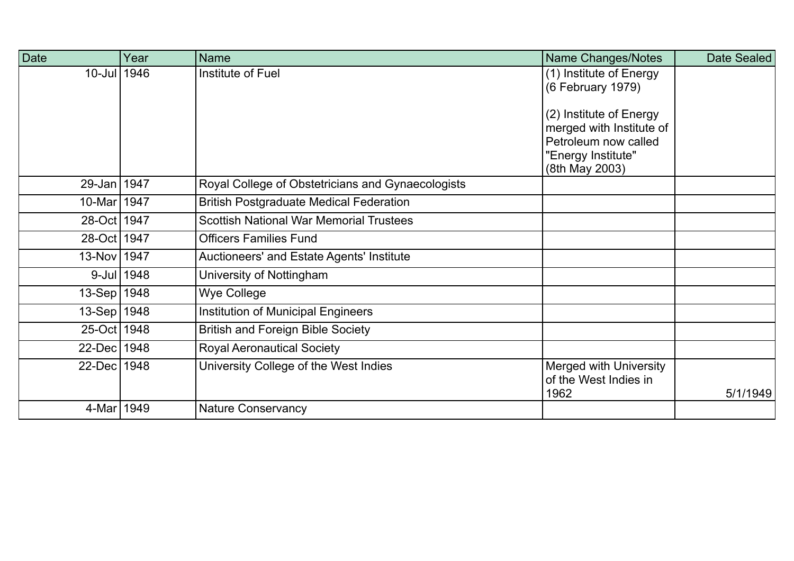| Date          | Year       | <b>Name</b>                                       | Name Changes/Notes                                                                                                  | Date Sealed |
|---------------|------------|---------------------------------------------------|---------------------------------------------------------------------------------------------------------------------|-------------|
| 10-Jul 1946   |            | Institute of Fuel                                 | (1) Institute of Energy<br>(6 February 1979)                                                                        |             |
|               |            |                                                   | (2) Institute of Energy<br>merged with Institute of<br>Petroleum now called<br>"Energy Institute"<br>(8th May 2003) |             |
| 29-Jan   1947 |            | Royal College of Obstetricians and Gynaecologists |                                                                                                                     |             |
| 10-Mar 1947   |            | <b>British Postgraduate Medical Federation</b>    |                                                                                                                     |             |
| 28-Oct   1947 |            | <b>Scottish National War Memorial Trustees</b>    |                                                                                                                     |             |
| 28-Oct 1947   |            | <b>Officers Families Fund</b>                     |                                                                                                                     |             |
| 13-Nov 1947   |            | Auctioneers' and Estate Agents' Institute         |                                                                                                                     |             |
|               | 9-Jul 1948 | University of Nottingham                          |                                                                                                                     |             |
| 13-Sep 1948   |            | <b>Wye College</b>                                |                                                                                                                     |             |
| 13-Sep 1948   |            | <b>Institution of Municipal Engineers</b>         |                                                                                                                     |             |
| 25-Oct   1948 |            | <b>British and Foreign Bible Society</b>          |                                                                                                                     |             |
| 22-Dec 1948   |            | <b>Royal Aeronautical Society</b>                 |                                                                                                                     |             |
| 22-Dec 1948   |            | University College of the West Indies             | <b>Merged with University</b><br>of the West Indies in<br>1962                                                      | 5/1/1949    |
| 4-Mar 1949    |            | <b>Nature Conservancy</b>                         |                                                                                                                     |             |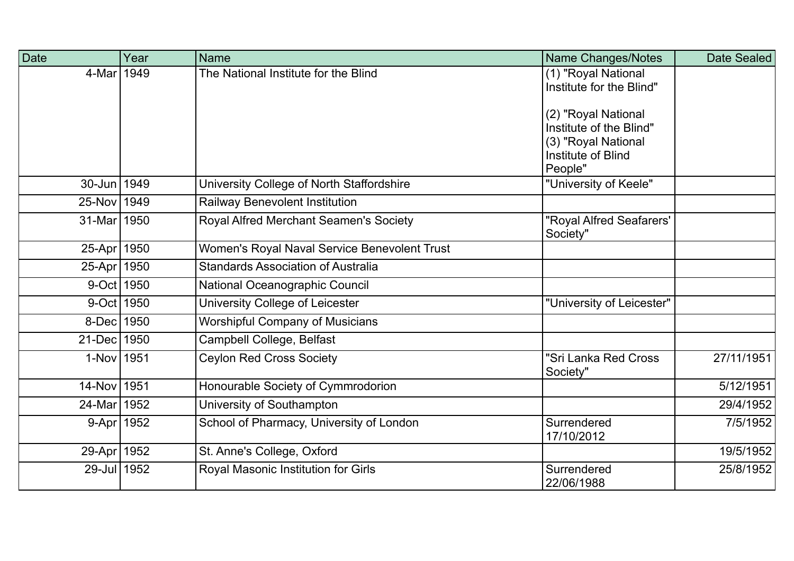| <b>Date</b>   | Year | <b>Name</b>                                  | Name Changes/Notes                              | Date Sealed |
|---------------|------|----------------------------------------------|-------------------------------------------------|-------------|
| 4-Mar 1949    |      | The National Institute for the Blind         | (1) "Royal National<br>Institute for the Blind" |             |
|               |      |                                              | (2) "Royal National                             |             |
|               |      |                                              | Institute of the Blind"<br>(3) "Royal National  |             |
|               |      |                                              | Institute of Blind<br>People"                   |             |
| 30-Jun 1949   |      | University College of North Staffordshire    | "University of Keele"                           |             |
| 25-Nov 1949   |      | Railway Benevolent Institution               |                                                 |             |
| 31-Mar 1950   |      | Royal Alfred Merchant Seamen's Society       | "Royal Alfred Seafarers'<br>Society"            |             |
| 25-Apr 1950   |      | Women's Royal Naval Service Benevolent Trust |                                                 |             |
| 25-Apr 1950   |      | <b>Standards Association of Australia</b>    |                                                 |             |
| 9-Oct 1950    |      | National Oceanographic Council               |                                                 |             |
| 9-Oct 1950    |      | University College of Leicester              | "University of Leicester"                       |             |
| 8-Dec 1950    |      | <b>Worshipful Company of Musicians</b>       |                                                 |             |
| 21-Dec 1950   |      | Campbell College, Belfast                    |                                                 |             |
| 1-Nov 1951    |      | <b>Ceylon Red Cross Society</b>              | "Sri Lanka Red Cross<br>Society"                | 27/11/1951  |
| 14-Nov 1951   |      | Honourable Society of Cymmrodorion           |                                                 | 5/12/1951   |
| 24-Mar 1952   |      | University of Southampton                    |                                                 | 29/4/1952   |
| 9-Apr 1952    |      | School of Pharmacy, University of London     | Surrendered<br>17/10/2012                       | 7/5/1952    |
| 29-Apr   1952 |      | St. Anne's College, Oxford                   |                                                 | 19/5/1952   |
| 29-Jul 1952   |      | Royal Masonic Institution for Girls          | Surrendered<br>22/06/1988                       | 25/8/1952   |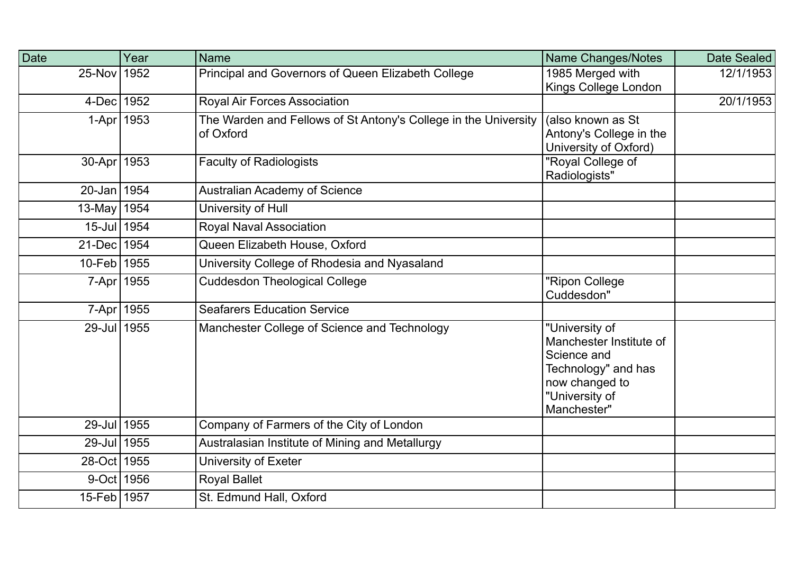| Date      | Year | <b>Name</b>                                                     | Name Changes/Notes      | Date Sealed |
|-----------|------|-----------------------------------------------------------------|-------------------------|-------------|
| 25-Nov    | 1952 | Principal and Governors of Queen Elizabeth College              | 1985 Merged with        | 12/1/1953   |
|           |      |                                                                 | Kings College London    |             |
| 4-Dec     | 1952 | <b>Royal Air Forces Association</b>                             |                         | 20/1/1953   |
| $1-Apr$   | 1953 | The Warden and Fellows of St Antony's College in the University | (also known as St       |             |
|           |      | of Oxford                                                       | Antony's College in the |             |
|           |      |                                                                 | University of Oxford)   |             |
| 30-Apr    | 1953 | <b>Faculty of Radiologists</b>                                  | "Royal College of       |             |
|           |      |                                                                 | Radiologists"           |             |
| $20$ -Jan | 1954 | <b>Australian Academy of Science</b>                            |                         |             |
| $13$ -May | 1954 | University of Hull                                              |                         |             |
| $15$ -Jul | 1954 | <b>Royal Naval Association</b>                                  |                         |             |
| $21$ -Dec | 1954 | Queen Elizabeth House, Oxford                                   |                         |             |
| $10$ -Feb | 1955 | University College of Rhodesia and Nyasaland                    |                         |             |
| $7 - Apr$ | 1955 | <b>Cuddesdon Theological College</b>                            | "Ripon College          |             |
|           |      |                                                                 | Cuddesdon"              |             |
| $7 - Apr$ | 1955 | <b>Seafarers Education Service</b>                              |                         |             |
| $29$ -Jul | 1955 | Manchester College of Science and Technology                    | "University of          |             |
|           |      |                                                                 | Manchester Institute of |             |
|           |      |                                                                 | Science and             |             |
|           |      |                                                                 | Technology" and has     |             |
|           |      |                                                                 | now changed to          |             |
|           |      |                                                                 | "University of          |             |
|           |      |                                                                 | Manchester"             |             |
| $29$ -Jul | 1955 | Company of Farmers of the City of London                        |                         |             |
| $29$ -Jul | 1955 | Australasian Institute of Mining and Metallurgy                 |                         |             |
| $28$ -Oct | 1955 | University of Exeter                                            |                         |             |
| $9$ -Oct  | 1956 | <b>Royal Ballet</b>                                             |                         |             |
| $15$ -Feb | 1957 | St. Edmund Hall, Oxford                                         |                         |             |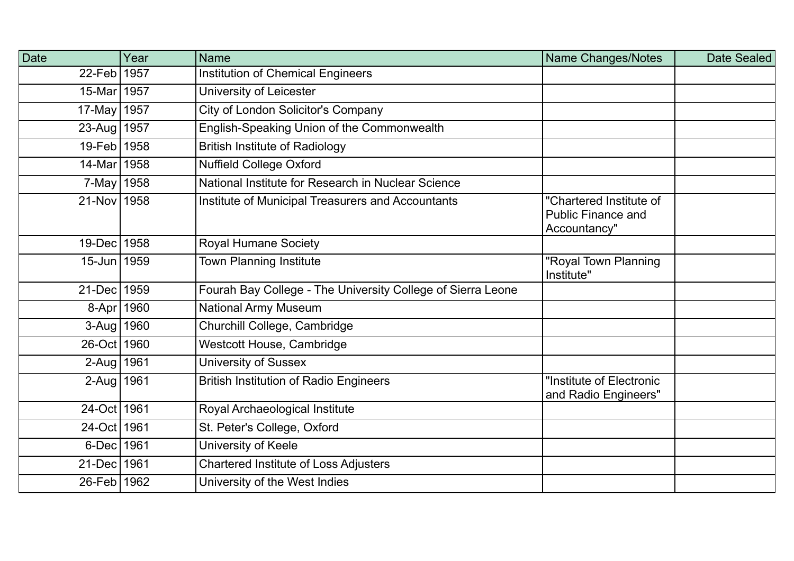| Date          | Year | <b>Name</b>                                                 | Name Changes/Notes                                                   | Date Sealed |
|---------------|------|-------------------------------------------------------------|----------------------------------------------------------------------|-------------|
| $22$ -Feb     | 1957 | <b>Institution of Chemical Engineers</b>                    |                                                                      |             |
| $15$ -Mar     | 1957 | University of Leicester                                     |                                                                      |             |
| 17-May 1957   |      | City of London Solicitor's Company                          |                                                                      |             |
| 23-Aug 1957   |      | English-Speaking Union of the Commonwealth                  |                                                                      |             |
| 19-Feb 1958   |      | <b>British Institute of Radiology</b>                       |                                                                      |             |
| 14-Mar 1958   |      | <b>Nuffield College Oxford</b>                              |                                                                      |             |
| $7$ -May      | 1958 | National Institute for Research in Nuclear Science          |                                                                      |             |
| 21-Nov 1958   |      | Institute of Municipal Treasurers and Accountants           | "Chartered Institute of<br><b>Public Finance and</b><br>Accountancy" |             |
| 19-Dec   1958 |      | <b>Royal Humane Society</b>                                 |                                                                      |             |
| 15-Jun 1959   |      | <b>Town Planning Institute</b>                              | "Royal Town Planning<br>Institute"                                   |             |
| $21$ -Dec     | 1959 | Fourah Bay College - The University College of Sierra Leone |                                                                      |             |
| 8-Apr 1960    |      | <b>National Army Museum</b>                                 |                                                                      |             |
| 3-Aug   1960  |      | Churchill College, Cambridge                                |                                                                      |             |
| 26-Oct 1960   |      | Westcott House, Cambridge                                   |                                                                      |             |
| 2-Aug   1961  |      | <b>University of Sussex</b>                                 |                                                                      |             |
| 2-Aug   1961  |      | <b>British Institution of Radio Engineers</b>               | "Institute of Electronic<br>and Radio Engineers"                     |             |
| 24-Oct 1961   |      | Royal Archaeological Institute                              |                                                                      |             |
| 24-Oct 1961   |      | St. Peter's College, Oxford                                 |                                                                      |             |
| 6-Dec 1961    |      | University of Keele                                         |                                                                      |             |
| 21-Dec 1961   |      | <b>Chartered Institute of Loss Adjusters</b>                |                                                                      |             |
| 26-Feb   1962 |      | University of the West Indies                               |                                                                      |             |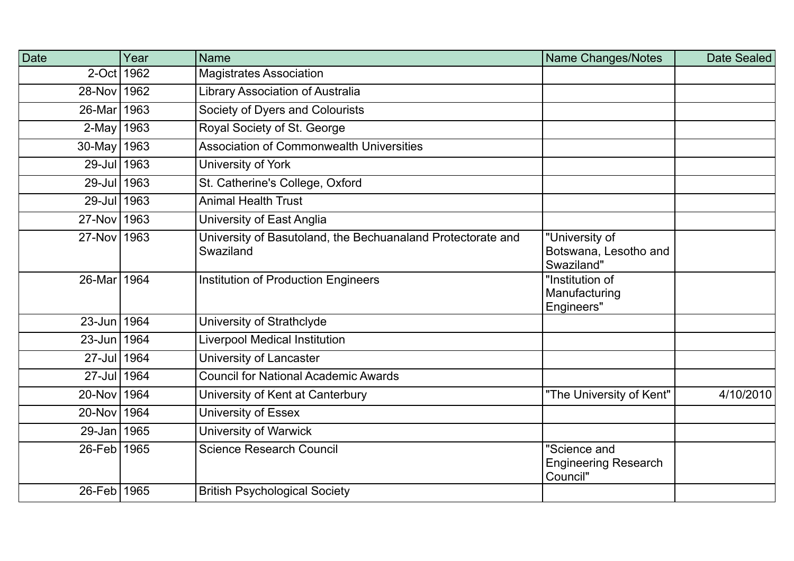| Date          | Year | <b>Name</b>                                                              | <b>Name Changes/Notes</b>                               | Date Sealed |
|---------------|------|--------------------------------------------------------------------------|---------------------------------------------------------|-------------|
| 2-Oct 1962    |      | <b>Magistrates Association</b>                                           |                                                         |             |
| 28-Nov 1962   |      | <b>Library Association of Australia</b>                                  |                                                         |             |
| 26-Mar 1963   |      | Society of Dyers and Colourists                                          |                                                         |             |
| $2$ -May      | 1963 | Royal Society of St. George                                              |                                                         |             |
| $30$ -May     | 1963 | <b>Association of Commonwealth Universities</b>                          |                                                         |             |
| 29-Jul 1963   |      | University of York                                                       |                                                         |             |
| 29-Jul 1963   |      | St. Catherine's College, Oxford                                          |                                                         |             |
| 29-Jul 1963   |      | <b>Animal Health Trust</b>                                               |                                                         |             |
| 27-Nov 1963   |      | University of East Anglia                                                |                                                         |             |
| 27-Nov 1963   |      | University of Basutoland, the Bechuanaland Protectorate and<br>Swaziland | "University of<br>Botswana, Lesotho and<br>Swaziland"   |             |
| 26-Mar 1964   |      | <b>Institution of Production Engineers</b>                               | "Institution of<br>Manufacturing<br>Engineers"          |             |
| 23-Jun 1964   |      | University of Strathclyde                                                |                                                         |             |
| 23-Jun 1964   |      | <b>Liverpool Medical Institution</b>                                     |                                                         |             |
| 27-Jul 1964   |      | University of Lancaster                                                  |                                                         |             |
| 27-Jul 1964   |      | <b>Council for National Academic Awards</b>                              |                                                         |             |
| 20-Nov 1964   |      | University of Kent at Canterbury                                         | "The University of Kent"                                | 4/10/2010   |
| $20$ -Nov     | 1964 | <b>University of Essex</b>                                               |                                                         |             |
| 29-Jan 1965   |      | <b>University of Warwick</b>                                             |                                                         |             |
| 26-Feb   1965 |      | <b>Science Research Council</b>                                          | "Science and<br><b>Engineering Research</b><br>Council" |             |
| $26$ -Feb     | 1965 | <b>British Psychological Society</b>                                     |                                                         |             |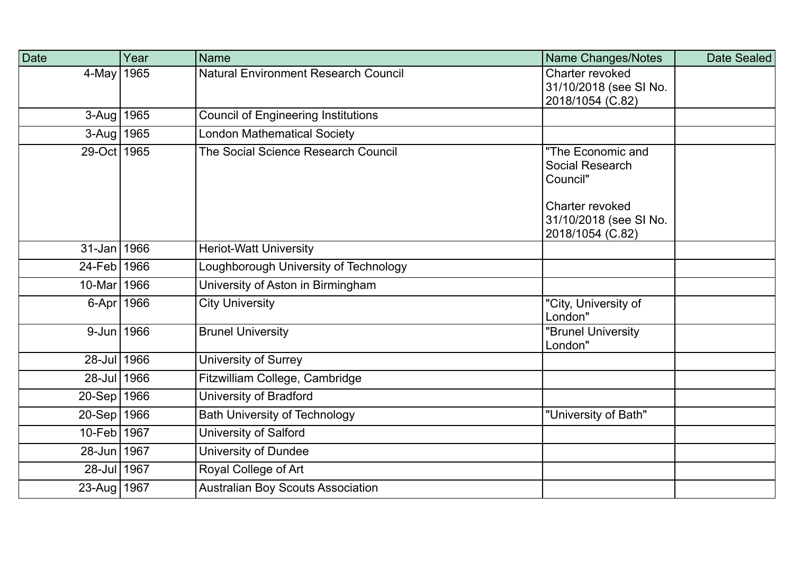| Date            | Year | <b>Name</b>                                 | <b>Name Changes/Notes</b>                                     | Date Sealed |
|-----------------|------|---------------------------------------------|---------------------------------------------------------------|-------------|
| 4-May           | 1965 | <b>Natural Environment Research Council</b> | Charter revoked<br>31/10/2018 (see SI No.<br>2018/1054 (C.82) |             |
| $3-Aug$         | 1965 | <b>Council of Engineering Institutions</b>  |                                                               |             |
| 3-Aug 1965      |      | <b>London Mathematical Society</b>          |                                                               |             |
| 29-Oct 1965     |      | The Social Science Research Council         | "The Economic and<br>Social Research<br>Council"              |             |
|                 |      |                                             | Charter revoked<br>31/10/2018 (see SI No.<br>2018/1054 (C.82) |             |
| $31 - Jan$ 1966 |      | <b>Heriot-Watt University</b>               |                                                               |             |
| 24-Feb   1966   |      | Loughborough University of Technology       |                                                               |             |
| 10-Mar 1966     |      | University of Aston in Birmingham           |                                                               |             |
| 6-Apr 1966      |      | <b>City University</b>                      | "City, University of<br>London"                               |             |
| 9-Jun 1966      |      | <b>Brunel University</b>                    | "Brunel University<br>London"                                 |             |
| 28-Jul 1966     |      | <b>University of Surrey</b>                 |                                                               |             |
| 28-Jul 1966     |      | Fitzwilliam College, Cambridge              |                                                               |             |
| $20 - Sep$ 1966 |      | University of Bradford                      |                                                               |             |
| 20-Sep 1966     |      | <b>Bath University of Technology</b>        | "University of Bath"                                          |             |
| 10-Feb 1967     |      | University of Salford                       |                                                               |             |
| 28-Jun 1967     |      | University of Dundee                        |                                                               |             |
| 28-Jul 1967     |      | Royal College of Art                        |                                                               |             |
| 23-Aug   1967   |      | <b>Australian Boy Scouts Association</b>    |                                                               |             |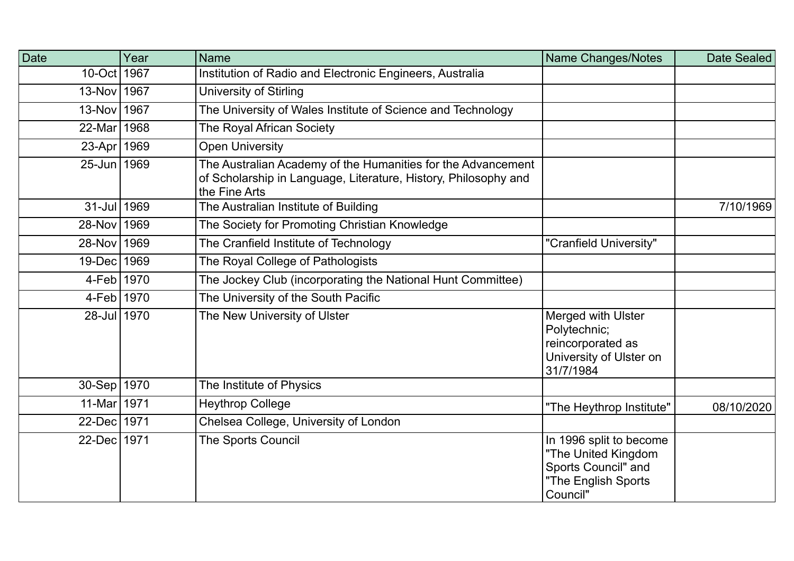| <b>Date</b>   | Year | <b>Name</b>                                                                                                                                      | <b>Name Changes/Notes</b>                                                                                | Date Sealed |
|---------------|------|--------------------------------------------------------------------------------------------------------------------------------------------------|----------------------------------------------------------------------------------------------------------|-------------|
| 10-Oct 1967   |      | Institution of Radio and Electronic Engineers, Australia                                                                                         |                                                                                                          |             |
| 13-Nov 1967   |      | <b>University of Stirling</b>                                                                                                                    |                                                                                                          |             |
| 13-Nov 1967   |      | The University of Wales Institute of Science and Technology                                                                                      |                                                                                                          |             |
| 22-Mar 1968   |      | The Royal African Society                                                                                                                        |                                                                                                          |             |
| 23-Apr   1969 |      | <b>Open University</b>                                                                                                                           |                                                                                                          |             |
| 25-Jun 1969   |      | The Australian Academy of the Humanities for the Advancement<br>of Scholarship in Language, Literature, History, Philosophy and<br>the Fine Arts |                                                                                                          |             |
| 31-Jul 1969   |      | The Australian Institute of Building                                                                                                             |                                                                                                          | 7/10/1969   |
| 28-Nov 1969   |      | The Society for Promoting Christian Knowledge                                                                                                    |                                                                                                          |             |
| 28-Nov 1969   |      | The Cranfield Institute of Technology                                                                                                            | "Cranfield University"                                                                                   |             |
| 19-Dec 1969   |      | The Royal College of Pathologists                                                                                                                |                                                                                                          |             |
| 4-Feb 1970    |      | The Jockey Club (incorporating the National Hunt Committee)                                                                                      |                                                                                                          |             |
| 4-Feb 1970    |      | The University of the South Pacific                                                                                                              |                                                                                                          |             |
| 28-Jul 1970   |      | The New University of Ulster                                                                                                                     | <b>Merged with Ulster</b><br>Polytechnic;<br>reincorporated as<br>University of Ulster on<br>31/7/1984   |             |
| 30-Sep 1970   |      | The Institute of Physics                                                                                                                         |                                                                                                          |             |
| 11-Mar 1971   |      | <b>Heythrop College</b>                                                                                                                          | "The Heythrop Institute"                                                                                 | 08/10/2020  |
| 22-Dec 1971   |      | Chelsea College, University of London                                                                                                            |                                                                                                          |             |
| 22-Dec 1971   |      | The Sports Council                                                                                                                               | In 1996 split to become<br>"The United Kingdom<br>Sports Council" and<br>"The English Sports<br>Council" |             |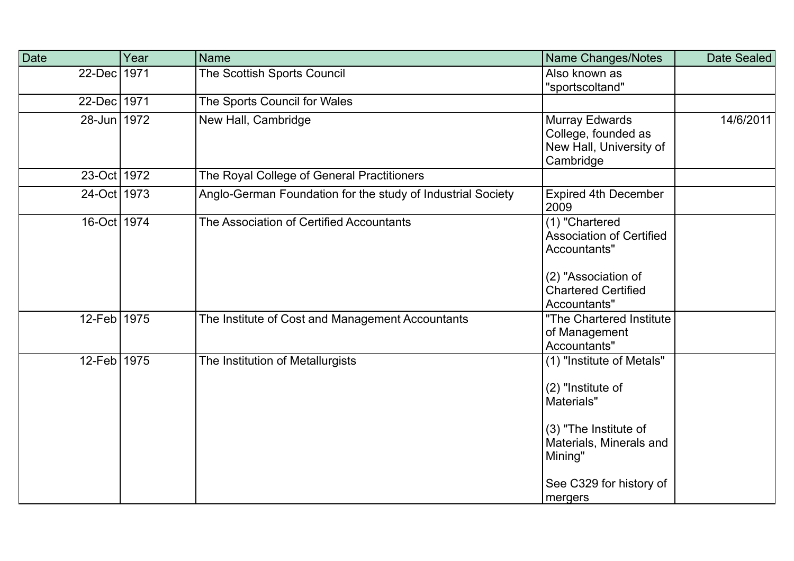| Date        | Year | Name                                                        | <b>Name Changes/Notes</b>                                                                                                                                         | Date Sealed |
|-------------|------|-------------------------------------------------------------|-------------------------------------------------------------------------------------------------------------------------------------------------------------------|-------------|
| $22$ -Dec   | 1971 | The Scottish Sports Council                                 | Also known as<br>"sportscoltand"                                                                                                                                  |             |
| 22-Dec 1971 |      | The Sports Council for Wales                                |                                                                                                                                                                   |             |
| 28-Jun 1972 |      | New Hall, Cambridge                                         | Murray Edwards<br>College, founded as<br>New Hall, University of<br>Cambridge                                                                                     | 14/6/2011   |
| 23-Oct 1972 |      | The Royal College of General Practitioners                  |                                                                                                                                                                   |             |
| 24-Oct 1973 |      | Anglo-German Foundation for the study of Industrial Society | <b>Expired 4th December</b><br>2009                                                                                                                               |             |
| 16-Oct 1974 |      | The Association of Certified Accountants                    | (1) "Chartered<br><b>Association of Certified</b><br>Accountants"<br>(2) "Association of<br><b>Chartered Certified</b><br>Accountants"                            |             |
| 12-Feb 1975 |      | The Institute of Cost and Management Accountants            | "The Chartered Institute<br>of Management<br>Accountants"                                                                                                         |             |
| 12-Feb 1975 |      | The Institution of Metallurgists                            | (1) "Institute of Metals"<br>(2) "Institute of<br>Materials"<br>(3) "The Institute of<br>Materials, Minerals and<br>Mining"<br>See C329 for history of<br>mergers |             |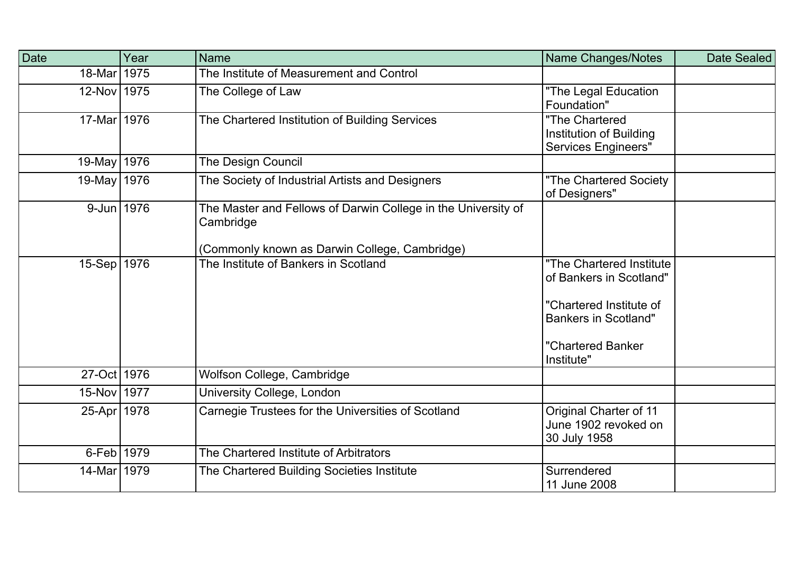| Date          | Year | <b>Name</b>                                                                | Name Changes/Notes                                                      | Date Sealed |
|---------------|------|----------------------------------------------------------------------------|-------------------------------------------------------------------------|-------------|
| $18$ -Mar     | 1975 | The Institute of Measurement and Control                                   |                                                                         |             |
| 12-Nov 1975   |      | The College of Law                                                         | "The Legal Education<br>Foundation"                                     |             |
| 17-Mar 1976   |      | The Chartered Institution of Building Services                             | "The Chartered<br>Institution of Building<br><b>Services Engineers"</b> |             |
| $19$ -May     | 1976 | <b>The Design Council</b>                                                  |                                                                         |             |
| 19-May 1976   |      | The Society of Industrial Artists and Designers                            | "The Chartered Society<br>of Designers"                                 |             |
| 9-Jun 1976    |      | The Master and Fellows of Darwin College in the University of<br>Cambridge |                                                                         |             |
|               |      | (Commonly known as Darwin College, Cambridge)                              |                                                                         |             |
| 15-Sep 1976   |      | The Institute of Bankers in Scotland                                       | "The Chartered Institute<br>of Bankers in Scotland"                     |             |
|               |      |                                                                            | "Chartered Institute of<br><b>Bankers in Scotland"</b>                  |             |
|               |      |                                                                            | "Chartered Banker<br>Institute"                                         |             |
| 27-Oct 1976   |      | Wolfson College, Cambridge                                                 |                                                                         |             |
| 15-Nov 1977   |      | University College, London                                                 |                                                                         |             |
| 25-Apr 1978   |      | Carnegie Trustees for the Universities of Scotland                         | Original Charter of 11<br>June 1902 revoked on<br>30 July 1958          |             |
| 6-Feb 1979    |      | The Chartered Institute of Arbitrators                                     |                                                                         |             |
| 14-Mar   1979 |      | The Chartered Building Societies Institute                                 | Surrendered<br>11 June 2008                                             |             |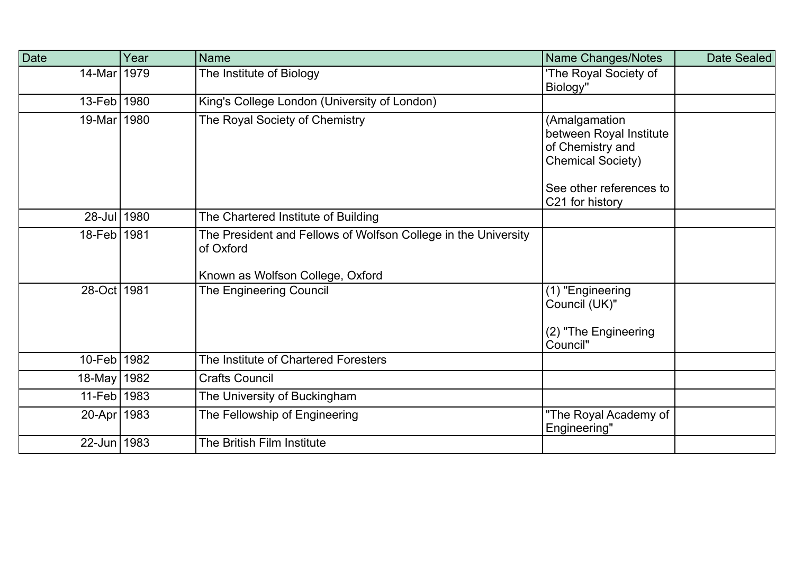| Date        | Year | <b>Name</b>                                                                                                     | Name Changes/Notes                                                                       | Date Sealed |
|-------------|------|-----------------------------------------------------------------------------------------------------------------|------------------------------------------------------------------------------------------|-------------|
| $14$ -Mar   | 1979 | The Institute of Biology                                                                                        | 'The Royal Society of<br>Biology"                                                        |             |
| $13-Feb$    | 1980 | King's College London (University of London)                                                                    |                                                                                          |             |
| $19$ -Mar   | 1980 | The Royal Society of Chemistry                                                                                  | (Amalgamation<br>between Royal Institute<br>of Chemistry and<br><b>Chemical Society)</b> |             |
|             |      |                                                                                                                 | See other references to<br>C21 for history                                               |             |
| $28$ -Jul   | 1980 | The Chartered Institute of Building                                                                             |                                                                                          |             |
| $18$ -Feb   | 1981 | The President and Fellows of Wolfson College in the University<br>of Oxford<br>Known as Wolfson College, Oxford |                                                                                          |             |
| 28-Oct 1981 |      | The Engineering Council                                                                                         | (1) "Engineering<br>Council (UK)"<br>(2) "The Engineering<br>Council"                    |             |
| $10$ -Feb   | 1982 | The Institute of Chartered Foresters                                                                            |                                                                                          |             |
| $18$ -May   | 1982 | <b>Crafts Council</b>                                                                                           |                                                                                          |             |
| $11$ -Feb   | 1983 | The University of Buckingham                                                                                    |                                                                                          |             |
| 20-Apr 1983 |      | The Fellowship of Engineering                                                                                   | "The Royal Academy of<br>Engineering"                                                    |             |
| 22-Jun 1983 |      | The British Film Institute                                                                                      |                                                                                          |             |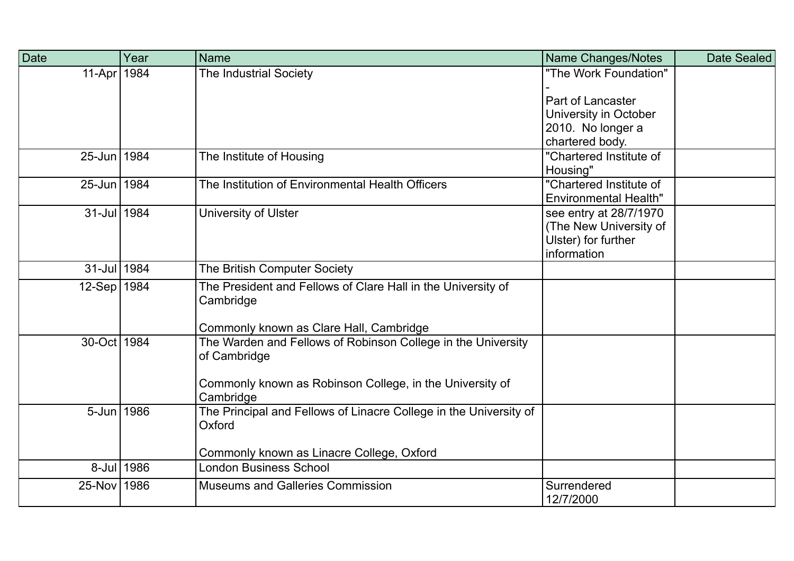| Date          | Year       | <b>Name</b>                                                                                                                                           | <b>Name Changes/Notes</b>                                                              | Date Sealed |
|---------------|------------|-------------------------------------------------------------------------------------------------------------------------------------------------------|----------------------------------------------------------------------------------------|-------------|
| 11-Apr   1984 |            | <b>The Industrial Society</b>                                                                                                                         | "The Work Foundation"<br>Part of Lancaster                                             |             |
|               |            |                                                                                                                                                       | University in October                                                                  |             |
|               |            |                                                                                                                                                       | 2010. No longer a<br>chartered body.                                                   |             |
| 25-Jun 1984   |            | The Institute of Housing                                                                                                                              | "Chartered Institute of<br>Housing"                                                    |             |
| 25-Jun 1984   |            | The Institution of Environmental Health Officers                                                                                                      | "Chartered Institute of<br><b>Environmental Health"</b>                                |             |
| 31-Jul 1984   |            | University of Ulster                                                                                                                                  | see entry at 28/7/1970<br>(The New University of<br>Ulster) for further<br>information |             |
| 31-Jul 1984   |            | The British Computer Society                                                                                                                          |                                                                                        |             |
| 12-Sep   1984 |            | The President and Fellows of Clare Hall in the University of<br>Cambridge<br>Commonly known as Clare Hall, Cambridge                                  |                                                                                        |             |
| 30-Oct 1984   |            | The Warden and Fellows of Robinson College in the University<br>of Cambridge<br>Commonly known as Robinson College, in the University of<br>Cambridge |                                                                                        |             |
| 5-Jun 1986    |            | The Principal and Fellows of Linacre College in the University of<br>Oxford<br>Commonly known as Linacre College, Oxford                              |                                                                                        |             |
|               | 8-Jul 1986 | <b>London Business School</b>                                                                                                                         |                                                                                        |             |
| 25-Nov 1986   |            | <b>Museums and Galleries Commission</b>                                                                                                               | Surrendered<br>12/7/2000                                                               |             |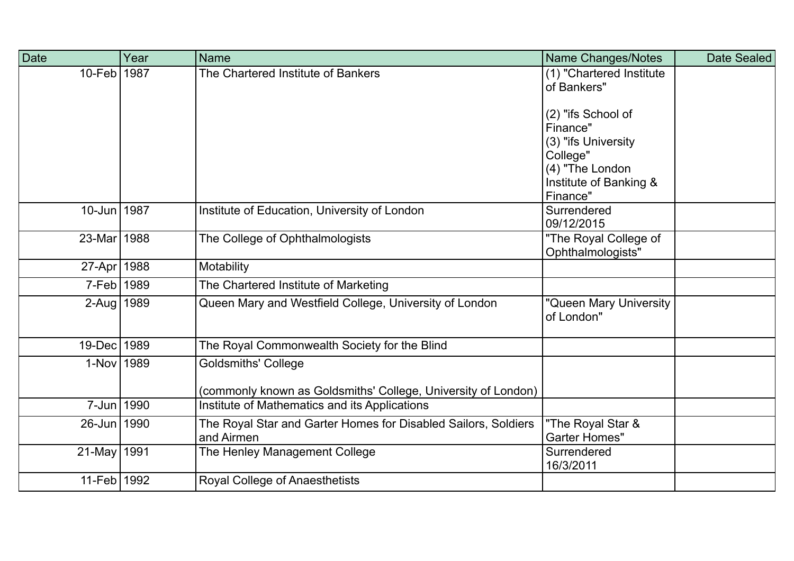| Date          | Year | <b>Name</b>                                                                  | <b>Name Changes/Notes</b>                  | Date Sealed |
|---------------|------|------------------------------------------------------------------------------|--------------------------------------------|-------------|
| 10-Feb 1987   |      | The Chartered Institute of Bankers                                           | (1) "Chartered Institute<br>of Bankers"    |             |
|               |      |                                                                              | (2) "ifs School of                         |             |
|               |      |                                                                              | Finance"                                   |             |
|               |      |                                                                              | (3) "ifs University                        |             |
|               |      |                                                                              | College"<br>(4) "The London                |             |
|               |      |                                                                              | Institute of Banking &                     |             |
|               |      |                                                                              | Finance"                                   |             |
| 10-Jun 1987   |      | Institute of Education, University of London                                 | Surrendered<br>09/12/2015                  |             |
| 23-Mar 1988   |      | The College of Ophthalmologists                                              | "The Royal College of<br>Ophthalmologists" |             |
| 27-Apr   1988 |      | Motability                                                                   |                                            |             |
| 7-Feb 1989    |      | The Chartered Institute of Marketing                                         |                                            |             |
| 2-Aug 1989    |      | Queen Mary and Westfield College, University of London                       | "Queen Mary University<br>of London"       |             |
| 19-Dec   1989 |      | The Royal Commonwealth Society for the Blind                                 |                                            |             |
| 1-Nov 1989    |      | <b>Goldsmiths' College</b>                                                   |                                            |             |
|               |      | (commonly known as Goldsmiths' College, University of London)                |                                            |             |
| 7-Jun 1990    |      | Institute of Mathematics and its Applications                                |                                            |             |
| 26-Jun 1990   |      | The Royal Star and Garter Homes for Disabled Sailors, Soldiers<br>and Airmen | "The Royal Star &<br><b>Garter Homes"</b>  |             |
| 21-May 1991   |      | The Henley Management College                                                | Surrendered<br>16/3/2011                   |             |
| 11-Feb 1992   |      | Royal College of Anaesthetists                                               |                                            |             |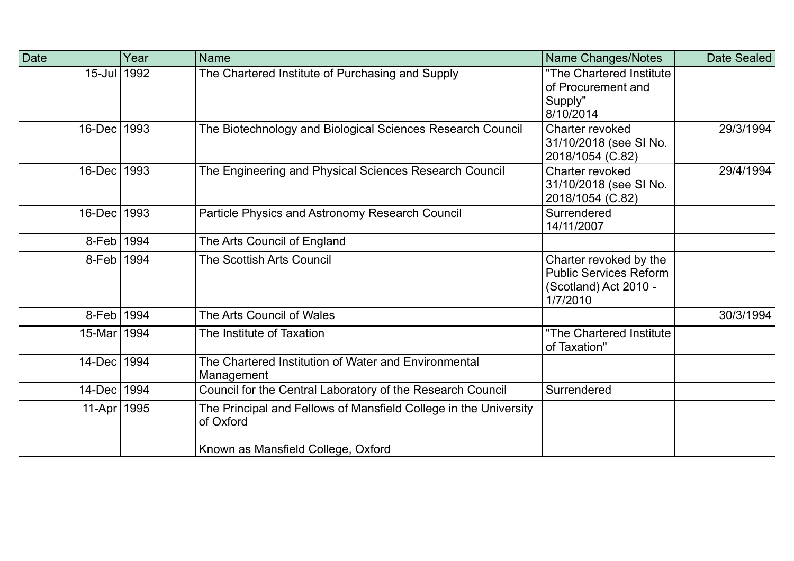| <b>Date</b>   | Year | <b>Name</b>                                                                                                         | <b>Name Changes/Notes</b>                                                                    | Date Sealed |
|---------------|------|---------------------------------------------------------------------------------------------------------------------|----------------------------------------------------------------------------------------------|-------------|
| 15-Jul 1992   |      | The Chartered Institute of Purchasing and Supply                                                                    | "The Chartered Institute<br>of Procurement and<br>Supply"<br>8/10/2014                       |             |
| 16-Dec 1993   |      | The Biotechnology and Biological Sciences Research Council                                                          | Charter revoked<br>31/10/2018 (see SI No.<br>2018/1054 (C.82)                                | 29/3/1994   |
| 16-Dec 1993   |      | The Engineering and Physical Sciences Research Council                                                              | Charter revoked<br>31/10/2018 (see SI No.<br>2018/1054 (C.82)                                | 29/4/1994   |
| 16-Dec 1993   |      | Particle Physics and Astronomy Research Council                                                                     | Surrendered<br>14/11/2007                                                                    |             |
| 8-Feb 1994    |      | The Arts Council of England                                                                                         |                                                                                              |             |
| 8-Feb 1994    |      | The Scottish Arts Council                                                                                           | Charter revoked by the<br><b>Public Services Reform</b><br>(Scotland) Act 2010 -<br>1/7/2010 |             |
| 8-Feb 1994    |      | The Arts Council of Wales                                                                                           |                                                                                              | 30/3/1994   |
| 15-Mar   1994 |      | The Institute of Taxation                                                                                           | "The Chartered Institute<br>of Taxation"                                                     |             |
| 14-Dec 1994   |      | The Chartered Institution of Water and Environmental<br>Management                                                  |                                                                                              |             |
| 14-Dec 1994   |      | Council for the Central Laboratory of the Research Council                                                          | Surrendered                                                                                  |             |
| 11-Apr   1995 |      | The Principal and Fellows of Mansfield College in the University<br>of Oxford<br>Known as Mansfield College, Oxford |                                                                                              |             |
|               |      |                                                                                                                     |                                                                                              |             |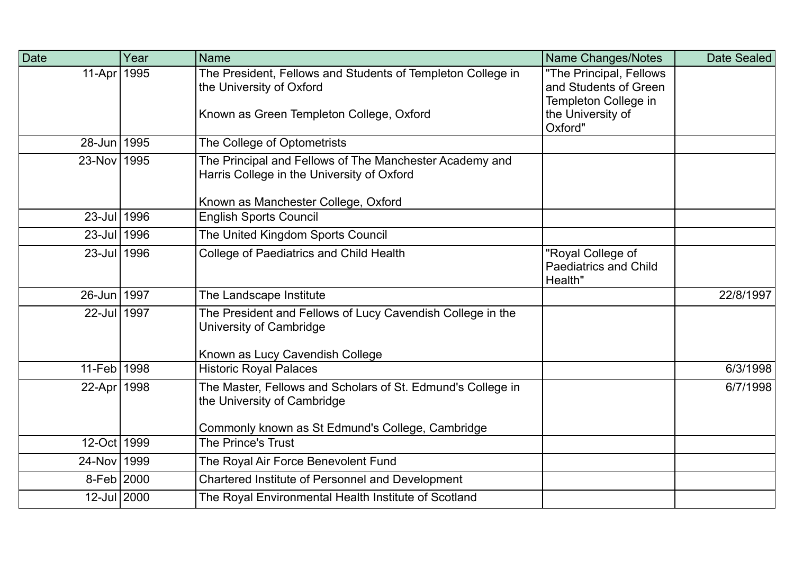| Date        | Year | <b>Name</b>                                                                                           | Name Changes/Notes                                                       | Date Sealed |
|-------------|------|-------------------------------------------------------------------------------------------------------|--------------------------------------------------------------------------|-------------|
| $11-Apr$    | 1995 | The President, Fellows and Students of Templeton College in<br>the University of Oxford               | "The Principal, Fellows<br>and Students of Green<br>Templeton College in |             |
|             |      | Known as Green Templeton College, Oxford                                                              | the University of<br>Oxford"                                             |             |
| 28-Jun 1995 |      | The College of Optometrists                                                                           |                                                                          |             |
| 23-Nov 1995 |      | The Principal and Fellows of The Manchester Academy and<br>Harris College in the University of Oxford |                                                                          |             |
|             |      | Known as Manchester College, Oxford                                                                   |                                                                          |             |
| 23-Jul 1996 |      | <b>English Sports Council</b>                                                                         |                                                                          |             |
| 23-Jul 1996 |      | The United Kingdom Sports Council                                                                     |                                                                          |             |
| 23-Jul 1996 |      | College of Paediatrics and Child Health                                                               | "Royal College of<br><b>Paediatrics and Child</b><br>Health"             |             |
| 26-Jun 1997 |      | The Landscape Institute                                                                               |                                                                          | 22/8/1997   |
| 22-Jul 1997 |      | The President and Fellows of Lucy Cavendish College in the<br>University of Cambridge                 |                                                                          |             |
|             |      | Known as Lucy Cavendish College                                                                       |                                                                          |             |
| 11-Feb 1998 |      | <b>Historic Royal Palaces</b>                                                                         |                                                                          | 6/3/1998    |
| 22-Apr 1998 |      | The Master, Fellows and Scholars of St. Edmund's College in<br>the University of Cambridge            |                                                                          | 6/7/1998    |
|             |      | Commonly known as St Edmund's College, Cambridge                                                      |                                                                          |             |
| 12-Oct 1999 |      | <b>The Prince's Trust</b>                                                                             |                                                                          |             |
| 24-Nov 1999 |      | The Royal Air Force Benevolent Fund                                                                   |                                                                          |             |
| 8-Feb 2000  |      | Chartered Institute of Personnel and Development                                                      |                                                                          |             |
| 12-Jul 2000 |      | The Royal Environmental Health Institute of Scotland                                                  |                                                                          |             |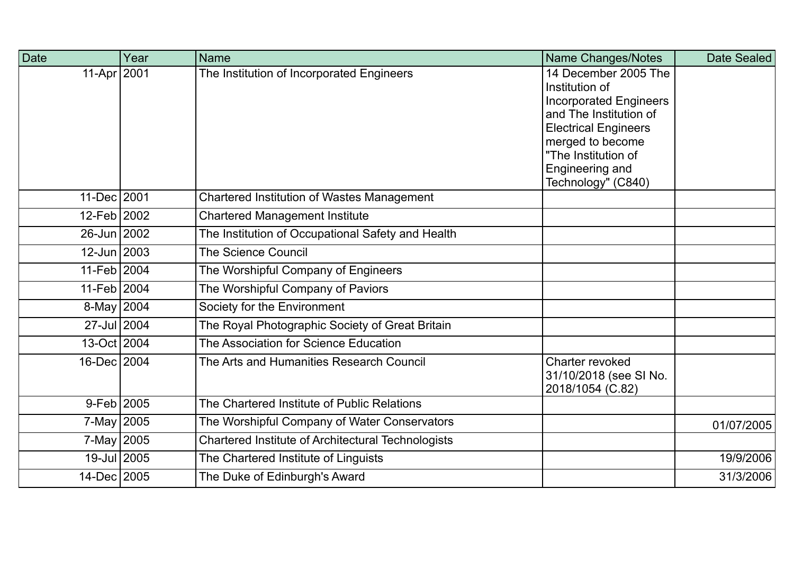| <b>Date</b>    | Year | <b>Name</b>                                        | Name Changes/Notes                                                                                                                                                                                                   | Date Sealed |
|----------------|------|----------------------------------------------------|----------------------------------------------------------------------------------------------------------------------------------------------------------------------------------------------------------------------|-------------|
| 11-Apr   2001  |      | The Institution of Incorporated Engineers          | 14 December 2005 The<br>Institution of<br><b>Incorporated Engineers</b><br>and The Institution of<br><b>Electrical Engineers</b><br>merged to become<br>"The Institution of<br>Engineering and<br>Technology" (C840) |             |
| 11-Dec 2001    |      | <b>Chartered Institution of Wastes Management</b>  |                                                                                                                                                                                                                      |             |
| 12-Feb 2002    |      | <b>Chartered Management Institute</b>              |                                                                                                                                                                                                                      |             |
| 26-Jun 2002    |      | The Institution of Occupational Safety and Health  |                                                                                                                                                                                                                      |             |
| 12-Jun 2003    |      | <b>The Science Council</b>                         |                                                                                                                                                                                                                      |             |
| 11-Feb 2004    |      | The Worshipful Company of Engineers                |                                                                                                                                                                                                                      |             |
| 11-Feb 2004    |      | The Worshipful Company of Paviors                  |                                                                                                                                                                                                                      |             |
| 8-May 2004     |      | Society for the Environment                        |                                                                                                                                                                                                                      |             |
| 27-Jul 2004    |      | The Royal Photographic Society of Great Britain    |                                                                                                                                                                                                                      |             |
| 13-Oct 2004    |      | The Association for Science Education              |                                                                                                                                                                                                                      |             |
| 16-Dec 2004    |      | The Arts and Humanities Research Council           | Charter revoked<br>31/10/2018 (see SI No.<br>2018/1054 (C.82)                                                                                                                                                        |             |
| $9 - Feb$ 2005 |      | The Chartered Institute of Public Relations        |                                                                                                                                                                                                                      |             |
| 7-May 2005     |      | The Worshipful Company of Water Conservators       |                                                                                                                                                                                                                      | 01/07/2005  |
| 7-May 2005     |      | Chartered Institute of Architectural Technologists |                                                                                                                                                                                                                      |             |
| 19-Jul 2005    |      | The Chartered Institute of Linguists               |                                                                                                                                                                                                                      | 19/9/2006   |
| 14-Dec 2005    |      | The Duke of Edinburgh's Award                      |                                                                                                                                                                                                                      | 31/3/2006   |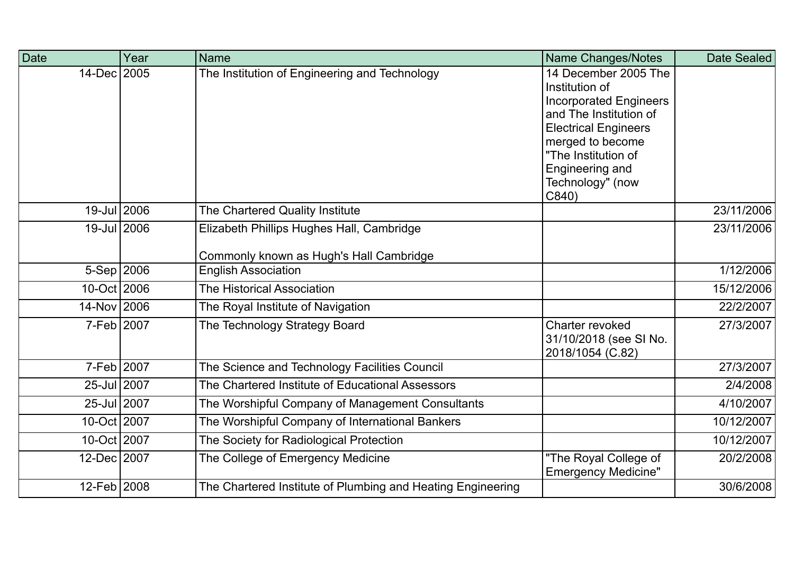| Date         | Year | <b>Name</b>                                                 | Name Changes/Notes                              | Date Sealed |
|--------------|------|-------------------------------------------------------------|-------------------------------------------------|-------------|
| 14-Dec 2005  |      | The Institution of Engineering and Technology               | 14 December 2005 The                            |             |
|              |      |                                                             | Institution of<br><b>Incorporated Engineers</b> |             |
|              |      |                                                             | and The Institution of                          |             |
|              |      |                                                             | <b>Electrical Engineers</b>                     |             |
|              |      |                                                             | merged to become                                |             |
|              |      |                                                             | "The Institution of                             |             |
|              |      |                                                             | Engineering and                                 |             |
|              |      |                                                             | Technology" (now                                |             |
|              |      |                                                             | C840                                            |             |
| 19-Jul 2006  |      | The Chartered Quality Institute                             |                                                 | 23/11/2006  |
| 19-Jul 2006  |      | Elizabeth Phillips Hughes Hall, Cambridge                   |                                                 | 23/11/2006  |
|              |      |                                                             |                                                 |             |
|              |      | Commonly known as Hugh's Hall Cambridge                     |                                                 |             |
| $5-Sep$ 2006 |      | <b>English Association</b>                                  |                                                 | 1/12/2006   |
| 10-Oct 2006  |      | The Historical Association                                  |                                                 | 15/12/2006  |
| 14-Nov 2006  |      | The Royal Institute of Navigation                           |                                                 | 22/2/2007   |
| 7-Feb 2007   |      | The Technology Strategy Board                               | Charter revoked                                 | 27/3/2007   |
|              |      |                                                             | 31/10/2018 (see SI No.                          |             |
|              |      |                                                             | 2018/1054 (C.82)                                |             |
| 7-Feb 2007   |      | The Science and Technology Facilities Council               |                                                 | 27/3/2007   |
| 25-Jul 2007  |      | The Chartered Institute of Educational Assessors            |                                                 | 2/4/2008    |
| 25-Jul 2007  |      | The Worshipful Company of Management Consultants            |                                                 | 4/10/2007   |
| 10-Oct 2007  |      | The Worshipful Company of International Bankers             |                                                 | 10/12/2007  |
| 10-Oct 2007  |      | The Society for Radiological Protection                     |                                                 | 10/12/2007  |
| 12-Dec 2007  |      | The College of Emergency Medicine                           | "The Royal College of                           | 20/2/2008   |
|              |      |                                                             | <b>Emergency Medicine"</b>                      |             |
| 12-Feb 2008  |      | The Chartered Institute of Plumbing and Heating Engineering |                                                 | 30/6/2008   |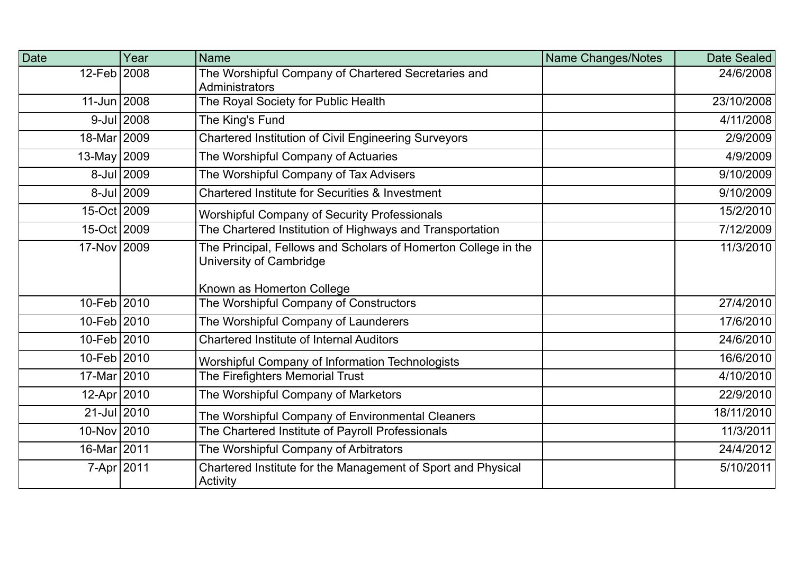| Date            | Year       | <b>Name</b>                                                                                                            | Name Changes/Notes | Date Sealed |
|-----------------|------------|------------------------------------------------------------------------------------------------------------------------|--------------------|-------------|
| 12-Feb 2008     |            | The Worshipful Company of Chartered Secretaries and<br>Administrators                                                  |                    | 24/6/2008   |
| 11-Jun 2008     |            | The Royal Society for Public Health                                                                                    |                    | 23/10/2008  |
|                 | 9-Jul 2008 | The King's Fund                                                                                                        |                    | 4/11/2008   |
| 18-Mar 2009     |            | Chartered Institution of Civil Engineering Surveyors                                                                   |                    | 2/9/2009    |
| 13-May 2009     |            | The Worshipful Company of Actuaries                                                                                    |                    | 4/9/2009    |
|                 | 8-Jul 2009 | The Worshipful Company of Tax Advisers                                                                                 |                    | 9/10/2009   |
|                 | 8-Jul 2009 | Chartered Institute for Securities & Investment                                                                        |                    | 9/10/2009   |
| 15-Oct 2009     |            | <b>Worshipful Company of Security Professionals</b>                                                                    |                    | 15/2/2010   |
| 15-Oct 2009     |            | The Chartered Institution of Highways and Transportation                                                               |                    | 7/12/2009   |
| 17-Nov 2009     |            | The Principal, Fellows and Scholars of Homerton College in the<br>University of Cambridge<br>Known as Homerton College |                    | 11/3/2010   |
| 10-Feb 2010     |            | The Worshipful Company of Constructors                                                                                 |                    | 27/4/2010   |
| 10-Feb 2010     |            | The Worshipful Company of Launderers                                                                                   |                    | 17/6/2010   |
| 10-Feb 2010     |            | <b>Chartered Institute of Internal Auditors</b>                                                                        |                    | 24/6/2010   |
| 10-Feb 2010     |            | Worshipful Company of Information Technologists                                                                        |                    | 16/6/2010   |
| 17-Mar 2010     |            | The Firefighters Memorial Trust                                                                                        |                    | 4/10/2010   |
| 12-Apr 2010     |            | The Worshipful Company of Marketors                                                                                    |                    | 22/9/2010   |
| $21 -$ Jul 2010 |            | The Worshipful Company of Environmental Cleaners                                                                       |                    | 18/11/2010  |
| 10-Nov 2010     |            | The Chartered Institute of Payroll Professionals                                                                       |                    | 11/3/2011   |
| 16-Mar 2011     |            | The Worshipful Company of Arbitrators                                                                                  |                    | 24/4/2012   |
| 7-Apr 2011      |            | Chartered Institute for the Management of Sport and Physical<br>Activity                                               |                    | 5/10/2011   |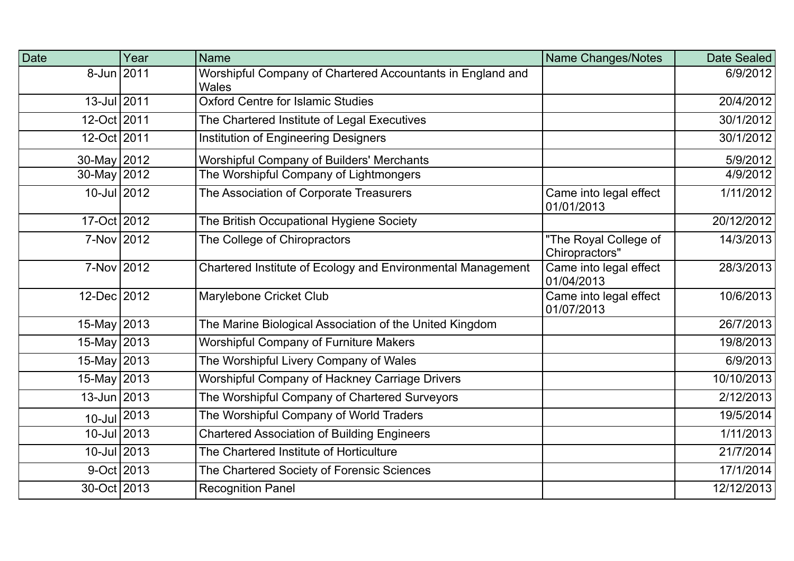| Date           | Year | <b>Name</b>                                                                | <b>Name Changes/Notes</b>               | Date Sealed |
|----------------|------|----------------------------------------------------------------------------|-----------------------------------------|-------------|
| 8-Jun 2011     |      | Worshipful Company of Chartered Accountants in England and<br><b>Wales</b> |                                         | 6/9/2012    |
| 13-Jul 2011    |      | <b>Oxford Centre for Islamic Studies</b>                                   |                                         | 20/4/2012   |
| 12-Oct 2011    |      | The Chartered Institute of Legal Executives                                |                                         | 30/1/2012   |
| 12-Oct 2011    |      | Institution of Engineering Designers                                       |                                         | 30/1/2012   |
| 30-May 2012    |      | <b>Worshipful Company of Builders' Merchants</b>                           |                                         | 5/9/2012    |
| $30$ -May 2012 |      | The Worshipful Company of Lightmongers                                     |                                         | 4/9/2012    |
| 10-Jul 2012    |      | The Association of Corporate Treasurers                                    | Came into legal effect<br>01/01/2013    | 1/11/2012   |
| 17-Oct 2012    |      | The British Occupational Hygiene Society                                   |                                         | 20/12/2012  |
| 7-Nov 2012     |      | The College of Chiropractors                                               | "The Royal College of<br>Chiropractors" | 14/3/2013   |
| 7-Nov 2012     |      | Chartered Institute of Ecology and Environmental Management                | Came into legal effect<br>01/04/2013    | 28/3/2013   |
| 12-Dec 2012    |      | Marylebone Cricket Club                                                    | Came into legal effect<br>01/07/2013    | 10/6/2013   |
| 15-May 2013    |      | The Marine Biological Association of the United Kingdom                    |                                         | 26/7/2013   |
| 15-May 2013    |      | <b>Worshipful Company of Furniture Makers</b>                              |                                         | 19/8/2013   |
| 15-May 2013    |      | The Worshipful Livery Company of Wales                                     |                                         | 6/9/2013    |
| 15-May 2013    |      | Worshipful Company of Hackney Carriage Drivers                             |                                         | 10/10/2013  |
| 13-Jun 2013    |      | The Worshipful Company of Chartered Surveyors                              |                                         | 2/12/2013   |
| $10$ -Jul 2013 |      | The Worshipful Company of World Traders                                    |                                         | 19/5/2014   |
| 10-Jul 2013    |      | <b>Chartered Association of Building Engineers</b>                         |                                         | 1/11/2013   |
| 10-Jul 2013    |      | The Chartered Institute of Horticulture                                    |                                         | 21/7/2014   |
| 9-Oct 2013     |      | The Chartered Society of Forensic Sciences                                 |                                         | 17/1/2014   |
| 30-Oct 2013    |      | <b>Recognition Panel</b>                                                   |                                         | 12/12/2013  |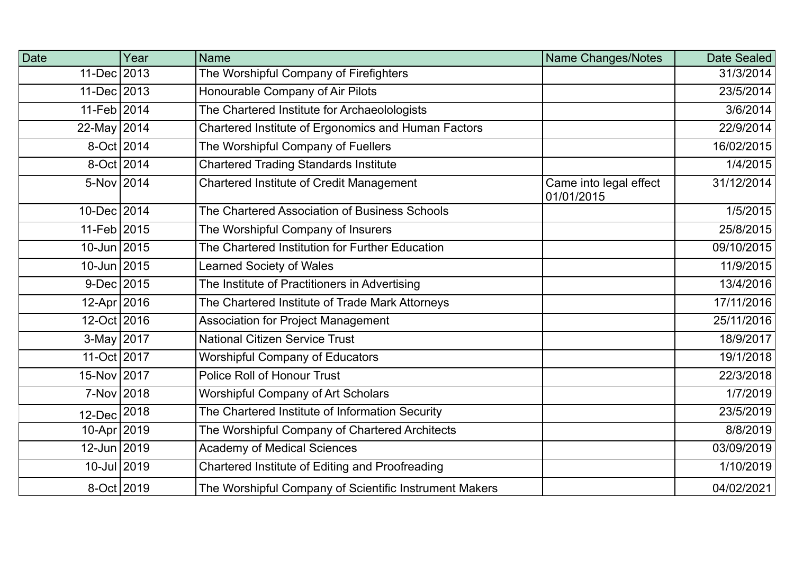| Date            | Year       | <b>Name</b>                                            | Name Changes/Notes                   | Date Sealed |
|-----------------|------------|--------------------------------------------------------|--------------------------------------|-------------|
| 11-Dec 2013     |            | The Worshipful Company of Firefighters                 |                                      | 31/3/2014   |
| 11-Dec 2013     |            | Honourable Company of Air Pilots                       |                                      | 23/5/2014   |
| 11-Feb 2014     |            | The Chartered Institute for Archaeolologists           |                                      | 3/6/2014    |
| 22-May 2014     |            | Chartered Institute of Ergonomics and Human Factors    |                                      | 22/9/2014   |
|                 | 8-Oct 2014 | The Worshipful Company of Fuellers                     |                                      | 16/02/2015  |
|                 | 8-Oct 2014 | <b>Chartered Trading Standards Institute</b>           |                                      | 1/4/2015    |
| 5-Nov 2014      |            | <b>Chartered Institute of Credit Management</b>        | Came into legal effect<br>01/01/2015 | 31/12/2014  |
| 10-Dec 2014     |            | The Chartered Association of Business Schools          |                                      | 1/5/2015    |
| 11-Feb 2015     |            | The Worshipful Company of Insurers                     |                                      | 25/8/2015   |
| 10-Jun 2015     |            | The Chartered Institution for Further Education        |                                      | 09/10/2015  |
| 10-Jun 2015     |            | <b>Learned Society of Wales</b>                        |                                      | 11/9/2015   |
| $9$ -Dec 2015   |            | The Institute of Practitioners in Advertising          |                                      | 13/4/2016   |
| 12-Apr 2016     |            | The Chartered Institute of Trade Mark Attorneys        |                                      | 17/11/2016  |
| 12-Oct 2016     |            | <b>Association for Project Management</b>              |                                      | 25/11/2016  |
| 3-May 2017      |            | <b>National Citizen Service Trust</b>                  |                                      | 18/9/2017   |
| 11-Oct 2017     |            | <b>Worshipful Company of Educators</b>                 |                                      | 19/1/2018   |
| 15-Nov 2017     |            | <b>Police Roll of Honour Trust</b>                     |                                      | 22/3/2018   |
| 7-Nov 2018      |            | Worshipful Company of Art Scholars                     |                                      | 1/7/2019    |
| 12-Dec          | 2018       | The Chartered Institute of Information Security        |                                      | 23/5/2019   |
| 10-Apr 2019     |            | The Worshipful Company of Chartered Architects         |                                      | 8/8/2019    |
| 12-Jun 2019     |            | <b>Academy of Medical Sciences</b>                     |                                      | 03/09/2019  |
| $10 -$ Jul 2019 |            | Chartered Institute of Editing and Proofreading        |                                      | 1/10/2019   |
| 8-Oct 2019      |            | The Worshipful Company of Scientific Instrument Makers |                                      | 04/02/2021  |